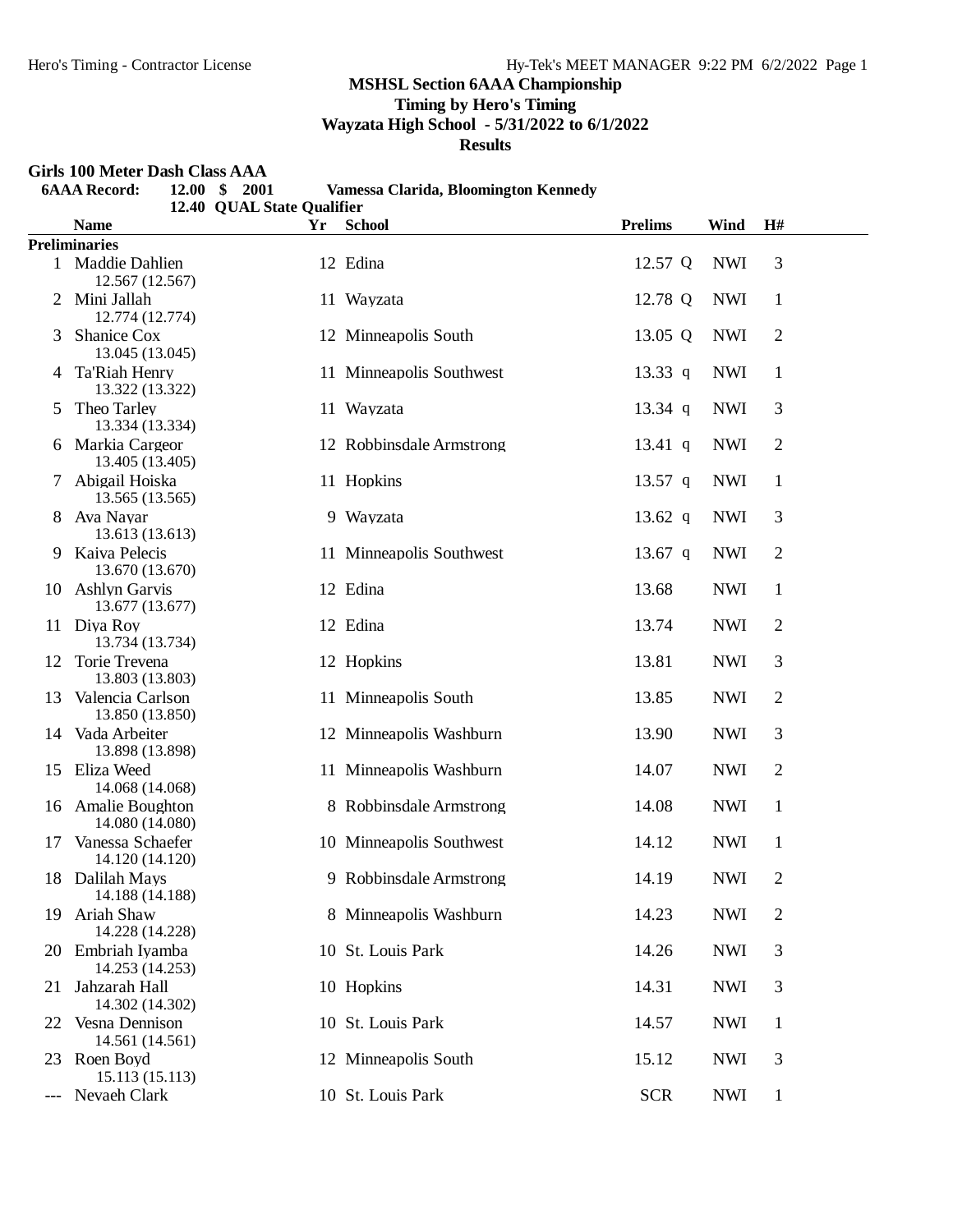**Timing by Hero's Timing**

**Wayzata High School - 5/31/2022 to 6/1/2022**

**Results**

**6AAA Record: 12.00 \$ 2001 Vamessa Clarida, Bloomington Kennedy**

**Girls 100 Meter Dash Class AAA**<br>**6AAA Record:** 12.00 \$ 2001 **Laure 12.00 \$ 2001 Vames**<br>12.40 **QUAL State Qualifier** 

|    |                                         | <b>QUAL State Qualifier</b> |                          |                |             |                |  |
|----|-----------------------------------------|-----------------------------|--------------------------|----------------|-------------|----------------|--|
|    | <b>Name</b>                             | Yr                          | <b>School</b>            | <b>Prelims</b> | <b>Wind</b> | H#             |  |
|    | <b>Preliminaries</b>                    |                             |                          |                |             |                |  |
|    | 1 Maddie Dahlien<br>12.567 (12.567)     |                             | 12 Edina                 | 12.57 Q        | <b>NWI</b>  | 3              |  |
| 2  | Mini Jallah<br>12.774 (12.774)          |                             | 11 Wayzata               | 12.78 Q        | <b>NWI</b>  | $\mathbf{1}$   |  |
| 3  | Shanice Cox<br>13.045 (13.045)          |                             | 12 Minneapolis South     | 13.05 Q        | <b>NWI</b>  | $\overline{2}$ |  |
|    | 4 Ta'Riah Henry<br>13.322 (13.322)      |                             | 11 Minneapolis Southwest | 13.33 $q$      | <b>NWI</b>  | $\mathbf{1}$   |  |
| 5  | Theo Tarley<br>13.334 (13.334)          |                             | 11 Wayzata               | 13.34 q        | <b>NWI</b>  | 3              |  |
| 6  | Markia Cargeor<br>13.405 (13.405)       |                             | 12 Robbinsdale Armstrong | 13.41 q        | <b>NWI</b>  | $\overline{2}$ |  |
|    | Abigail Hoiska<br>13.565 (13.565)       |                             | 11 Hopkins               | 13.57 q        | <b>NWI</b>  | $\mathbf{1}$   |  |
| 8  | Ava Nayar<br>13.613 (13.613)            |                             | 9 Wayzata                | 13.62 q        | <b>NWI</b>  | 3              |  |
| 9. | Kaiva Pelecis<br>13.670 (13.670)        |                             | 11 Minneapolis Southwest | $13.67$ q      | <b>NWI</b>  | $\overline{2}$ |  |
| 10 | <b>Ashlyn Garvis</b><br>13.677 (13.677) |                             | 12 Edina                 | 13.68          | <b>NWI</b>  | $\mathbf{1}$   |  |
| 11 | Diya Roy<br>13.734 (13.734)             |                             | 12 Edina                 | 13.74          | <b>NWI</b>  | $\overline{2}$ |  |
| 12 | Torie Trevena<br>13.803 (13.803)        |                             | 12 Hopkins               | 13.81          | <b>NWI</b>  | 3              |  |
| 13 | Valencia Carlson<br>13.850 (13.850)     |                             | 11 Minneapolis South     | 13.85          | <b>NWI</b>  | $\overline{2}$ |  |
|    | 14 Vada Arbeiter<br>13.898 (13.898)     |                             | 12 Minneapolis Washburn  | 13.90          | <b>NWI</b>  | 3              |  |
|    | 15 Eliza Weed<br>14.068 (14.068)        |                             | 11 Minneapolis Washburn  | 14.07          | <b>NWI</b>  | $\overline{2}$ |  |
|    | 16 Amalie Boughton<br>14.080 (14.080)   |                             | 8 Robbinsdale Armstrong  | 14.08          | <b>NWI</b>  | $\mathbf{1}$   |  |
| 17 | Vanessa Schaefer<br>14.120 (14.120)     |                             | 10 Minneapolis Southwest | 14.12          | <b>NWI</b>  | $\mathbf{1}$   |  |
| 18 | Dalilah Mays<br>14.188 (14.188)         | 9                           | Robbinsdale Armstrong    | 14.19          | <b>NWI</b>  | $\overline{2}$ |  |
| 19 | Ariah Shaw<br>14.228 (14.228)           |                             | 8 Minneapolis Washburn   | 14.23          | <b>NWI</b>  | $\overline{c}$ |  |
| 20 | Embriah Iyamba<br>14.253 (14.253)       |                             | 10 St. Louis Park        | 14.26          | <b>NWI</b>  | 3              |  |
| 21 | Jahzarah Hall<br>14.302 (14.302)        |                             | 10 Hopkins               | 14.31          | <b>NWI</b>  | 3              |  |
| 22 | Vesna Dennison<br>14.561 (14.561)       |                             | 10 St. Louis Park        | 14.57          | <b>NWI</b>  | $\mathbf{1}$   |  |
|    | 23 Roen Boyd<br>15.113 (15.113)         |                             | 12 Minneapolis South     | 15.12          | <b>NWI</b>  | 3              |  |
|    | Nevaeh Clark                            |                             | 10 St. Louis Park        | <b>SCR</b>     | <b>NWI</b>  | $\mathbf{1}$   |  |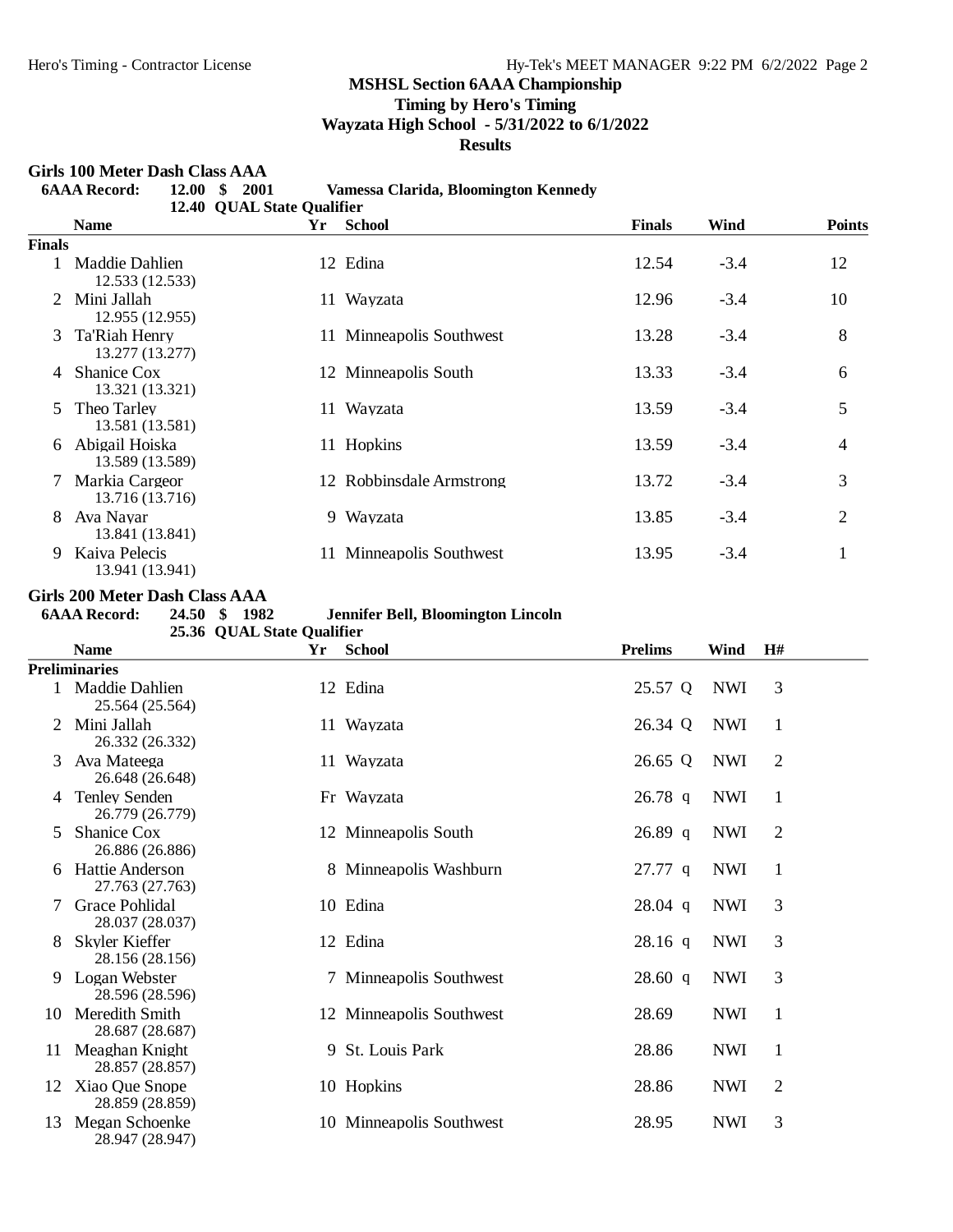**Timing by Hero's Timing**

**Wayzata High School - 5/31/2022 to 6/1/2022**

**Results**

**Girls 100 Meter Dash Class AAA**<br>**6AAA Record:** 12.00 \$ 2001 **6AAA Record: 12.00 \$ 2001 Vamessa Clarida, Bloomington Kennedy 12.40 QUAL State Qualifier** 

|                       | <b>Name</b>                       | Yr  | <b>School</b>            | <b>Finals</b> | Wind   | <b>Points</b>  |
|-----------------------|-----------------------------------|-----|--------------------------|---------------|--------|----------------|
| Finals                |                                   |     |                          |               |        |                |
|                       | Maddie Dahlien<br>12.533 (12.533) |     | 12 Edina                 | 12.54         | $-3.4$ | 12             |
| $\mathcal{D}_{\cdot}$ | Mini Jallah<br>12.955 (12.955)    |     | 11 Wayzata               | 12.96         | $-3.4$ | 10             |
| 3                     | Ta'Riah Henry<br>13.277 (13.277)  |     | 11 Minneapolis Southwest | 13.28         | $-3.4$ | 8              |
| 4                     | Shanice Cox<br>13.321 (13.321)    |     | 12 Minneapolis South     | 13.33         | $-3.4$ | 6              |
| 5.                    | Theo Tarley<br>13.581 (13.581)    | 11- | Wayzata                  | 13.59         | $-3.4$ | 5              |
| 6                     | Abigail Hoiska<br>13.589 (13.589) |     | 11 Hopkins               | 13.59         | $-3.4$ | 4              |
| 7                     | Markia Cargeor<br>13.716 (13.716) |     | 12 Robbinsdale Armstrong | 13.72         | $-3.4$ | 3              |
| 8                     | Ava Navar<br>13.841 (13.841)      |     | 9 Wayzata                | 13.85         | $-3.4$ | $\overline{2}$ |
| 9                     | Kaiva Pelecis<br>13.941 (13.941)  |     | 11 Minneapolis Southwest | 13.95         | $-3.4$ | 1              |

## **Girls 200 Meter Dash Class AAA**<br>**6AAA Record:** 24.50 \$1982

| 24.50 \$ 1982<br><b>6AAA Record:</b> | <b>Jennifer Bell, Bloomington Lincoln</b> |
|--------------------------------------|-------------------------------------------|
|--------------------------------------|-------------------------------------------|

25.36 QUAL State Qualifier

|    | <b>Name</b>                              | Yr | <b>School</b>            | <b>Prelims</b> | Wind       | H#             |  |
|----|------------------------------------------|----|--------------------------|----------------|------------|----------------|--|
|    | Preliminaries                            |    |                          |                |            |                |  |
|    | Maddie Dahlien<br>25.564 (25.564)        |    | 12 Edina                 | 25.57 Q        | <b>NWI</b> | 3              |  |
| 2  | Mini Jallah<br>26.332 (26.332)           |    | 11 Wayzata               | 26.34 Q        | <b>NWI</b> | 1              |  |
| 3  | Ava Mateega<br>26.648 (26.648)           |    | 11 Wayzata               | 26.65 Q        | <b>NWI</b> | $\overline{2}$ |  |
| 4  | <b>Tenley Senden</b><br>26.779 (26.779)  |    | Fr Wayzata               | $26.78$ q      | <b>NWI</b> | $\mathbf{1}$   |  |
| 5  | <b>Shanice Cox</b><br>26.886 (26.886)    |    | 12 Minneapolis South     | $26.89$ q      | <b>NWI</b> | 2              |  |
| 6  | Hattie Anderson<br>27.763 (27.763)       |    | 8 Minneapolis Washburn   | $27.77$ q      | <b>NWI</b> | $\mathbf{1}$   |  |
| 7  | <b>Grace Pohlidal</b><br>28.037 (28.037) |    | 10 Edina                 | $28.04$ q      | <b>NWI</b> | 3              |  |
| 8  | Skyler Kieffer<br>28.156 (28.156)        |    | 12 Edina                 | $28.16$ q      | <b>NWI</b> | 3              |  |
| 9  | Logan Webster<br>28.596 (28.596)         |    | 7 Minneapolis Southwest  | 28.60 q        | <b>NWI</b> | 3              |  |
| 10 | Meredith Smith<br>28.687 (28.687)        |    | 12 Minneapolis Southwest | 28.69          | <b>NWI</b> | $\mathbf{1}$   |  |
| 11 | Meaghan Knight<br>28.857 (28.857)        |    | 9 St. Louis Park         | 28.86          | <b>NWI</b> | 1              |  |
| 12 | Xiao Que Snope<br>28.859 (28.859)        |    | 10 Hopkins               | 28.86          | <b>NWI</b> | 2              |  |
| 13 | Megan Schoenke<br>28.947 (28.947)        |    | 10 Minneapolis Southwest | 28.95          | <b>NWI</b> | 3              |  |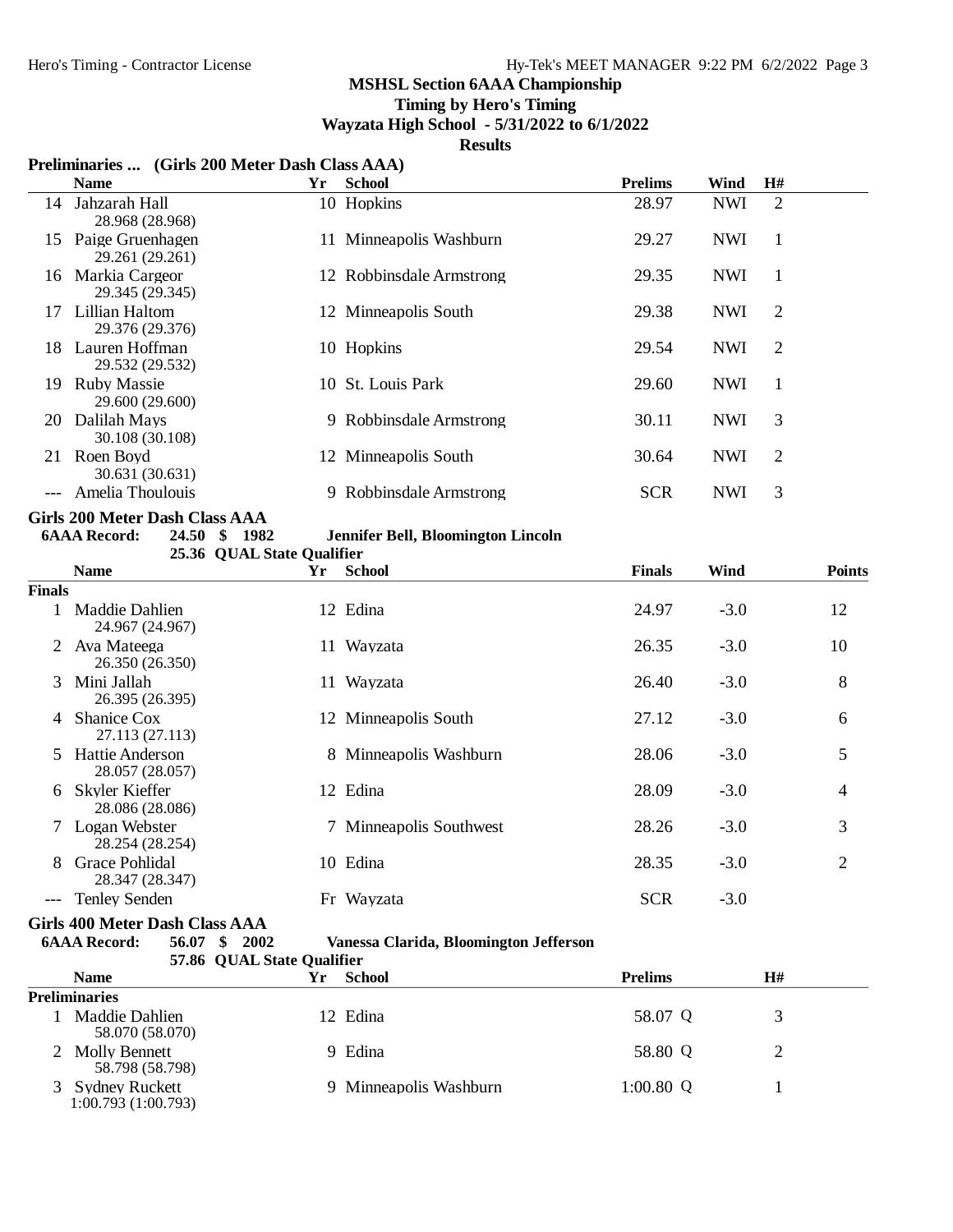## **Timing by Hero's Timing**

**Wayzata High School - 5/31/2022 to 6/1/2022**

**Results**

#### **Preliminaries ... (Girls 200 Meter Dash Class AAA)**

|     | <b>Name</b>                           | Yr | <b>School</b>            | <b>Prelims</b> | Wind       | H#             |  |
|-----|---------------------------------------|----|--------------------------|----------------|------------|----------------|--|
| 14  | Jahzarah Hall<br>28.968 (28.968)      |    | 10 Hopkins               | 28.97          | <b>NWI</b> | 2              |  |
| 15  | Paige Gruenhagen<br>29.261 (29.261)   |    | 11 Minneapolis Washburn  | 29.27          | <b>NWI</b> |                |  |
| 16  | Markia Cargeor<br>29.345 (29.345)     |    | 12 Robbinsdale Armstrong | 29.35          | <b>NWI</b> |                |  |
| 17  | Lillian Haltom<br>29.376 (29.376)     |    | 12 Minneapolis South     | 29.38          | <b>NWI</b> | 2              |  |
| 18. | Lauren Hoffman<br>29.532 (29.532)     |    | 10 Hopkins               | 29.54          | <b>NWI</b> | 2              |  |
| 19  | <b>Ruby Massie</b><br>29.600 (29.600) |    | 10 St. Louis Park        | 29.60          | <b>NWI</b> | 1              |  |
| 20  | Dalilah Mays<br>30.108 (30.108)       |    | 9 Robbinsdale Armstrong  | 30.11          | <b>NWI</b> | 3              |  |
| 21  | Roen Boyd<br>30.631 (30.631)          |    | 12 Minneapolis South     | 30.64          | <b>NWI</b> | $\overline{2}$ |  |
|     | Amelia Thoulouis                      |    | 9 Robbinsdale Armstrong  | <b>SCR</b>     | <b>NWI</b> | 3              |  |
|     | <b>Girls 200 Meter Dash Class AAA</b> |    |                          |                |            |                |  |

## **6AAA Record: 24.50 \$ 1982 Jennifer Bell, Bloomington Lincoln**

**25.36 QUAL State Qualifier** 

|        | <b>Name</b>                              | Yr | <b>School</b>           | <b>Finals</b> | Wind   | <b>Points</b> |
|--------|------------------------------------------|----|-------------------------|---------------|--------|---------------|
| Finals |                                          |    |                         |               |        |               |
|        | Maddie Dahlien<br>24.967 (24.967)        |    | 12 Edina                | 24.97         | $-3.0$ | 12            |
| 2      | Ava Mateega<br>26.350 (26.350)           | 11 | Wayzata                 | 26.35         | $-3.0$ | 10            |
| 3      | Mini Jallah<br>26.395 (26.395)           | 11 | Wayzata                 | 26.40         | $-3.0$ | 8             |
| 4      | <b>Shanice Cox</b><br>27.113 (27.113)    |    | 12 Minneapolis South    | 27.12         | $-3.0$ | 6             |
| 5.     | Hattie Anderson<br>28.057 (28.057)       |    | 8 Minneapolis Washburn  | 28.06         | $-3.0$ | 5             |
| 6      | Skyler Kieffer<br>28.086 (28.086)        |    | 12 Edina                | 28.09         | $-3.0$ | 4             |
|        | Logan Webster<br>28.254 (28.254)         |    | 7 Minneapolis Southwest | 28.26         | $-3.0$ | 3             |
| 8      | <b>Grace Pohlidal</b><br>28.347 (28.347) |    | 10 Edina                | 28.35         | $-3.0$ | 2             |
| $---$  | <b>Tenley Senden</b>                     |    | Fr Wayzata              | <b>SCR</b>    | $-3.0$ |               |

# **Girls 400 Meter Dash Class AAA**<br>**6AAA Record:** 56.07 \$ 2002

## **6AAA Record: 56.07 \$ 2002 Vanessa Clarida, Bloomington Jefferson**

**57.86 QUAL State Qualifier** 

| <b>Name</b>                            | School                 | <b>Prelims</b> | H# |  |
|----------------------------------------|------------------------|----------------|----|--|
| <b>Preliminaries</b>                   |                        |                |    |  |
| Maddie Dahlien<br>58.070 (58.070)      | 12 Edina               | 58.07 Q        |    |  |
| 2 Molly Bennett<br>58.798 (58.798)     | 9 Edina                | 58.80 Q        |    |  |
| 3 Sydney Ruckett<br>1:00.793(1:00.793) | 9 Minneapolis Washburn | $1:00.80$ Q    |    |  |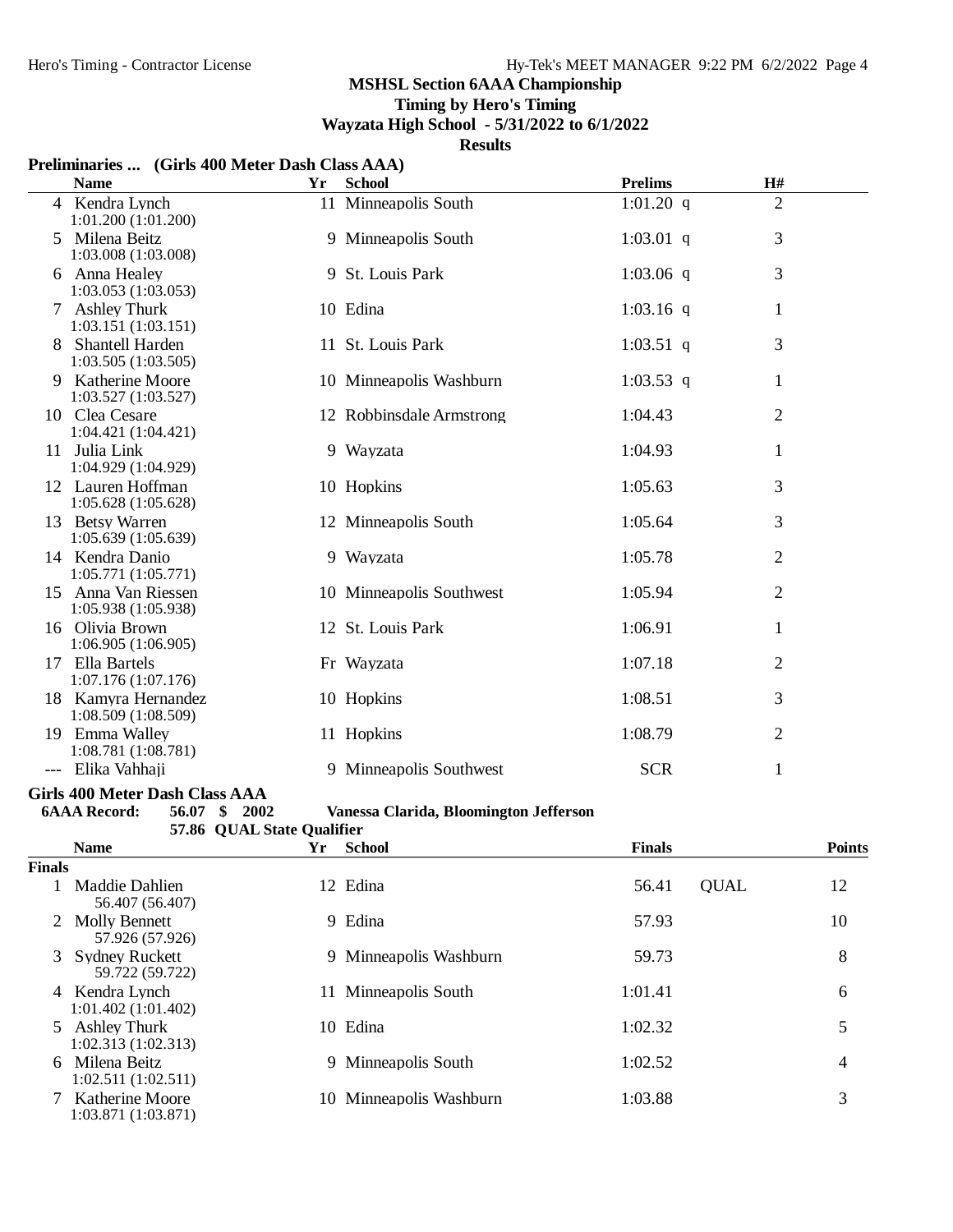**Timing by Hero's Timing**

## **Wayzata High School - 5/31/2022 to 6/1/2022**

**Results**

## **Preliminaries ... (Girls 400 Meter Dash Class AAA)**

|   | <b>Name</b>                                  | Yr | <b>School</b>            | <b>Prelims</b> | H#             |  |
|---|----------------------------------------------|----|--------------------------|----------------|----------------|--|
|   | 4 Kendra Lynch<br>1:01.200 (1:01.200)        |    | 11 Minneapolis South     | $1:01.20$ q    | $\overline{2}$ |  |
| 5 | Milena Beitz<br>1:03.008 (1:03.008)          |    | 9 Minneapolis South      | 1:03.01 q      | 3              |  |
|   | 6 Anna Healey<br>1:03.053(1:03.053)          |    | 9 St. Louis Park         | $1:03.06$ q    | 3              |  |
|   | 7 Ashley Thurk<br>1:03.151(1:03.151)         |    | 10 Edina                 | 1:03.16 q      | $\mathbf{1}$   |  |
| 8 | <b>Shantell Harden</b><br>1:03.505(1:03.505) |    | 11 St. Louis Park        | 1:03.51 q      | 3              |  |
|   | 9 Katherine Moore<br>1:03.527(1:03.527)      |    | 10 Minneapolis Washburn  | $1:03.53$ q    | $\mathbf{1}$   |  |
|   | 10 Clea Cesare<br>1:04.421 (1:04.421)        |    | 12 Robbinsdale Armstrong | 1:04.43        | $\overline{2}$ |  |
|   | 11 Julia Link<br>1:04.929 (1:04.929)         |    | 9 Wayzata                | 1:04.93        | 1              |  |
|   | 12 Lauren Hoffman<br>1:05.628(1:05.628)      |    | 10 Hopkins               | 1:05.63        | 3              |  |
|   | 13 Betsy Warren<br>1:05.639 (1:05.639)       |    | 12 Minneapolis South     | 1:05.64        | 3              |  |
|   | 14 Kendra Danio<br>1:05.771 (1:05.771)       |    | 9 Wayzata                | 1:05.78        | $\overline{2}$ |  |
|   | 15 Anna Van Riessen<br>1:05.938 (1:05.938)   |    | 10 Minneapolis Southwest | 1:05.94        | $\overline{2}$ |  |
|   | 16 Olivia Brown<br>1:06.905(1:06.905)        |    | 12 St. Louis Park        | 1:06.91        | 1              |  |
|   | 17 Ella Bartels<br>1:07.176 (1:07.176)       |    | Fr Wayzata               | 1:07.18        | $\overline{2}$ |  |
|   | 18 Kamyra Hernandez<br>1:08.509 (1:08.509)   |    | 10 Hopkins               | 1:08.51        | 3              |  |
|   | 19 Emma Walley<br>1:08.781 (1:08.781)        |    | 11 Hopkins               | 1:08.79        | $\overline{2}$ |  |
|   | Elika Vahhaji                                |    | 9 Minneapolis Southwest  | <b>SCR</b>     | 1              |  |

## **Girls 400 Meter Dash Class AAA**<br>**6AAA Record:** 56.07 \$ 2002

## **6AAA Record: 56.07 \$ 2002 Vanessa Clarida, Bloomington Jefferson**

57.86 QUAL State Qualifier

|        | <b>Name</b>                                   | Yr | School                 | <b>Finals</b> |             | <b>Points</b> |
|--------|-----------------------------------------------|----|------------------------|---------------|-------------|---------------|
| Finals |                                               |    |                        |               |             |               |
|        | Maddie Dahlien<br>56.407 (56.407)             |    | 12 Edina               | 56.41         | <b>QUAL</b> | 12            |
|        | 2 Molly Bennett<br>57.926 (57.926)            |    | 9 Edina                | 57.93         |             | 10            |
|        | 3 Sydney Ruckett<br>59.722 (59.722)           |    | 9 Minneapolis Washburn | 59.73         |             | 8             |
| 4      | Kendra Lynch<br>1:01.402(1:01.402)            | 11 | Minneapolis South      | 1:01.41       |             | 6             |
|        | 5 Ashley Thurk<br>1:02.313(1:02.313)          |    | 10 Edina               | 1:02.32       |             | 5             |
| 6      | Milena Beitz<br>1:02.511(1:02.511)            |    | 9 Minneapolis South    | 1:02.52       |             | 4             |
|        | <b>Katherine Moore</b><br>1:03.871 (1:03.871) | 10 | Minneapolis Washburn   | 1:03.88       |             | 3             |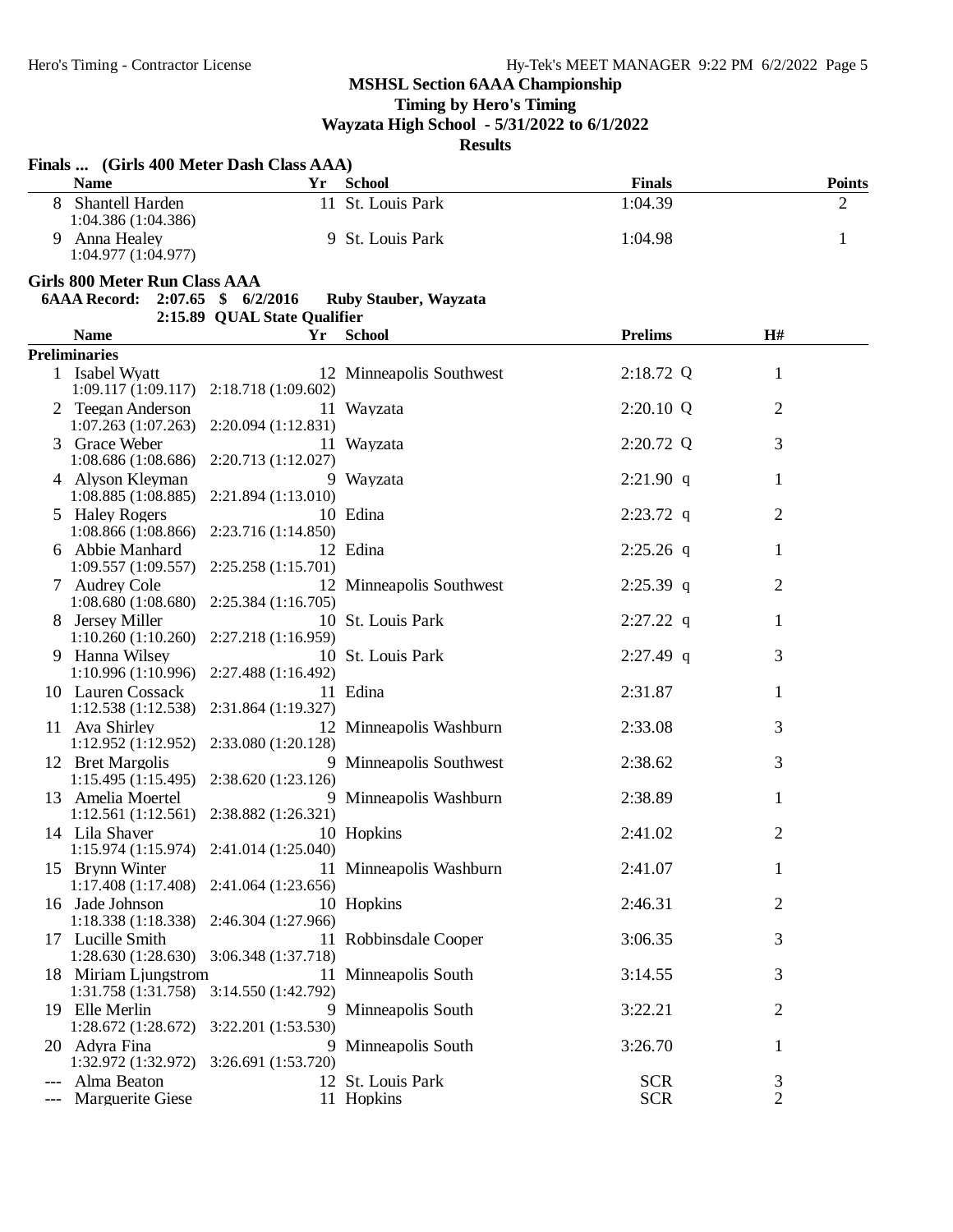**Timing by Hero's Timing**

**Wayzata High School - 5/31/2022 to 6/1/2022**

**Results**

|   |                                                                          | Finals  (Girls 400 Meter Dash Class AAA)  |                              |                          |                     |  |
|---|--------------------------------------------------------------------------|-------------------------------------------|------------------------------|--------------------------|---------------------|--|
|   | <b>Name</b>                                                              |                                           | Yr School                    | <b>Finals</b>            | <b>Points</b>       |  |
|   | 8 Shantell Harden<br>1:04.386 (1:04.386)                                 |                                           | 11 St. Louis Park            | 1:04.39                  | 2                   |  |
| 9 | Anna Healey<br>1:04.977 (1:04.977)                                       |                                           | 9 St. Louis Park             | 1:04.98                  | 1                   |  |
|   | <b>Girls 800 Meter Run Class AAA</b><br>6AAA Record: 2:07.65 \$ 6/2/2016 |                                           | <b>Ruby Stauber, Wayzata</b> |                          |                     |  |
|   | <b>Name</b>                                                              | 2:15.89 QUAL State Qualifier<br>Yr        | <b>School</b>                | <b>Prelims</b>           | H#                  |  |
|   | <b>Preliminaries</b>                                                     |                                           |                              |                          |                     |  |
|   | 1 Isabel Wyatt                                                           | $1:09.117(1:09.117)$ $2:18.718(1:09.602)$ | 12 Minneapolis Southwest     | 2:18.72 Q                | 1                   |  |
|   | 2 Teegan Anderson                                                        | 1:07.263 (1:07.263) 2:20.094 (1:12.831)   | 11 Wayzata                   | $2:20.10$ Q              | 2                   |  |
| 3 | <b>Grace Weber</b><br>1:08.686 (1:08.686)                                | 2:20.713(1:12.027)                        | 11 Wayzata                   | 2:20.72 Q                | 3                   |  |
|   | 4 Alyson Kleyman<br>1:08.885(1:08.885)                                   | 2:21.894(1:13.010)                        | 9 Wayzata                    | $2:21.90$ q              | 1                   |  |
|   | 5 Haley Rogers<br>1:08.866(1:08.866)                                     | 2:23.716 (1:14.850)                       | 10 Edina                     | $2:23.72$ q              | 2                   |  |
|   | 6 Abbie Manhard<br>1:09.557(1:09.557)                                    | 2:25.258 (1:15.701)                       | 12 Edina                     | $2:25.26$ q              | 1                   |  |
|   | 7 Audrey Cole<br>1:08.680(1:08.680)                                      | 2:25.384(1:16.705)                        | 12 Minneapolis Southwest     | $2:25.39$ q              | 2                   |  |
|   | 8 Jersey Miller<br>1:10.260(1:10.260)                                    | 2:27.218 (1:16.959)                       | 10 St. Louis Park            | $2:27.22$ q              | 1                   |  |
|   | 9 Hanna Wilsey<br>1:10.996(1:10.996)                                     | 2:27.488 (1:16.492)                       | 10 St. Louis Park            | $2:27.49$ q              | 3                   |  |
|   | 10 Lauren Cossack<br>1:12.538(1:12.538)                                  | 2:31.864 (1:19.327)                       | 11 Edina                     | 2:31.87                  | 1                   |  |
|   | 11 Ava Shirley<br>1:12.952(1:12.952)                                     | 2:33.080 (1:20.128)                       | 12 Minneapolis Washburn      | 2:33.08                  | 3                   |  |
|   | 12 Bret Margolis<br>1:15.495(1:15.495)                                   | 2:38.620 (1:23.126)                       | 9 Minneapolis Southwest      | 2:38.62                  | 3                   |  |
|   | 13 Amelia Moertel<br>1:12.561(1:12.561)                                  | 2:38.882 (1:26.321)                       | 9 Minneapolis Washburn       | 2:38.89                  | 1                   |  |
|   | 14 Lila Shaver                                                           | $1:15.974(1:15.974)$ $2:41.014(1:25.040)$ | 10 Hopkins                   | 2:41.02                  | 2                   |  |
|   | 15 Brynn Winter                                                          | $1:17.408(1:17.408)$ $2:41.064(1:23.656)$ | 11 Minneapolis Washburn      | 2:41.07                  | 1                   |  |
|   | 16 Jade Johnson                                                          | 1:18.338 (1:18.338) 2:46.304 (1:27.966)   | 10 Hopkins                   | 2:46.31                  | 2                   |  |
|   | 17 Lucille Smith<br>1:28.630(1:28.630)                                   | 3:06.348 (1:37.718)                       | 11 Robbinsdale Cooper        | 3:06.35                  | 3                   |  |
|   | 18 Miriam Ljungstrom<br>1:31.758(1:31.758)                               | 3:14.550 (1:42.792)                       | 11 Minneapolis South         | 3:14.55                  | 3                   |  |
|   | 19 Elle Merlin<br>1:28.672(1:28.672)                                     | 9<br>3:22.201 (1:53.530)                  | Minneapolis South            | 3:22.21                  | $\overline{2}$      |  |
|   | 20 Adyra Fina<br>1:32.972 (1:32.972)                                     | 3:26.691 (1:53.720)                       | 9 Minneapolis South          | 3:26.70                  | 1                   |  |
|   | Alma Beaton                                                              |                                           | 12 St. Louis Park            | <b>SCR</b><br><b>SCR</b> | 3<br>$\overline{2}$ |  |
|   | Marguerite Giese                                                         |                                           | 11 Hopkins                   |                          |                     |  |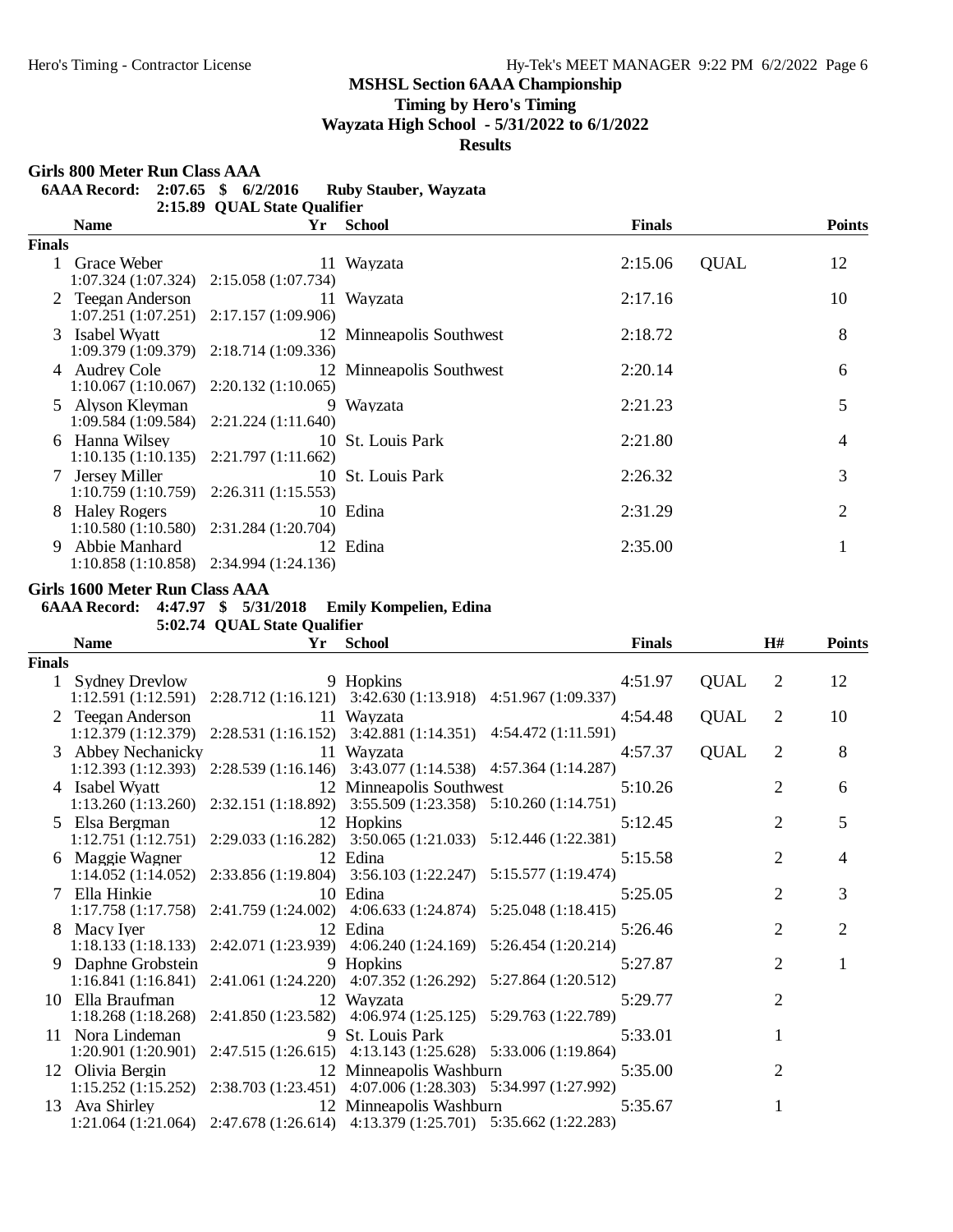## **Timing by Hero's Timing**

**Wayzata High School - 5/31/2022 to 6/1/2022**

**Results**

### **Girls 800 Meter Run Class AAA**

**6AAA Record: 2:07.65 \$ 6/2/2016 Ruby Stauber, Wayzata**

2:15.89 QUAL State Qualifier

|        | <b>Name</b>         | Yr                                        | <b>School</b>            | <b>Finals</b> |             | <b>Points</b>  |
|--------|---------------------|-------------------------------------------|--------------------------|---------------|-------------|----------------|
| Finals |                     |                                           |                          |               |             |                |
|        | Grace Weber         |                                           | 11 Wayzata               | 2:15.06       | <b>QUAL</b> | 12             |
|        |                     | $1:07.324(1:07.324)$ $2:15.058(1:07.734)$ |                          |               |             |                |
|        | 2 Teegan Anderson   |                                           | 11 Wayzata               | 2:17.16       |             | 10             |
|        |                     | $1:07.251(1:07.251)$ $2:17.157(1:09.906)$ |                          |               |             |                |
|        | 3 Isabel Wyatt      |                                           | 12 Minneapolis Southwest | 2:18.72       |             | 8              |
|        |                     | $1:09.379(1:09.379)$ $2:18.714(1:09.336)$ |                          |               |             |                |
|        | 4 Audrey Cole       |                                           | 12 Minneapolis Southwest | 2:20.14       |             | 6              |
|        |                     | $1:10.067(1:10.067)$ $2:20.132(1:10.065)$ |                          |               |             |                |
|        | 5 Alyson Kleyman    |                                           | 9 Wayzata                | 2:21.23       |             | 5              |
|        |                     | $1:09.584(1:09.584)$ $2:21.224(1:11.640)$ |                          |               |             |                |
|        | 6 Hanna Wilsey      |                                           | 10 St. Louis Park        | 2:21.80       |             | 4              |
|        |                     | $1:10.135(1:10.135)$ $2:21.797(1:11.662)$ |                          |               |             |                |
|        | Jersey Miller       |                                           | 10 St. Louis Park        | 2:26.32       |             | 3              |
|        |                     | $1:10.759(1:10.759)$ $2:26.311(1:15.553)$ |                          |               |             |                |
| 8      | <b>Haley Rogers</b> |                                           | 10 Edina                 | 2:31.29       |             | $\overline{2}$ |
|        |                     | $1:10.580(1:10.580)$ $2:31.284(1:20.704)$ |                          |               |             |                |
| 9      | Abbie Manhard       |                                           | 12 Edina                 | 2:35.00       |             |                |
|        |                     | $1:10.858(1:10.858)$ $2:34.994(1:24.136)$ |                          |               |             |                |

#### **Girls 1600 Meter Run Class AAA**

**5:02.74 QUAL State Qualifier** 

|               | <b>Name</b>        | Yr | <b>School</b>                                                                                                               | <b>Finals</b> |             | H#             | <b>Points</b>  |
|---------------|--------------------|----|-----------------------------------------------------------------------------------------------------------------------------|---------------|-------------|----------------|----------------|
| <b>Finals</b> |                    |    |                                                                                                                             |               |             |                |                |
| $\mathbf{1}$  | Sydney Drevlow     |    | 9 Hopkins<br>1:12.591 (1:12.591) 2:28.712 (1:16.121) 3:42.630 (1:13.918) 4:51.967 (1:09.337)                                | 4:51.97       | <b>QUAL</b> | 2              | 12             |
|               | 2 Teegan Anderson  |    | 11 Wayzata<br>1:12.379 (1:12.379) 2:28.531 (1:16.152) 3:42.881 (1:14.351) 4:54.472 (1:11.591)                               | 4:54.48       | <b>QUAL</b> | 2              | 10             |
|               | 3 Abbey Nechanicky |    | 11 Wayzata<br>1:12.393 (1:12.393) 2:28.539 (1:16.146) 3:43.077 (1:14.538) 4:57.364 (1:14.287)                               | 4:57.37       | <b>QUAL</b> | 2              | 8              |
|               | 4 Isabel Wyatt     |    | 12 Minneapolis Southwest<br>$1:13.260$ $(1:13.260)$ $2:32.151$ $(1:18.892)$ $3:55.509$ $(1:23.358)$ $5:10.260$ $(1:14.751)$ | 5:10.26       |             | $\overline{2}$ | 6              |
|               | 5 Elsa Bergman     |    | 12 Hopkins<br>$1:12.751(1:12.751)$ $2:29.033(1:16.282)$ $3:50.065(1:21.033)$ $5:12.446(1:22.381)$                           | 5:12.45       |             | $\overline{2}$ | 5              |
|               | 6 Maggie Wagner    |    | 12 Edina<br>$1:14.052$ $(1:14.052)$ $2:33.856$ $(1:19.804)$ $3:56.103$ $(1:22.247)$ $5:15.577$ $(1:19.474)$                 | 5:15.58       |             | $\overline{2}$ | 4              |
|               | 7 Ella Hinkie      |    | 10 Edina<br>1:17.758 (1:17.758) 2:41.759 (1:24.002) 4:06.633 (1:24.874) 5:25.048 (1:18.415)                                 | 5:25.05       |             | $\overline{2}$ | 3              |
|               | 8 Macy Iver        |    | 12 Edina<br>1:18.133 (1:18.133) 2:42.071 (1:23.939) 4:06.240 (1:24.169) 5:26.454 (1:20.214)                                 | 5:26.46       |             | $\overline{2}$ | $\overline{2}$ |
|               | 9 Daphne Grobstein |    | 9 Hopkins<br>1:16.841 (1:16.841) 2:41.061 (1:24.220) 4:07.352 (1:26.292) 5:27.864 (1:20.512)                                | 5:27.87       |             | $\overline{2}$ | 1              |
|               | 10 Ella Braufman   |    | 12 Wavzata<br>1:18.268 (1:18.268) 2:41.850 (1:23.582) 4:06.974 (1:25.125) 5:29.763 (1:22.789)                               | 5:29.77       |             | $\overline{2}$ |                |
|               | 11 Nora Lindeman   |    | 9 St. Louis Park<br>$1:20.901$ $(1:20.901)$ $2:47.515$ $(1:26.615)$ $4:13.143$ $(1:25.628)$ $5:33.006$ $(1:19.864)$         | 5:33.01       |             |                |                |
|               | 12 Olivia Bergin   |    | 12 Minneapolis Washburn<br>1:15.252 (1:15.252) 2:38.703 (1:23.451) 4:07.006 (1:28.303) 5:34.997 (1:27.992)                  | 5:35.00       |             | 2              |                |
|               | 13 Ava Shirley     |    | 12 Minneapolis Washburn<br>1:21.064 (1:21.064) 2:47.678 (1:26.614) 4:13.379 (1:25.701) 5:35.662 (1:22.283)                  | 5:35.67       |             | $\mathbf{1}$   |                |

**<sup>6</sup>AAA Record: 4:47.97 \$ 5/31/2018 Emily Kompelien, Edina**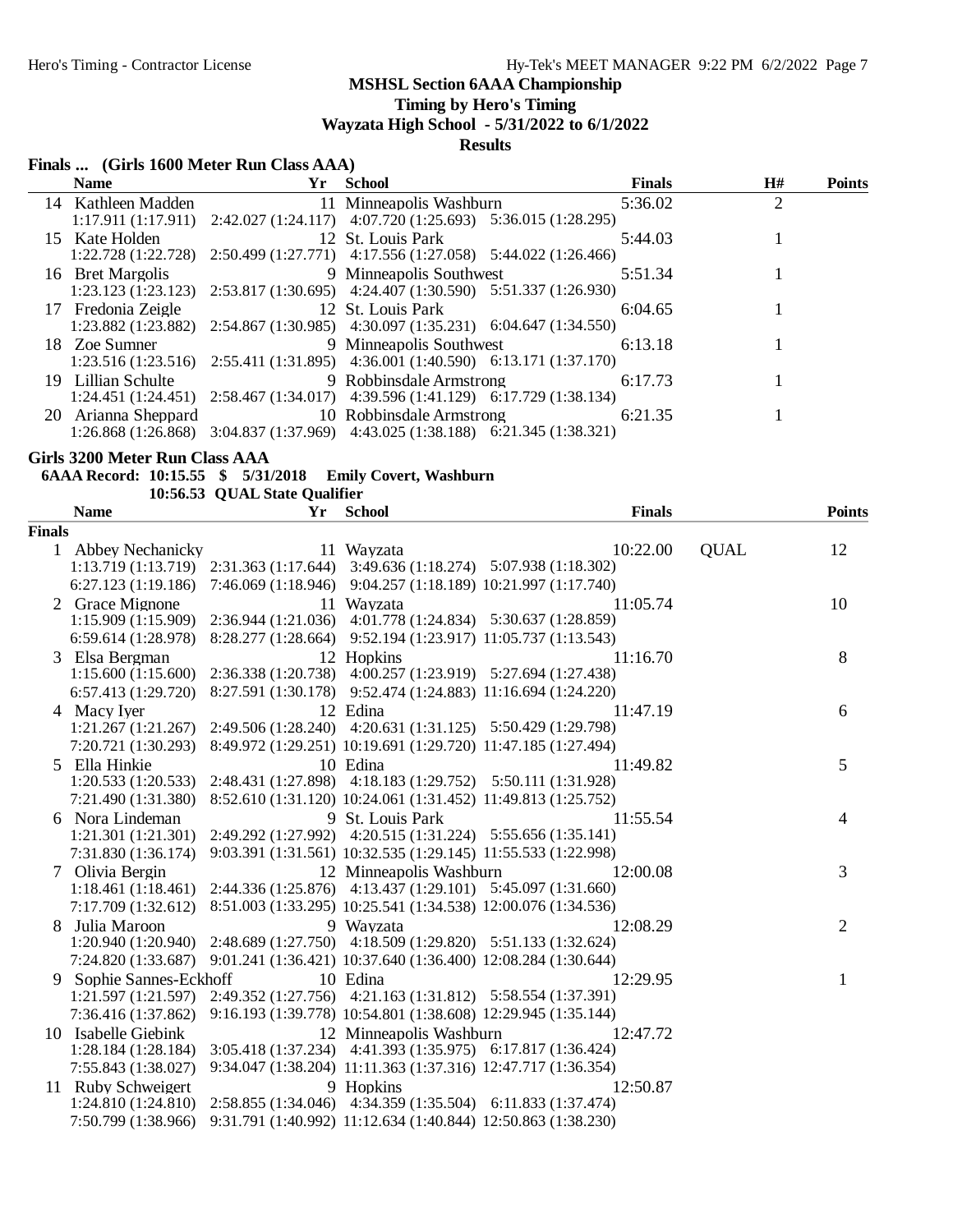**Timing by Hero's Timing**

**Wayzata High School - 5/31/2022 to 6/1/2022**

**Results**

## **Finals ... (Girls 1600 Meter Run Class AAA)**

|    | <b>Name</b>    | Yr School                                                                                       | <b>Finals</b> | H#             | <b>Points</b> |
|----|----------------|-------------------------------------------------------------------------------------------------|---------------|----------------|---------------|
|    |                | 14 Kathleen Madden 11 Minneapolis Washburn                                                      | 5:36.02       | $\overline{2}$ |               |
|    |                | $1:17.911 (1:17.911)$ $2:42.027 (1:24.117)$ $4:07.720 (1:25.693)$ $5:36.015 (1:28.295)$         |               |                |               |
|    | 15 Kate Holden | 12 St. Louis Park                                                                               | 5:44.03       |                |               |
|    |                | 1:22.728 (1:22.728) 2:50.499 (1:27.771) 4:17.556 (1:27.058) 5:44.022 (1:26.466)                 |               |                |               |
|    |                | 16 Bret Margolis (3.51.34) 9 Minneapolis Southwest 5:51.34                                      |               |                |               |
|    |                | $1:23.123$ $(1:23.123)$ $2:53.817$ $(1:30.695)$ $4:24.407$ $(1:30.590)$ $5:51.337$ $(1:26.930)$ |               |                |               |
|    |                | 17 Fredonia Zeigle 12 St. Louis Park                                                            | 6:04.65       |                |               |
|    |                | $1:23.882 (1:23.882)$ $2:54.867 (1:30.985)$ $4:30.097 (1:35.231)$ $6:04.647 (1:34.550)$         |               |                |               |
|    |                | 18 Zoe Sumner 9 Minneapolis Southwest 6:13.18                                                   |               |                |               |
|    |                | 1:23.516 (1:23.516) 2:55.411 (1:31.895) 4:36.001 (1:40.590) 6:13.171 (1:37.170)                 |               |                |               |
|    |                | 19 Lillian Schulte 9 Robbinsdale Armstrong 6:17.73                                              |               |                |               |
|    |                | $1:24.451 (1:24.451)$ $2:58.467 (1:34.017)$ $4:39.596 (1:41.129)$ $6:17.729 (1:38.134)$         |               |                |               |
| 20 |                | Arianna Sheppard 10 Robbinsdale Armstrong 6:21.35                                               |               |                |               |
|    |                | 1:26.868 (1:26.868) 3:04.837 (1:37.969) 4:43.025 (1:38.188) 6:21.345 (1:38.321)                 |               |                |               |

## **Girls 3200 Meter Run Class AAA**

| 6AAA Record: 10:15.55 \$ 5/31/2018 Emily Covert, Washburn |  |  |  |
|-----------------------------------------------------------|--|--|--|
|                                                           |  |  |  |

|               |                         | 10:56.53 QUAL State Qualifier |                                                                                 |                                                               |             |                |
|---------------|-------------------------|-------------------------------|---------------------------------------------------------------------------------|---------------------------------------------------------------|-------------|----------------|
|               | <b>Name</b>             | Yr                            | <b>School</b>                                                                   | <b>Finals</b>                                                 |             | <b>Points</b>  |
| <b>Finals</b> |                         |                               |                                                                                 |                                                               |             |                |
|               | 1 Abbey Nechanicky      |                               | 11 Wayzata                                                                      | 10:22.00                                                      | <b>QUAL</b> | 12             |
|               | 1:13.719(1:13.719)      |                               | 2:31.363 (1:17.644) 3:49.636 (1:18.274) 5:07.938 (1:18.302)                     |                                                               |             |                |
|               | 6:27.123(1:19.186)      |                               |                                                                                 | 7:46.069 (1:18.946) 9:04.257 (1:18.189) 10:21.997 (1:17.740)  |             |                |
|               | 2 Grace Mignone         |                               | 11 Wayzata                                                                      | 11:05.74                                                      |             | 10             |
|               | 1:15.909(1:15.909)      |                               |                                                                                 | 2:36.944 (1:21.036) 4:01.778 (1:24.834) 5:30.637 (1:28.859)   |             |                |
|               | 6:59.614(1:28.978)      |                               |                                                                                 | 8:28.277 (1:28.664) 9:52.194 (1:23.917) 11:05.737 (1:13.543)  |             |                |
|               | 3 Elsa Bergman          |                               | 12 Hopkins                                                                      | 11:16.70                                                      |             | 8              |
|               | 1:15.600(1:15.600)      |                               | 2:36.338 (1:20.738) 4:00.257 (1:23.919) 5:27.694 (1:27.438)                     |                                                               |             |                |
|               | 6:57.413(1:29.720)      |                               |                                                                                 | 8:27.591 (1:30.178) 9:52.474 (1:24.883) 11:16.694 (1:24.220)  |             |                |
|               | 4 Macy Iver             |                               | 12 Edina                                                                        | 11:47.19                                                      |             | 6              |
|               | 1:21.267(1:21.267)      |                               |                                                                                 | 2:49.506 (1:28.240) 4:20.631 (1:31.125) 5:50.429 (1:29.798)   |             |                |
|               | 7:20.721 (1:30.293)     |                               |                                                                                 | 8:49.972 (1:29.251) 10:19.691 (1:29.720) 11:47.185 (1:27.494) |             |                |
|               | 5 Ella Hinkie           |                               | 10 Edina                                                                        | 11:49.82                                                      |             | 5              |
|               | 1:20.533(1:20.533)      |                               |                                                                                 | 2:48.431 (1:27.898) 4:18.183 (1:29.752) 5:50.111 (1:31.928)   |             |                |
|               | 7:21.490 (1:31.380)     |                               |                                                                                 | 8:52.610 (1:31.120) 10:24.061 (1:31.452) 11:49.813 (1:25.752) |             |                |
|               | 6 Nora Lindeman         |                               | 9 St. Louis Park                                                                | 11:55.54                                                      |             | 4              |
|               | 1:21.301(1:21.301)      |                               | 2:49.292 (1:27.992) 4:20.515 (1:31.224) 5:55.656 (1:35.141)                     |                                                               |             |                |
|               | 7:31.830(1:36.174)      |                               |                                                                                 | 9:03.391 (1:31.561) 10:32.535 (1:29.145) 11:55.533 (1:22.998) |             |                |
|               | 7 Olivia Bergin         |                               | 12 Minneapolis Washburn                                                         | 12:00.08                                                      |             | 3              |
|               | 1:18.461(1:18.461)      |                               |                                                                                 | 2:44.336 (1:25.876) 4:13.437 (1:29.101) 5:45.097 (1:31.660)   |             |                |
|               | 7:17.709(1:32.612)      |                               |                                                                                 | 8:51.003 (1:33.295) 10:25.541 (1:34.538) 12:00.076 (1:34.536) |             |                |
|               | 8 Julia Maroon          |                               | 9 Wayzata                                                                       | 12:08.29                                                      |             | $\overline{2}$ |
|               | 1:20.940 (1:20.940)     |                               |                                                                                 | 2:48.689 (1:27.750) 4:18.509 (1:29.820) 5:51.133 (1:32.624)   |             |                |
|               | 7:24.820 (1:33.687)     |                               |                                                                                 | 9:01.241 (1:36.421) 10:37.640 (1:36.400) 12:08.284 (1:30.644) |             |                |
|               | 9 Sophie Sannes-Eckhoff |                               | 10 Edina                                                                        | 12:29.95                                                      |             | $\mathbf{1}$   |
|               | 1:21.597(1:21.597)      |                               |                                                                                 | 2:49.352 (1:27.756) 4:21.163 (1:31.812) 5:58.554 (1:37.391)   |             |                |
|               | 7:36.416 (1:37.862)     |                               |                                                                                 | 9:16.193 (1:39.778) 10:54.801 (1:38.608) 12:29.945 (1:35.144) |             |                |
|               | 10 Isabelle Giebink     |                               | 12 Minneapolis Washburn                                                         | 12:47.72                                                      |             |                |
|               | 1:28.184(1:28.184)      |                               |                                                                                 | 3:05.418 (1:37.234) 4:41.393 (1:35.975) 6:17.817 (1:36.424)   |             |                |
|               | 7:55.843 (1:38.027)     |                               |                                                                                 | 9:34.047 (1:38.204) 11:11.363 (1:37.316) 12:47.717 (1:36.354) |             |                |
|               | 11 Ruby Schweigert      |                               | 9 Hopkins                                                                       | 12:50.87                                                      |             |                |
|               |                         |                               | 1:24.810 (1:24.810) 2:58.855 (1:34.046) 4:34.359 (1:35.504) 6:11.833 (1:37.474) |                                                               |             |                |
|               | 7:50.799 (1:38.966)     |                               |                                                                                 | 9:31.791 (1:40.992) 11:12.634 (1:40.844) 12:50.863 (1:38.230) |             |                |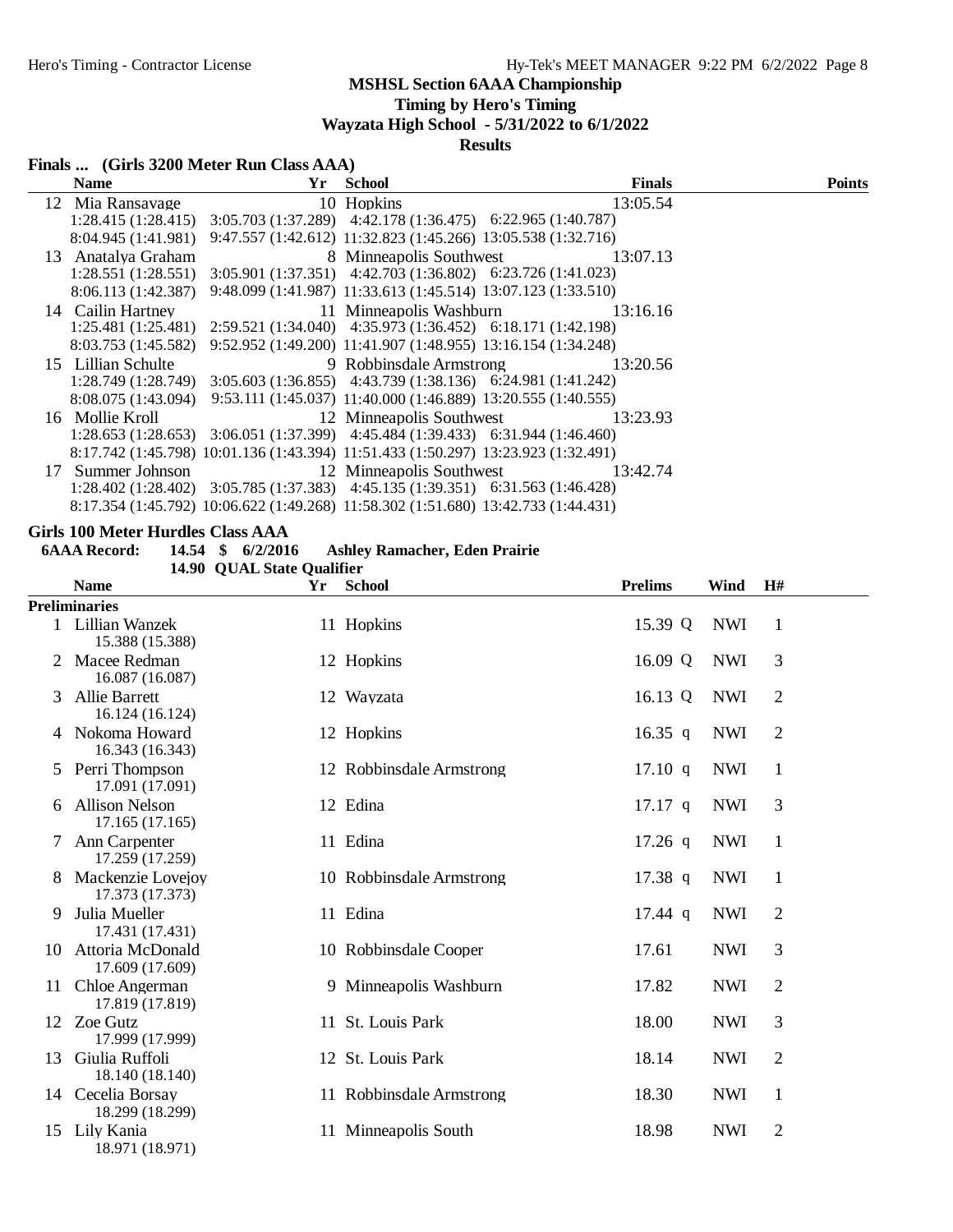**Timing by Hero's Timing**

## **Wayzata High School - 5/31/2022 to 6/1/2022**

**Results**

## **Finals ... (Girls 3200 Meter Run Class AAA)**

|    | <b>Name</b>        | Yr School                                                                               | <b>Finals</b>                     | <b>Points</b> |
|----|--------------------|-----------------------------------------------------------------------------------------|-----------------------------------|---------------|
|    | 12 Mia Ransavage   | 10 Hopkins                                                                              | 13:05.54                          |               |
|    |                    | 1:28.415 (1:28.415) 3:05.703 (1:37.289) 4:42.178 (1:36.475) 6:22.965 (1:40.787)         |                                   |               |
|    |                    | 8:04.945 (1:41.981) 9:47.557 (1:42.612) 11:32.823 (1:45.266) 13:05.538 (1:32.716)       |                                   |               |
|    | 13 Anatalya Graham | 8 Minneapolis Southwest                                                                 | 13:07.13                          |               |
|    |                    | $1:28.551(1:28.551)$ $3:05.901(1:37.351)$ $4:42.703(1:36.802)$ $6:23.726(1:41.023)$     |                                   |               |
|    |                    | 8:06.113 (1:42.387) 9:48.099 (1:41.987) 11:33.613 (1:45.514) 13:07.123 (1:33.510)       |                                   |               |
|    | 14 Cailin Hartney  | 11 Minneapolis Washburn                                                                 | 13:16.16                          |               |
|    |                    | 1:25.481 (1:25.481) 2:59.521 (1:34.040) 4:35.973 (1:36.452) 6:18.171 (1:42.198)         |                                   |               |
|    |                    | 8:03.753 (1:45.582) 9:52.952 (1:49.200) 11:41.907 (1:48.955) 13:16.154 (1:34.248)       |                                   |               |
|    | 15 Lillian Schulte | 9 Robbinsdale Armstrong                                                                 | 13:20.56                          |               |
|    |                    | 1:28.749 (1:28.749) 3:05.603 (1:36.855) 4:43.739 (1:38.136) 6:24.981 (1:41.242)         |                                   |               |
|    |                    | 8:08.075 (1:43.094) 9:53.111 (1:45.037) 11:40.000 (1:46.889) 13:20.555 (1:40.555)       |                                   |               |
|    | 16 Mollie Kroll    |                                                                                         | 12 Minneapolis Southwest 13:23.93 |               |
|    |                    | $1:28.653(1:28.653)$ $3:06.051(1:37.399)$ $4:45.484(1:39.433)$ $6:31.944(1:46.460)$     |                                   |               |
|    |                    | 8:17.742 (1:45.798) 10:01.136 (1:43.394) 11:51.433 (1:50.297) 13:23.923 (1:32.491)      |                                   |               |
| 17 | Summer Johnson     | 12 Minneapolis Southwest                                                                | 13:42.74                          |               |
|    |                    | $1:28.402$ (1:28.402) $3:05.785$ (1:37.383) $4:45.135$ (1:39.351) $6:31.563$ (1:46.428) |                                   |               |
|    |                    | 8:17.354 (1:45.792) 10:06.622 (1:49.268) 11:58.302 (1:51.680) 13:42.733 (1:44.431)      |                                   |               |

# **Girls 100 Meter Hurdles Class AAA**<br>**6AAA Record:** 14.54 \$ 6/2/2016

**6AAA Record: 14.54 \$ 6/2/2016 Ashley Ramacher, Eden Prairie**

**14.90 QUAL State Qualifier** 

|    | <b>Name</b>                              | Yr | <b>School</b>            | <b>Prelims</b>    | Wind       | H#             |  |
|----|------------------------------------------|----|--------------------------|-------------------|------------|----------------|--|
|    | <b>Preliminaries</b>                     |    |                          |                   |            |                |  |
|    | 1 Lillian Wanzek<br>15.388 (15.388)      |    | 11 Hopkins               | 15.39 Q           | <b>NWI</b> | -1             |  |
| 2  | Macee Redman<br>16.087 (16.087)          |    | 12 Hopkins               | 16.09 Q           | <b>NWI</b> | 3              |  |
| 3  | <b>Allie Barrett</b><br>16.124 (16.124)  |    | 12 Wayzata               | 16.13 Q           | <b>NWI</b> | $\overline{2}$ |  |
| 4  | Nokoma Howard<br>16.343 (16.343)         |    | 12 Hopkins               | 16.35 q           | <b>NWI</b> | $\overline{2}$ |  |
| 5. | Perri Thompson<br>17.091 (17.091)        |    | 12 Robbinsdale Armstrong | $17.10 \text{ q}$ | <b>NWI</b> | $\mathbf{1}$   |  |
| 6  | <b>Allison Nelson</b><br>17.165 (17.165) |    | 12 Edina                 | $17.17$ q         | <b>NWI</b> | 3              |  |
| 7  | Ann Carpenter<br>17.259 (17.259)         |    | 11 Edina                 | $17.26$ q         | <b>NWI</b> | $\mathbf{1}$   |  |
| 8  | Mackenzie Lovejoy<br>17.373 (17.373)     |    | 10 Robbinsdale Armstrong | $17.38$ q         | <b>NWI</b> | $\mathbf{1}$   |  |
| 9  | Julia Mueller<br>17.431 (17.431)         |    | 11 Edina                 | $17.44 \text{ q}$ | <b>NWI</b> | $\overline{2}$ |  |
| 10 | Attoria McDonald<br>17.609 (17.609)      |    | 10 Robbinsdale Cooper    | 17.61             | <b>NWI</b> | 3              |  |
| 11 | Chloe Angerman<br>17.819 (17.819)        |    | 9 Minneapolis Washburn   | 17.82             | <b>NWI</b> | $\overline{2}$ |  |
| 12 | Zoe Gutz<br>17.999 (17.999)              |    | 11 St. Louis Park        | 18.00             | <b>NWI</b> | 3              |  |
| 13 | Giulia Ruffoli<br>18.140 (18.140)        |    | 12 St. Louis Park        | 18.14             | <b>NWI</b> | $\overline{2}$ |  |
| 14 | Cecelia Borsay<br>18.299 (18.299)        |    | 11 Robbinsdale Armstrong | 18.30             | <b>NWI</b> | $\mathbf{1}$   |  |
| 15 | Lily Kania<br>18.971 (18.971)            |    | 11 Minneapolis South     | 18.98             | <b>NWI</b> | $\overline{2}$ |  |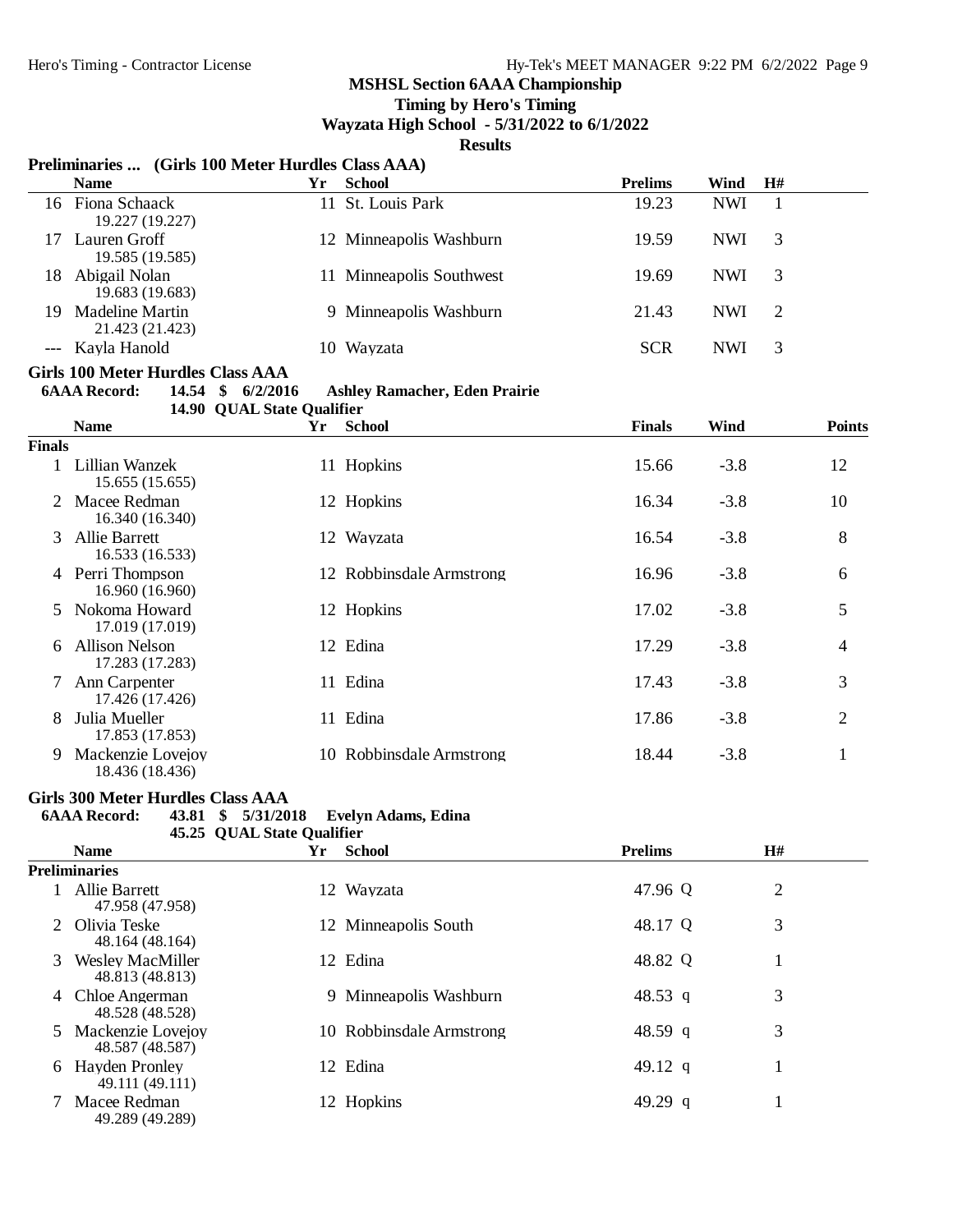**Timing by Hero's Timing**

**Wayzata High School - 5/31/2022 to 6/1/2022**

#### **Results**

|               | Preliminaries  (Girls 100 Meter Hurdles Class AAA)<br><b>Name</b>                                                                                                                                                                                      | Yr                                              | <b>School</b>                        | <b>Prelims</b> | Wind       | H#             |        |
|---------------|--------------------------------------------------------------------------------------------------------------------------------------------------------------------------------------------------------------------------------------------------------|-------------------------------------------------|--------------------------------------|----------------|------------|----------------|--------|
|               | 16 Fiona Schaack<br>19.227 (19.227)                                                                                                                                                                                                                    |                                                 | 11 St. Louis Park                    | 19.23          | <b>NWI</b> | 1              |        |
|               | 17 Lauren Groff<br>19.585 (19.585)                                                                                                                                                                                                                     |                                                 | 12 Minneapolis Washburn              | 19.59          | <b>NWI</b> | 3              |        |
|               | 18 Abigail Nolan<br>19.683 (19.683)                                                                                                                                                                                                                    |                                                 | 11 Minneapolis Southwest             | 19.69          | <b>NWI</b> | 3              |        |
| 19.           | <b>Madeline Martin</b><br>21.423 (21.423)                                                                                                                                                                                                              |                                                 | 9 Minneapolis Washburn               | 21.43          | <b>NWI</b> | $\overline{2}$ |        |
|               | --- Kayla Hanold                                                                                                                                                                                                                                       |                                                 | 10 Wayzata                           | <b>SCR</b>     | <b>NWI</b> | 3              |        |
|               | <b>Girls 100 Meter Hurdles Class AAA</b><br><b>6AAA Record:</b>                                                                                                                                                                                        | 14.54 \$ 6/2/2016<br>14.90 QUAL State Qualifier | <b>Ashley Ramacher, Eden Prairie</b> |                |            |                |        |
|               | <b>Name</b>                                                                                                                                                                                                                                            | Yr                                              | <b>School</b>                        | <b>Finals</b>  | Wind       |                | Points |
| <b>Finals</b> |                                                                                                                                                                                                                                                        |                                                 |                                      |                |            |                |        |
|               | 1 Lillian Wanzek<br>15.655 (15.655)                                                                                                                                                                                                                    |                                                 | 11 Hopkins                           | 15.66          | $-3.8$     |                | 12     |
|               | 2 Macee Redman<br>16.340 (16.340)                                                                                                                                                                                                                      |                                                 | 12 Hopkins                           | 16.34          | $-3.8$     |                | 10     |
|               | 3 Allie Barrett<br>16.533 (16.533)                                                                                                                                                                                                                     |                                                 | 12 Wayzata                           | 16.54          | $-3.8$     |                | 8      |
|               | 4 Perri Thompson<br>16.960 (16.960)                                                                                                                                                                                                                    |                                                 | 12 Robbinsdale Armstrong             | 16.96          | $-3.8$     |                | 6      |
|               | 5 Nokoma Howard<br>17.019 (17.019)                                                                                                                                                                                                                     |                                                 | 12 Hopkins                           | 17.02          | $-3.8$     |                | 5      |
|               | 6 Allison Nelson<br>17.283 (17.283)                                                                                                                                                                                                                    |                                                 | 12 Edina                             | 17.29          | $-3.8$     |                | 4      |
|               | 7 Ann Carpenter<br>17.426 (17.426)                                                                                                                                                                                                                     |                                                 | 11 Edina                             | 17.43          | $-3.8$     |                | 3      |
| 8             | Julia Mueller<br>17.853 (17.853)                                                                                                                                                                                                                       |                                                 | 11 Edina                             | 17.86          | $-3.8$     |                | 2      |
|               | 9 Mackenzie Lovejov<br>18.436 (18.436)                                                                                                                                                                                                                 |                                                 | 10 Robbinsdale Armstrong             | 18.44          | $-3.8$     |                | 1      |
|               | <b>Girls 300 Meter Hurdles Class AAA</b><br>43.81 \$ 5/31/2018<br><b>6AAA Record:</b><br><b>Evelyn Adams, Edina</b><br>$\overline{AB}$ $\overline{AB}$ $\overline{AB}$ $\overline{AB}$ $\overline{BC}$ $\overline{BC}$ $\overline{BC}$ $\overline{BC}$ |                                                 |                                      |                |            |                |        |

**45.25 QUAL State Qualifier** 

|   | <b>Name</b>                                | Yr | <b>School</b>            | <b>Prelims</b> | H# |  |
|---|--------------------------------------------|----|--------------------------|----------------|----|--|
|   | <b>Preliminaries</b>                       |    |                          |                |    |  |
|   | Allie Barrett<br>47.958 (47.958)           |    | 12 Wayzata               | 47.96 Q        | 2  |  |
|   | 2 Olivia Teske<br>48.164 (48.164)          |    | 12 Minneapolis South     | 48.17 Q        | 3  |  |
| 3 | <b>Wesley MacMiller</b><br>48.813 (48.813) |    | 12 Edina                 | 48.82 Q        |    |  |
|   | 4 Chloe Angerman<br>48.528 (48.528)        |    | 9 Minneapolis Washburn   | 48.53 q        | 3  |  |
|   | 5 Mackenzie Lovejoy<br>48.587 (48.587)     |    | 10 Robbinsdale Armstrong | 48.59 q        | 3  |  |
| 6 | <b>Hayden Pronley</b><br>49.111 (49.111)   |    | 12 Edina                 | 49.12 q        |    |  |
|   | Macee Redman<br>49.289 (49.289)            |    | 12 Hopkins               | 49.29 q        |    |  |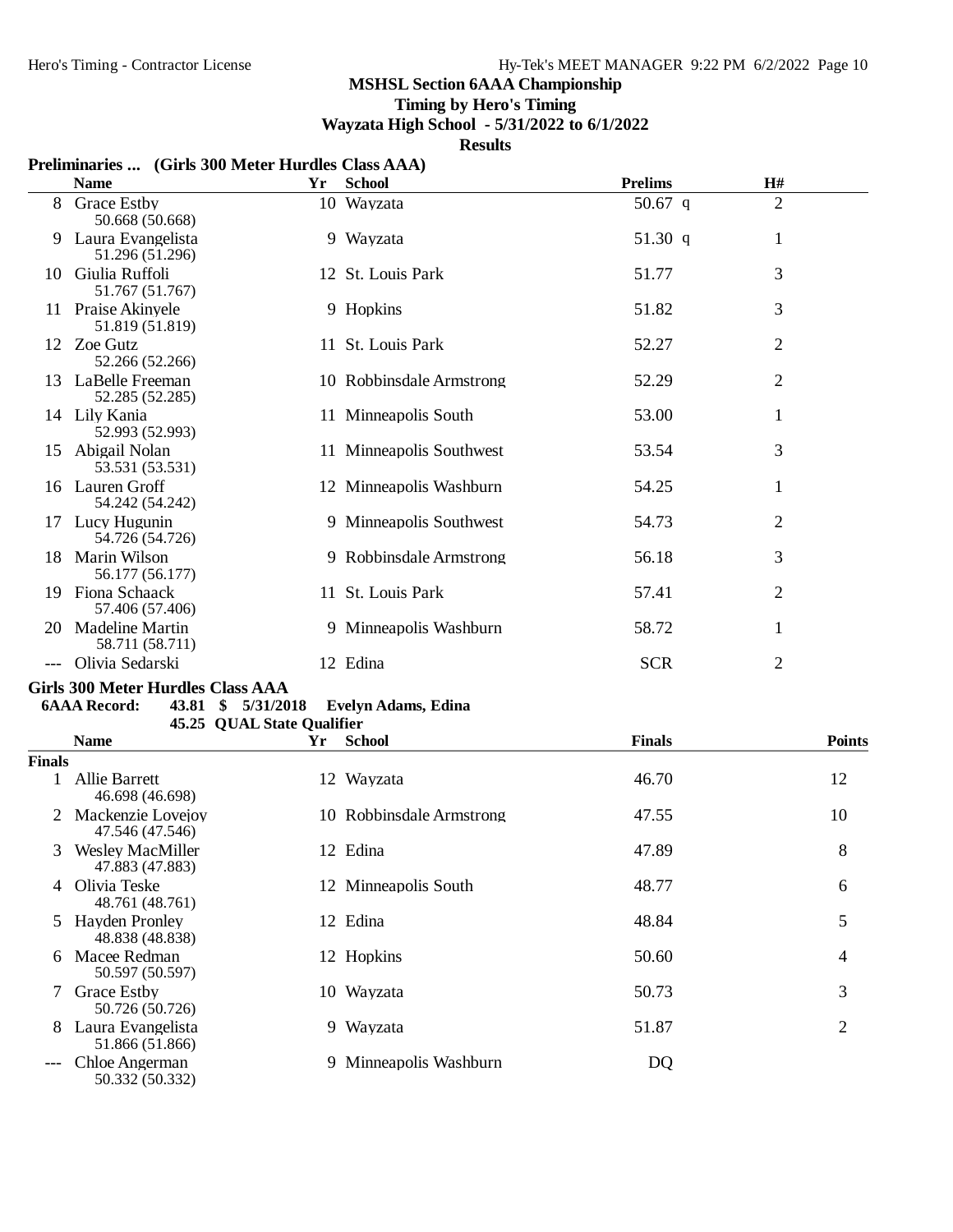**Timing by Hero's Timing**

**Wayzata High School - 5/31/2022 to 6/1/2022**

**Results**

## Preliminaries ... (Girls 300 Meter Hurdles Class AAA)

|    | <b>Name</b>                               | Yr | <b>School</b>            | <b>Prelims</b> | H#             |  |
|----|-------------------------------------------|----|--------------------------|----------------|----------------|--|
| 8  | Grace Estby<br>50.668 (50.668)            |    | 10 Wayzata               | 50.67 q        | $\mathfrak{2}$ |  |
| 9  | Laura Evangelista<br>51.296 (51.296)      |    | 9 Wayzata                | 51.30 q        | 1              |  |
| 10 | Giulia Ruffoli<br>51.767 (51.767)         |    | 12 St. Louis Park        | 51.77          | 3              |  |
| 11 | Praise Akinyele<br>51.819 (51.819)        |    | 9 Hopkins                | 51.82          | 3              |  |
| 12 | Zoe Gutz<br>52.266 (52.266)               |    | 11 St. Louis Park        | 52.27          | 2              |  |
| 13 | LaBelle Freeman<br>52.285 (52.285)        |    | 10 Robbinsdale Armstrong | 52.29          | 2              |  |
|    | 14 Lily Kania<br>52.993 (52.993)          |    | 11 Minneapolis South     | 53.00          | 1              |  |
| 15 | Abigail Nolan<br>53.531 (53.531)          |    | 11 Minneapolis Southwest | 53.54          | 3              |  |
| 16 | Lauren Groff<br>54.242 (54.242)           |    | 12 Minneapolis Washburn  | 54.25          | 1              |  |
| 17 | Lucy Hugunin<br>54.726 (54.726)           |    | 9 Minneapolis Southwest  | 54.73          | 2              |  |
| 18 | Marin Wilson<br>56.177 (56.177)           |    | 9 Robbinsdale Armstrong  | 56.18          | 3              |  |
| 19 | Fiona Schaack<br>57.406 (57.406)          |    | 11 St. Louis Park        | 57.41          | $\overline{2}$ |  |
| 20 | <b>Madeline Martin</b><br>58.711 (58.711) |    | 9 Minneapolis Washburn   | 58.72          | 1              |  |
|    | Olivia Sedarski                           |    | 12 Edina                 | <b>SCR</b>     | $\overline{2}$ |  |

## **Girls 300 Meter Hurdles Class AAA**

## **6AAA Record: 43.81 \$ 5/31/2018 Evelyn Adams, Edina**

**45.25 QUAL State Qualifier**

|               | <b>Name</b>                                | Yr | <b>School</b>            | <b>Finals</b>  | <b>Points</b> |
|---------------|--------------------------------------------|----|--------------------------|----------------|---------------|
| <b>Finals</b> |                                            |    |                          |                |               |
|               | Allie Barrett<br>46.698 (46.698)           |    | 12 Wayzata               | 46.70          | 12            |
| 2             | Mackenzie Lovejoy<br>47.546 (47.546)       |    | 10 Robbinsdale Armstrong | 47.55          | 10            |
| 3             | <b>Wesley MacMiller</b><br>47.883 (47.883) |    | 12 Edina                 | 47.89          | 8             |
| 4             | Olivia Teske<br>48.761 (48.761)            |    | 12 Minneapolis South     | 48.77          | 6             |
| 5.            | <b>Hayden Pronley</b><br>48.838 (48.838)   |    | 12 Edina                 | 48.84          | 5             |
| 6.            | Macee Redman<br>50.597 (50.597)            |    | 12 Hopkins               | 50.60          | 4             |
|               | <b>Grace Estby</b><br>50.726 (50.726)      |    | 10 Wavzata               | 50.73          | 3             |
| 8.            | Laura Evangelista<br>51.866 (51.866)       | 9. | Wayzata                  | 51.87          | 2             |
|               | Chloe Angerman<br>50.332 (50.332)          | 9. | Minneapolis Washburn     | D <sub>O</sub> |               |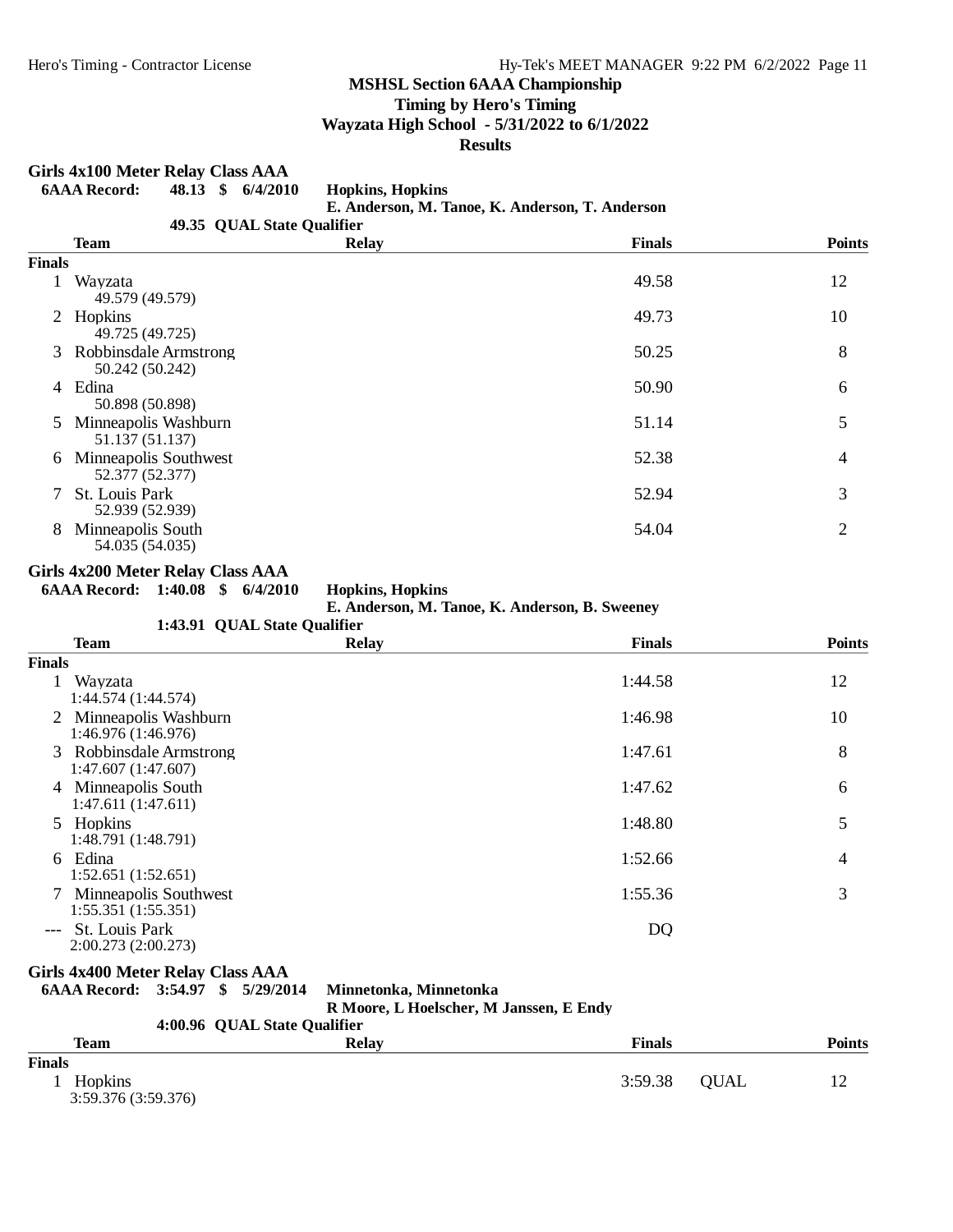**Timing by Hero's Timing**

**Wayzata High School - 5/31/2022 to 6/1/2022**

**Results**

**Girls 4x100 Meter Relay Class AAA**<br>6AAA Record: 48.13 \$ 6/4/201

**6AAA Record: 48.13 \$ 6/4/2010 Hopkins, Hopkins**

**E. Anderson, M. Tanoe, K. Anderson, T. Anderson**

|  | 49.35 QUAL State Qualifier |  |  |  |
|--|----------------------------|--|--|--|
|--|----------------------------|--|--|--|

|                 | <b>Team</b>                                | <b>Relay</b> | <b>Finals</b> | <b>Points</b> |
|-----------------|--------------------------------------------|--------------|---------------|---------------|
| <b>Finals</b>   |                                            |              |               |               |
| 1               | Wayzata<br>49.579 (49.579)                 |              | 49.58         | 12            |
|                 | 2 Hopkins<br>49.725 (49.725)               |              | 49.73         | 10            |
|                 | 3 Robbinsdale Armstrong<br>50.242 (50.242) |              | 50.25         | 8             |
| 4               | Edina<br>50.898 (50.898)                   |              | 50.90         | 6             |
|                 | 5 Minneapolis Washburn<br>51.137 (51.137)  |              | 51.14         | 5             |
| 6               | Minneapolis Southwest<br>52.377 (52.377)   |              | 52.38         | 4             |
| $7\overline{ }$ | St. Louis Park<br>52.939 (52.939)          |              | 52.94         | 3             |
| 8               | Minneapolis South<br>54.035 (54.035)       |              | 54.04         | 2             |

#### **Girls 4x200 Meter Relay Class AAA**

**6AAA Record: 1:40.08 \$ 6/4/2010 Hopkins, Hopkins**

**1:43.91 OUAL State Qualifier** 

**E. Anderson, M. Tanoe, K. Anderson, B. Sweeney**

|               | <b>Team</b>                                    | <b>Relay</b>                                                      | <b>Finals</b> |             | <b>Points</b> |
|---------------|------------------------------------------------|-------------------------------------------------------------------|---------------|-------------|---------------|
| <b>Finals</b> |                                                |                                                                   |               |             |               |
|               | Wayzata<br>1:44.574 (1:44.574)                 |                                                                   | 1:44.58       |             | 12            |
| $2^{\circ}$   | Minneapolis Washburn<br>1:46.976 (1:46.976)    |                                                                   | 1:46.98       |             | 10            |
|               | 3 Robbinsdale Armstrong<br>1:47.607 (1:47.607) |                                                                   | 1:47.61       |             | 8             |
|               | 4 Minneapolis South<br>1:47.611(1:47.611)      |                                                                   | 1:47.62       |             | 6             |
| .5            | Hopkins<br>1:48.791 (1:48.791)                 |                                                                   | 1:48.80       |             | 5             |
|               | 6 Edina<br>1:52.651(1:52.651)                  |                                                                   | 1:52.66       |             | 4             |
|               | 7 Minneapolis Southwest<br>1:55.351(1:55.351)  |                                                                   | 1:55.36       |             | 3             |
| $---$         | St. Louis Park<br>2:00.273(2:00.273)           |                                                                   | DQ            |             |               |
|               | Girls 4x400 Meter Relay Class AAA              |                                                                   |               |             |               |
|               | 6AAA Record: 3:54.97 \$ 5/29/2014              | Minnetonka, Minnetonka<br>R Moore, L Hoelscher, M Janssen, E Endy |               |             |               |
|               | 4:00.96 QUAL State Qualifier                   |                                                                   |               |             |               |
|               | <b>Team</b>                                    | <b>Relay</b>                                                      | <b>Finals</b> |             | <b>Points</b> |
| <b>Finals</b> |                                                |                                                                   |               |             |               |
|               | Hopkins                                        |                                                                   | 3:59.38       | <b>QUAL</b> | 12            |

3:59.376 (3:59.376)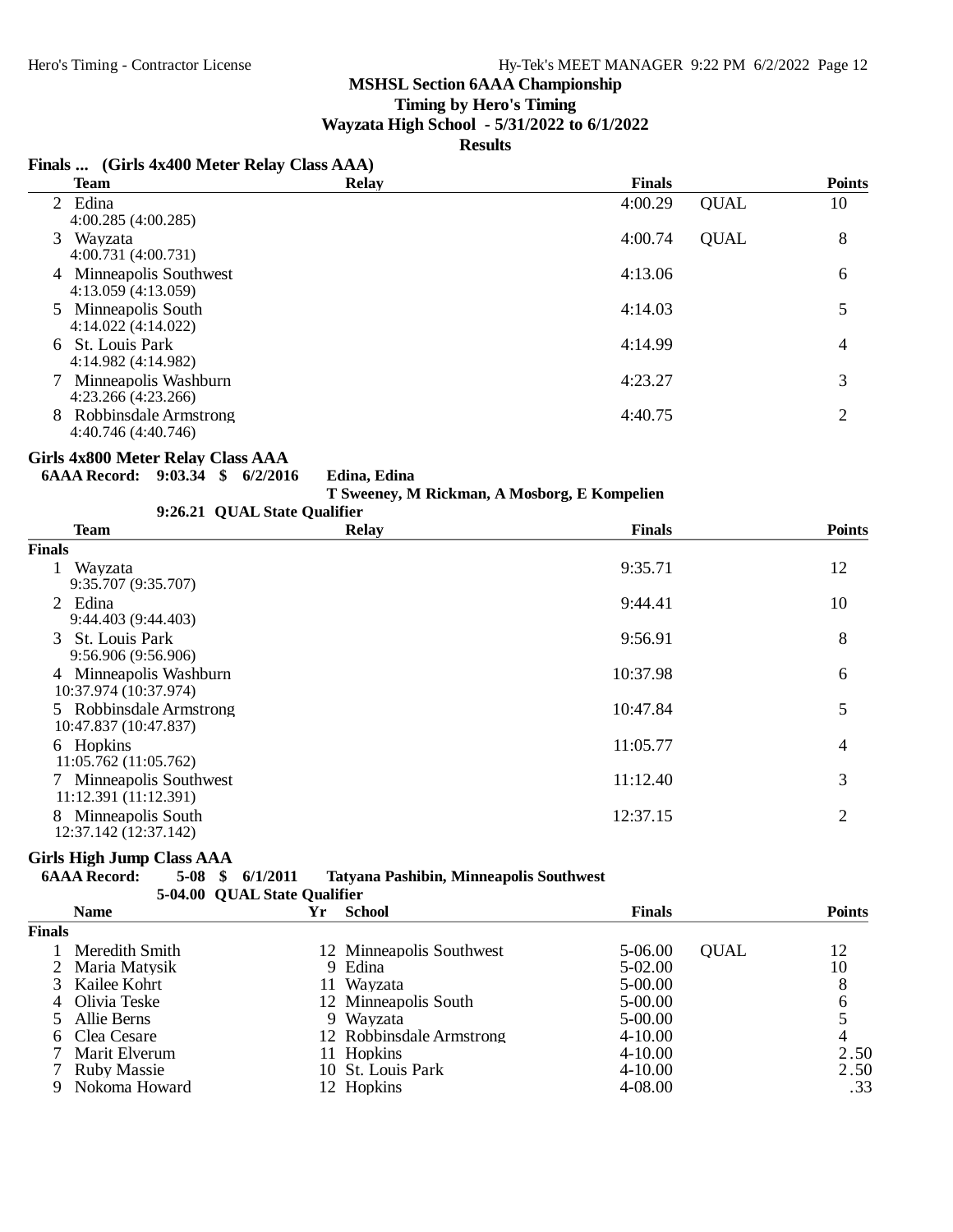**Timing by Hero's Timing**

**Wayzata High School - 5/31/2022 to 6/1/2022**

**Results**

## **Finals ... (Girls 4x400 Meter Relay Class AAA)**

| <b>Team</b>                                       | <b>Relay</b> | <b>Finals</b> |             | <b>Points</b>  |
|---------------------------------------------------|--------------|---------------|-------------|----------------|
| 2 Edina<br>4:00.285(4:00.285)                     |              | 4:00.29       | <b>QUAL</b> | 10             |
| 3 Wayzata<br>4:00.731(4:00.731)                   |              | 4:00.74       | <b>QUAL</b> | 8              |
| 4 Minneapolis Southwest<br>4:13.059(4:13.059)     |              | 4:13.06       |             | 6              |
| 5 Minneapolis South<br>4:14.022(4:14.022)         |              | 4:14.03       |             | 5              |
| 6 St. Louis Park<br>4:14.982 (4:14.982)           |              | 4:14.99       |             | $\overline{4}$ |
| Minneapolis Washburn<br>4:23.266 (4:23.266)       |              | 4:23.27       |             | 3              |
| Robbinsdale Armstrong<br>8<br>4:40.746 (4:40.746) |              | 4:40.75       |             | $\overline{2}$ |

#### **Girls 4x800 Meter Relay Class AAA**

**6AAA Record: 9:03.34 \$ 6/2/2016 Edina, Edina**

| T Sweeney, M Rickman, A Mosborg, E Kompelien |  |  |  |  |  |  |
|----------------------------------------------|--|--|--|--|--|--|
|----------------------------------------------|--|--|--|--|--|--|

|                                                  | $\blacksquare$ by equity, i.e. extending in probability, i.e. examplement<br>9:26.21 QUAL State Qualifier |               |               |  |  |  |  |  |
|--------------------------------------------------|-----------------------------------------------------------------------------------------------------------|---------------|---------------|--|--|--|--|--|
| <b>Team</b>                                      | <b>Relay</b>                                                                                              | <b>Finals</b> | <b>Points</b> |  |  |  |  |  |
| <b>Finals</b>                                    |                                                                                                           |               |               |  |  |  |  |  |
| Wayzata<br>9:35.707 (9:35.707)                   |                                                                                                           | 9:35.71       | 12            |  |  |  |  |  |
| 2 Edina<br>9:44.403 (9:44.403)                   |                                                                                                           | 9:44.41       | 10            |  |  |  |  |  |
| 3 St. Louis Park<br>9:56.906 (9:56.906)          |                                                                                                           | 9:56.91       | 8             |  |  |  |  |  |
| 4 Minneapolis Washburn<br>10:37.974 (10:37.974)  |                                                                                                           | 10:37.98      | 6             |  |  |  |  |  |
| 5 Robbinsdale Armstrong<br>10:47.837 (10:47.837) |                                                                                                           | 10:47.84      | 5             |  |  |  |  |  |
| 6 Hopkins<br>11:05.762 (11:05.762)               |                                                                                                           | 11:05.77      | 4             |  |  |  |  |  |
| 7 Minneapolis Southwest<br>11:12.391 (11:12.391) |                                                                                                           | 11:12.40      | 3             |  |  |  |  |  |
| Minneapolis South<br>8<br>12:37.142 (12:37.142)  |                                                                                                           | 12:37.15      | 2             |  |  |  |  |  |

## **Girls High Jump Class AAA**

| <b>6AAA Record:</b> |  | $5-08$ \$ $6/1/2011$ | <b>Tatyana Pashibin, Minneapolis Southwest</b> |
|---------------------|--|----------------------|------------------------------------------------|
|                     |  |                      | 5-04.00 QUAL State Qualifier                   |

|               | <b>Name</b>     | Yr | <b>School</b>            | <b>Finals</b> |             | <b>Points</b> |
|---------------|-----------------|----|--------------------------|---------------|-------------|---------------|
| <b>Finals</b> |                 |    |                          |               |             |               |
|               | Meredith Smith  |    | 12 Minneapolis Southwest | 5-06.00       | <b>OUAL</b> | 12            |
|               | 2 Maria Matysik |    | 9 Edina                  | 5-02.00       |             | 10            |
|               | 3 Kailee Kohrt  |    | 11 Wayzata               | 5-00.00       |             | 8             |
|               | 4 Olivia Teske  |    | 12 Minneapolis South     | 5-00.00       |             |               |
|               | 5 Allie Berns   |    | 9 Wayzata                | 5-00.00       |             |               |
|               | 6 Clea Cesare   |    | 12 Robbinsdale Armstrong | $4 - 10.00$   |             |               |
|               | 7 Marit Elverum |    | 11 Hopkins               | $4 - 10.00$   |             | 2.50          |
|               | 7 Ruby Massie   |    | 10 St. Louis Park        | $4 - 10.00$   |             | 2.50          |
|               | Nokoma Howard   |    | 12 Hopkins               | 4-08.00       |             | .33           |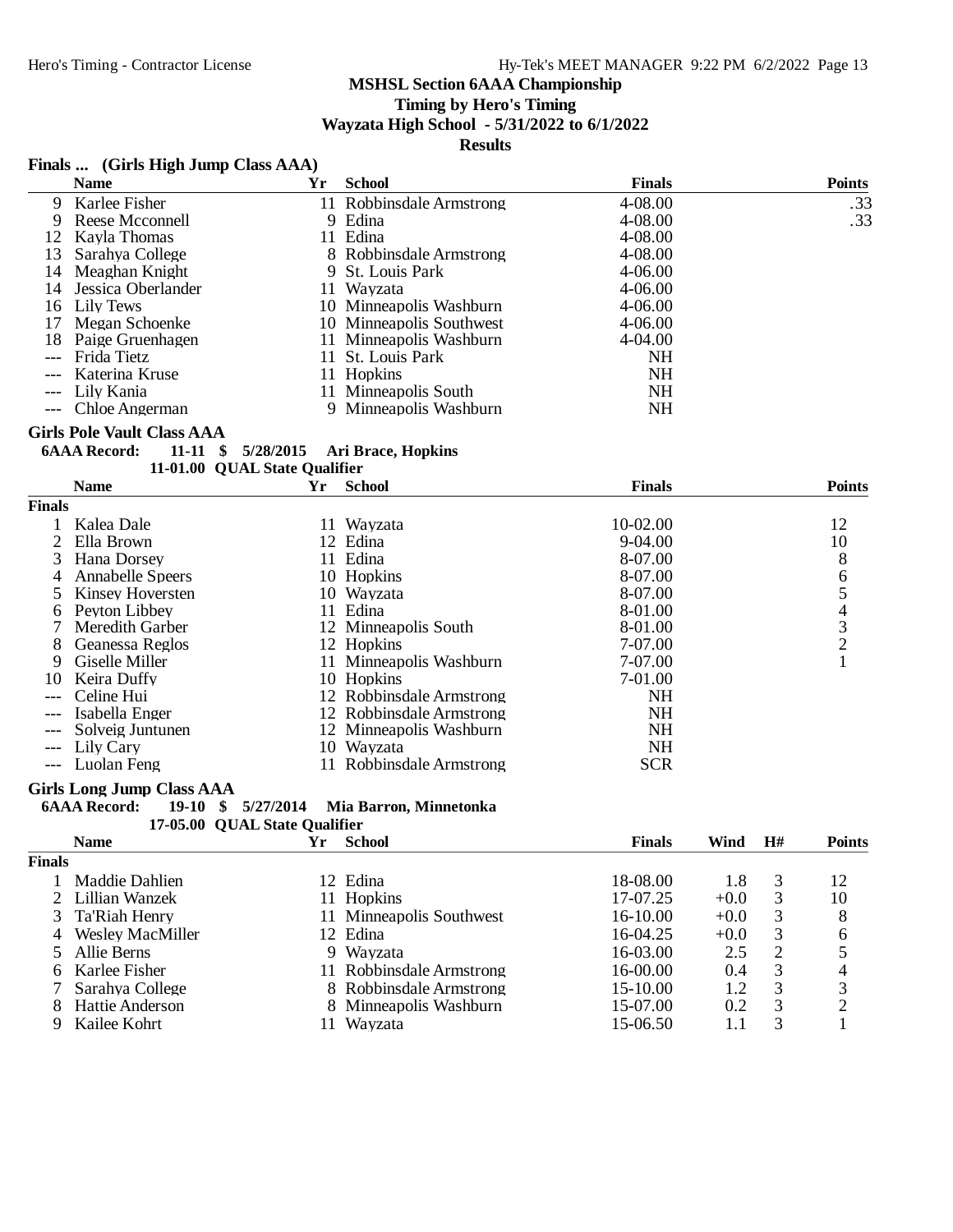**Timing by Hero's Timing**

**Wayzata High School - 5/31/2022 to 6/1/2022**

**Results**

## **Finals ... (Girls High Jump Class AAA)**

|    | <b>Name</b>         | Yr  | <b>School</b>            | <b>Finals</b> | Points |
|----|---------------------|-----|--------------------------|---------------|--------|
| 9. | Karlee Fisher       |     | 11 Robbinsdale Armstrong | 4-08.00       | .33    |
| 9. | Reese Mcconnell     |     | 9 Edina                  | 4-08.00       | .33    |
| 12 | Kayla Thomas        |     | 11 Edina                 | 4-08.00       |        |
| 13 | Sarahya College     |     | 8 Robbinsdale Armstrong  | 4-08.00       |        |
| 14 | Meaghan Knight      |     | 9 St. Louis Park         | 4-06.00       |        |
| 14 | Jessica Oberlander  |     | 11 Wavzata               | 4-06.00       |        |
|    | 16 Lily Tews        |     | 10 Minneapolis Washburn  | 4-06.00       |        |
| 17 | Megan Schoenke      |     | 10 Minneapolis Southwest | 4-06.00       |        |
|    | 18 Paige Gruenhagen |     | 11 Minneapolis Washburn  | $4-04.00$     |        |
|    | Frida Tietz         | 11. | <b>St. Louis Park</b>    | NH            |        |
|    | Katerina Kruse      |     | 11 Hopkins               | <b>NH</b>     |        |
|    | Lily Kania          |     | 11 Minneapolis South     | NH            |        |
|    | Chloe Angerman      |     | 9 Minneapolis Washburn   | NH            |        |

#### **Girls Pole Vault Class AAA**

| $11-11 \quad $5/28/2015$<br><b>6AAA Record:</b> | Ari Brace, Hopkins |
|-------------------------------------------------|--------------------|
|-------------------------------------------------|--------------------|

11-01.00 QUAL State Qualifier

|               | <b>Name</b>             | Yr  | School                   | <b>Finals</b> | <b>Points</b> |
|---------------|-------------------------|-----|--------------------------|---------------|---------------|
| <b>Finals</b> |                         |     |                          |               |               |
|               | Kalea Dale              |     | 11 Wayzata               | 10-02.00      | 12            |
|               | Ella Brown              |     | 12 Edina                 | $9-04.00$     | 10            |
|               | Hana Dorsey             |     | 11 Edina                 | 8-07.00       | 8             |
| 4             | <b>Annabelle Speers</b> |     | 10 Hopkins               | 8-07.00       | 6             |
|               | <b>Kinsey Hoversten</b> |     | 10 Wayzata               | 8-07.00       |               |
| 6             | Peyton Libbey           |     | 11 Edina                 | 8-01.00       | 4             |
|               | Meredith Garber         |     | 12 Minneapolis South     | 8-01.00       | 3             |
| 8             | Geanessa Reglos         |     | 12 Hopkins               | 7-07.00       | 2             |
| 9             | Giselle Miller          |     | 11 Minneapolis Washburn  | 7-07.00       |               |
| 10            | Keira Duffy             |     | 10 Hopkins               | 7-01.00       |               |
|               | Celine Hui              |     | 12 Robbinsdale Armstrong | <b>NH</b>     |               |
|               | Isabella Enger          |     | 12 Robbinsdale Armstrong | NH            |               |
|               | Solveig Juntunen        |     | 12 Minneapolis Washburn  | NH            |               |
|               | Lily Cary               | 10- | Wavzata                  | <b>NH</b>     |               |
| $---$         | Luolan Feng             |     | 11 Robbinsdale Armstrong | <b>SCR</b>    |               |

## **Girls Long Jump Class AAA**

**17-05.00 QUAL State Qualifier**<br>Vr. School

|               | <b>Name</b>             | Yr. | <b>School</b>            | <b>Finals</b> | Wind   | H# | <b>Points</b> |
|---------------|-------------------------|-----|--------------------------|---------------|--------|----|---------------|
| <b>Finals</b> |                         |     |                          |               |        |    |               |
|               | Maddie Dahlien          |     | 12 Edina                 | 18-08.00      | 1.8    |    | 12            |
|               | 2 Lillian Wanzek        | 11. | Hopkins                  | 17-07.25      | $+0.0$ | 3  | 10            |
|               | 3 Ta'Riah Henry         |     | 11 Minneapolis Southwest | 16-10.00      | $+0.0$ | 3  | 8             |
| 4             | <b>Wesley MacMiller</b> |     | 12 Edina                 | 16-04.25      | $+0.0$ | 3  | 6             |
|               | Allie Berns             |     | 9 Wavzata                | 16-03.00      | 2.5    | 2  |               |
| 6.            | Karlee Fisher           |     | 11 Robbinsdale Armstrong | $16-00.00$    | 0.4    | 3  | 4             |
|               | Sarahya College         |     | 8 Robbinsdale Armstrong  | $15 - 10.00$  | 12     | 3  | 3             |
| 8             | Hattie Anderson         |     | 8 Minneapolis Washburn   | 15-07.00      | 0.2    | 3  | ∍             |
| 9             | Kailee Kohrt            |     | Wavzata                  | 15-06.50      |        |    |               |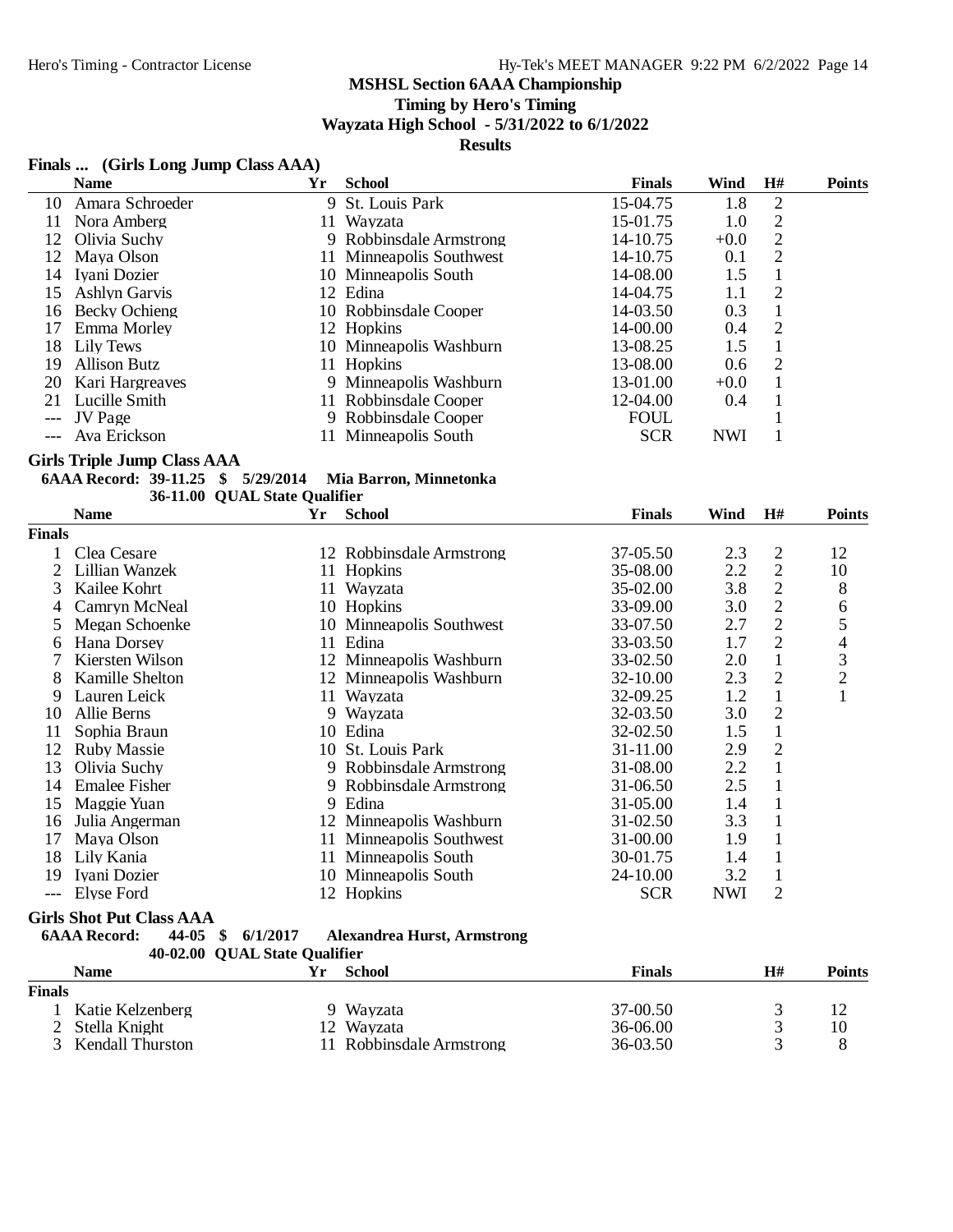**Timing by Hero's Timing**

**Wayzata High School - 5/31/2022 to 6/1/2022**

**Results**

## **Finals ... (Girls Long Jump Class AAA)**

|       | <b>Name</b>          | Yr  | <b>School</b>            | <b>Finals</b> | Wind       | H#             | <b>Points</b> |
|-------|----------------------|-----|--------------------------|---------------|------------|----------------|---------------|
| 10    | Amara Schroeder      |     | 9 St. Louis Park         | 15-04.75      | 1.8        | $\overline{2}$ |               |
| 11    | Nora Amberg          | 11- | Wayzata                  | 15-01.75      | 1.0        | 2              |               |
| 12    | Olivia Suchy         |     | 9 Robbinsdale Armstrong  | 14-10.75      | $+0.0$     | 2              |               |
| 12    | Maya Olson           |     | 11 Minneapolis Southwest | 14-10.75      | 0.1        | 2              |               |
| 14    | Ivani Dozier         |     | 10 Minneapolis South     | 14-08.00      | 1.5        |                |               |
| 15    | <b>Ashlyn Garvis</b> |     | 12 Edina                 | 14-04.75      |            | 2              |               |
| 16    | Becky Ochieng        |     | 10 Robbinsdale Cooper    | 14-03.50      | 0.3        |                |               |
| 17    | Emma Morley          |     | 12 Hopkins               | 14-00.00      | 0.4        | $\overline{2}$ |               |
| 18    | Lily Tews            |     | 10 Minneapolis Washburn  | 13-08.25      | 1.5        |                |               |
| 19    | Allison Butz         |     | 11 Hopkins               | 13-08.00      | 0.6        | 2              |               |
| 20    | Kari Hargreaves      |     | 9 Minneapolis Washburn   | 13-01.00      | $+0.0$     |                |               |
| 21    | Lucille Smith        | 11. | Robbinsdale Cooper       | 12-04.00      | 0.4        |                |               |
| $---$ | <b>JV</b> Page       |     | 9 Robbinsdale Cooper     | <b>FOUL</b>   |            |                |               |
|       | Ava Erickson         | 11  | Minneapolis South        | <b>SCR</b>    | <b>NWI</b> |                |               |

## **Girls Triple Jump Class AAA**

| 6AAA Record: 39-11.25 \$ 5/29/2014 Mia Barron, Minnetonka |  |                               |  |  |
|-----------------------------------------------------------|--|-------------------------------|--|--|
|                                                           |  | 36-11.00 OUAL State Oualifier |  |  |

|               | <b>Name</b>          | Yr   | <b>School</b>            | <b>Finals</b> | Wind       | Н#             | <b>Points</b>  |
|---------------|----------------------|------|--------------------------|---------------|------------|----------------|----------------|
| <b>Finals</b> |                      |      |                          |               |            |                |                |
|               | Clea Cesare          |      | 12 Robbinsdale Armstrong | 37-05.50      | 2.3        | $\overline{2}$ | 12             |
| 2             | Lillian Wanzek       |      | 11 Hopkins               | 35-08.00      | 2.2        | $\overline{2}$ | 10             |
| 3             | Kailee Kohrt         | 11 - | Wayzata                  | $35-02.00$    | 3.8        | $\overline{2}$ | 8              |
|               | Camryn McNeal        |      | 10 Hopkins               | 33-09.00      | 3.0        | 2              | 6              |
| 5.            | Megan Schoenke       |      | 10 Minneapolis Southwest | 33-07.50      | 2.7        | $\overline{2}$ | 5              |
| 6             | Hana Dorsey          |      | 11 Edina                 | 33-03.50      | 1.7        | $\overline{2}$ | 4              |
|               | Kiersten Wilson      |      | 12 Minneapolis Washburn  | 33-02.50      | 2.0        |                | 3              |
| 8             | Kamille Shelton      |      | 12 Minneapolis Washburn  | 32-10.00      | 2.3        | $\overline{2}$ | $\overline{c}$ |
| 9             | Lauren Leick         |      | 11 Wayzata               | 32-09.25      | 1.2        |                |                |
| 10            | Allie Berns          | 9.   | Wayzata                  | 32-03.50      | 3.0        | 2              |                |
| 11            | Sophia Braun         |      | 10 Edina                 | 32-02.50      | 1.5        | 1              |                |
| 12            | <b>Ruby Massie</b>   |      | 10 St. Louis Park        | 31-11.00      | 2.9        | $\overline{2}$ |                |
| 13            | Olivia Suchy         |      | 9 Robbinsdale Armstrong  | 31-08.00      | 2.2        |                |                |
| 14            | <b>Emalee Fisher</b> |      | 9 Robbinsdale Armstrong  | $31 - 06.50$  | 2.5        |                |                |
| 15            | Maggie Yuan          |      | 9 Edina                  | 31-05.00      | 1.4        |                |                |
| 16            | Julia Angerman       |      | 12 Minneapolis Washburn  | $31 - 02.50$  | 3.3        |                |                |
| 17            | Maya Olson           |      | 11 Minneapolis Southwest | 31-00.00      | 1.9        |                |                |
| 18            | Lily Kania           |      | 11 Minneapolis South     | 30-01.75      | 1.4        |                |                |
| 19            | Iyani Dozier         |      | 10 Minneapolis South     | 24-10.00      | 3.2        | 1              |                |
|               | Elyse Ford           |      | 12 Hopkins               | <b>SCR</b>    | <b>NWI</b> | 2              |                |

## **Girls Shot Put Class AAA**<br>6AAA Record: 44-05

| <b>6AAA Record:</b> |  |  | 44-05 \$ 6/1/2017 | <b>Alexandrea Hurst, Armstrong</b> |
|---------------------|--|--|-------------------|------------------------------------|
|---------------------|--|--|-------------------|------------------------------------|

|               | 40-02.00 QUAL State Qualifier |  |                          |               |    |               |
|---------------|-------------------------------|--|--------------------------|---------------|----|---------------|
|               | <b>Name</b>                   |  | School                   | <b>Finals</b> | H# | <b>Points</b> |
| <b>Finals</b> |                               |  |                          |               |    |               |
|               | Katie Kelzenberg              |  | 9 Wavzata                | 37-00.50      |    | 12            |
|               | 2 Stella Knight               |  | 12 Wayzata               | 36-06.00      |    | 10            |
|               | 3 Kendall Thurston            |  | 11 Robbinsdale Armstrong | 36-03.50      |    |               |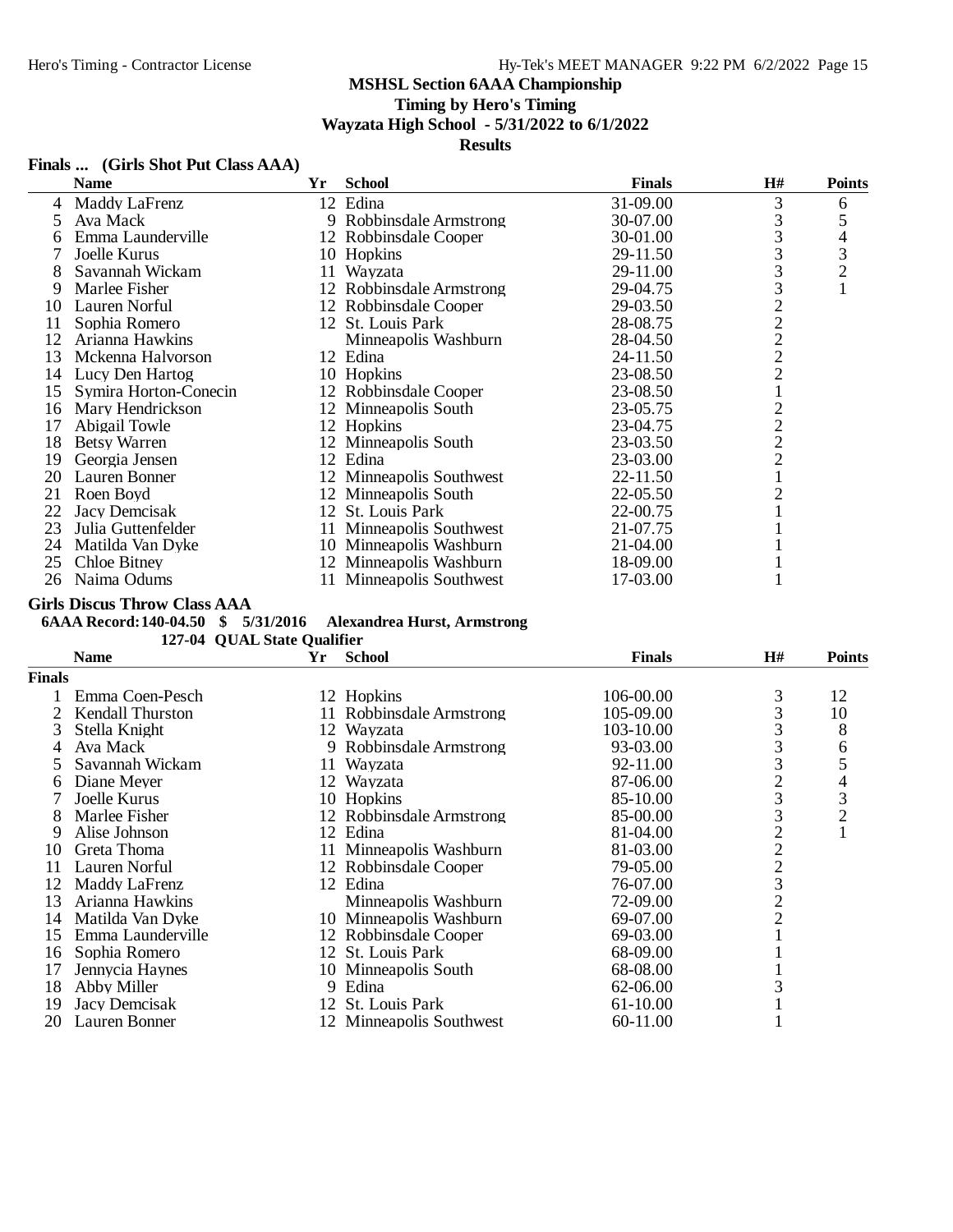**Timing by Hero's Timing**

**Wayzata High School - 5/31/2022 to 6/1/2022**

#### **Results**

#### **Finals ... (Girls Shot Put Class AAA)**

|    | <b>Name</b>           | Yr | <b>School</b>            | <b>Finals</b> | H#             | <b>Points</b>  |
|----|-----------------------|----|--------------------------|---------------|----------------|----------------|
| 4  | Maddy LaFrenz         |    | 12 Edina                 | 31-09.00      | 3              | 6              |
| 5  | Ava Mack              |    | 9 Robbinsdale Armstrong  | 30-07.00      | 3              | 5              |
| 6  | Emma Launderville     |    | 12 Robbinsdale Cooper    | 30-01.00      | 3              | 4              |
|    | Joelle Kurus          |    | 10 Hopkins               | 29-11.50      | 3              | 3              |
| 8  | Savannah Wickam       |    | 11 Wavzata               | 29-11.00      | 3              | $\overline{c}$ |
| 9  | Marlee Fisher         |    | 12 Robbinsdale Armstrong | 29-04.75      | 3              |                |
| 10 | Lauren Norful         |    | 12 Robbinsdale Cooper    | 29-03.50      | $\overline{c}$ |                |
| 11 | Sophia Romero         |    | 12 St. Louis Park        | 28-08.75      | $\frac{2}{2}$  |                |
| 12 | Arianna Hawkins       |    | Minneapolis Washburn     | 28-04.50      |                |                |
| 13 | Mckenna Halvorson     |    | 12 Edina                 | 24-11.50      |                |                |
| 14 | Lucy Den Hartog       |    | 10 Hopkins               | 23-08.50      | $\overline{c}$ |                |
| 15 | Symira Horton-Conecin |    | 12 Robbinsdale Cooper    | 23-08.50      |                |                |
| 16 | Mary Hendrickson      |    | 12 Minneapolis South     | 23-05.75      | $\overline{c}$ |                |
| 17 | Abigail Towle         |    | 12 Hopkins               | 23-04.75      | $\overline{c}$ |                |
| 18 | Betsy Warren          |    | 12 Minneapolis South     | 23-03.50      | $\overline{c}$ |                |
| 19 | Georgia Jensen        |    | 12 Edina                 | 23-03.00      | $\overline{2}$ |                |
| 20 | Lauren Bonner         |    | 12 Minneapolis Southwest | 22-11.50      |                |                |
| 21 | Roen Boyd             |    | 12 Minneapolis South     | 22-05.50      |                |                |
| 22 | Jacy Demcisak         |    | 12 St. Louis Park        | 22-00.75      |                |                |
| 23 | Julia Guttenfelder    |    | 11 Minneapolis Southwest | 21-07.75      |                |                |
| 24 | Matilda Van Dyke      |    | 10 Minneapolis Washburn  | 21-04.00      |                |                |
| 25 | Chloe Bitney          |    | 12 Minneapolis Washburn  | 18-09.00      |                |                |
| 26 | Naima Odums           |    | 11 Minneapolis Southwest | 17-03.00      |                |                |

#### **Girls Discus Throw Class AAA**

| 6AAA Record: 140-04.50 \$ 5/31/2016 |  |  | Alexandrea Hurst, Armstrong |
|-------------------------------------|--|--|-----------------------------|
|-------------------------------------|--|--|-----------------------------|

**127-04 QUAL State Qualifier Name Yr School Finals H# Points Finals** 1 Emma Coen-Pesch 12 Hopkins 12 Hopkins 106-00.00 3 12<br>
2 Kendall Thurston 11 Robbinsdale Armstrong 105-09.00 3 10 2 Kendall Thurston 11 Robbinsdale Armstrong 105-09.00 3 10<br>3 Stella Knight 12 Wayzata 103-10.00 3 8 3 Stella Knight 12 Wayzata 103-10.00 3 8 4 Ava Mack 9 Robbinsdale Armstrong 93-03.00 3 6<br>5 Savannah Wickam 11 Wavzata 92-11.00 3 5 Savannah Wickam 11 Wayzata 11 92-11.00 3 5<br>
Diane Mever 12 Wayzata 12 Savannah 12 Wayzata 12 Savannah 12 Wayzata 13 3 4 6 Diane Meyer 12 Wayzata 12 Sant 12 Wayzata 12 Mayzata 12 Mayzata 12 Mayzata 12 Mayzata 12 Mayzata 12 Mayzata 12 Mayzata 12 Mayzata 12 Mayzata 12 Mayzata 12 Mayzata 12 Mayzata 12 Mayzata 12 Mayzata 12 Mayzata 12 Mayzata 12 7 Joelle Kurus 10 Hopkins 85-10.00 3 3 8 Marlee Fisher 12 Robbinsdale Armstrong 85-00.00 3 2<br>
9 Alise Johnson 12 Edina 81-04.00 2 1 9 Alise Johnson 12 Edina 12 Alise 104.00 2<br>
11 Minneapolis Washburn 81-03.00 2 10 Greta Thoma 11 Minneapolis Washburn 81-03.00 2<br>11 Lauren Norful 12 Robbinsdale Cooper 79-05.00 2 12 Robbinsdale Cooper 79-05.00 2<br>12 Edina 76-07.00 3 12 Maddy LaFrenz 12 Edina 13 Arianna Hawkins 13 Arianna 14 Minneapolis Washburn 13 Arianna 16-07.00 2 13 Arianna Hawkins Minneapolis Washburn 72-09.00 2 14 Matilda Van Dyke 10 Minneapolis Washburn 69-07.00 2<br>15 Emma Launderville 12 Robbinsdale Cooper 69-03.00 1 12 Robbinsdale Cooper 69-03.00<br>
12 St. Louis Park 68-09.00 16 Sophia Romero 12 St. Louis Park 68-09.00 1<br>17 Jennycia Haynes 10 Minneapolis South 68-08.00 1 10 Minneapolis South 68-08.00 1<br>
9 Edina 62-06.00 3 18 Abby Miller 9 Edina 62-06.00 3<br>19 Jacy Demcisak 12 St. Louis Park 61-10.00 1 19 Jacy Demcisak 12 St. Louis Park 61-10.00 1<br>
20 Lauren Bonner 12 Minneapolis Southwest 60-11.00 1 12 Minneapolis Southwest 60-11.00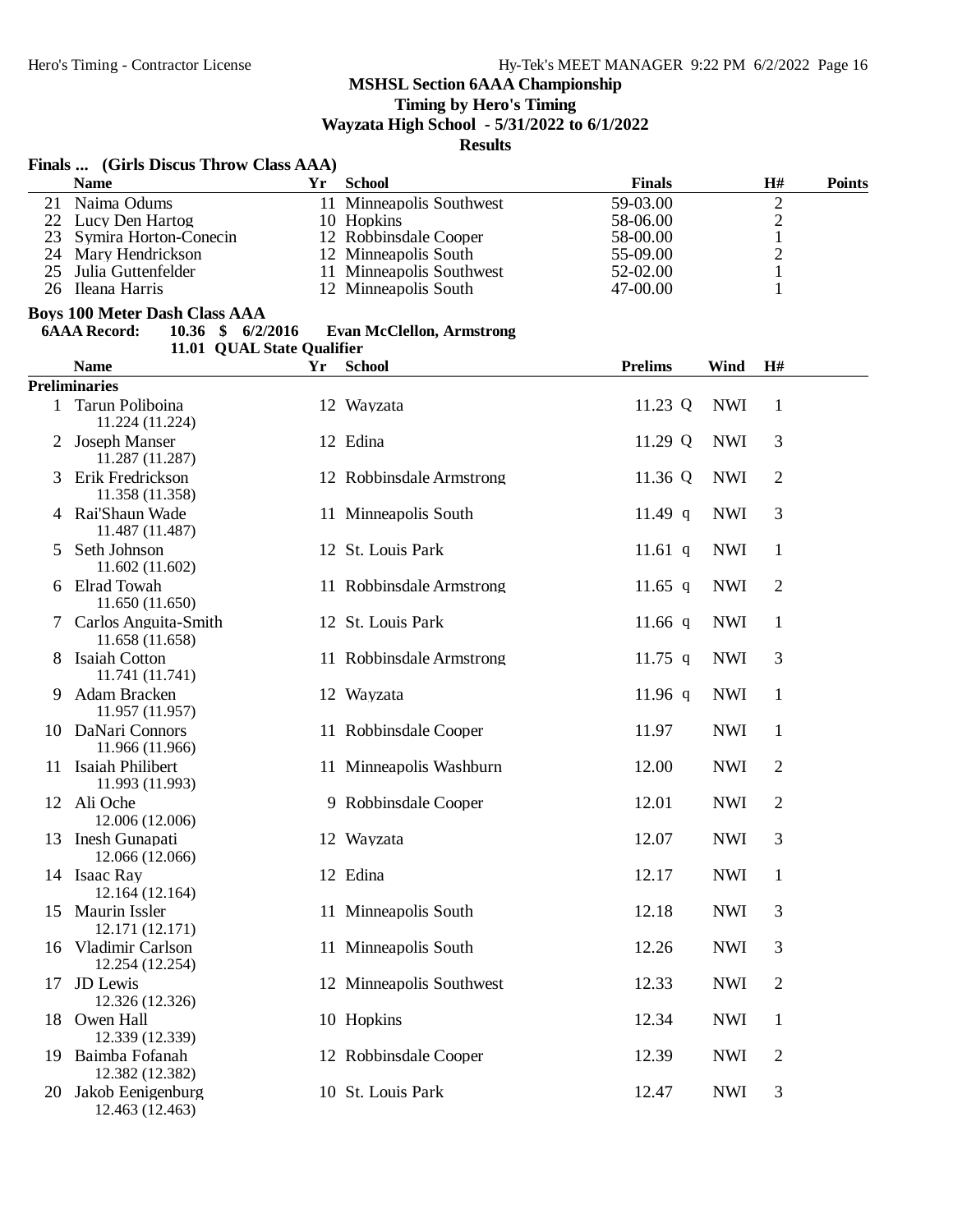**Timing by Hero's Timing**

**Wayzata High School - 5/31/2022 to 6/1/2022**

#### **Results**

## **Finals ... (Girls Discus Throw Class AAA)**

|     | <b>Name</b>              | School                   | <b>Finals</b> | H# | Points |
|-----|--------------------------|--------------------------|---------------|----|--------|
|     | 21 Naima Odums           | 11 Minneapolis Southwest | 59-03.00      | ∸  |        |
|     | 22 Lucy Den Hartog       | 10 Hopkins               | 58-06.00      |    |        |
|     | 23 Symira Horton-Conecin | 12 Robbinsdale Cooper    | 58-00.00      |    |        |
|     | 24 Mary Hendrickson      | 12 Minneapolis South     | 55-09.00      | ∸  |        |
|     | 25 Julia Guttenfelder    | 11 Minneapolis Southwest | 52-02.00      |    |        |
| 26. | Ileana Harris            | 12 Minneapolis South     | 47-00.00      |    |        |

## **Boys 100 Meter Dash Class AAA**<br>6AAA Record: 10.36 \$ 6/2/2016

## $Evan McClellon, Armstrong$

**11.01 QUAL State Qualifier** 

|     | <b>Name</b>                               | Yr | <b>School</b>            | <b>Prelims</b> | Wind       | H#             |  |
|-----|-------------------------------------------|----|--------------------------|----------------|------------|----------------|--|
|     | <b>Preliminaries</b>                      |    |                          |                |            |                |  |
| 1   | Tarun Poliboina<br>11.224 (11.224)        |    | 12 Wayzata               | 11.23 Q        | <b>NWI</b> | $\mathbf{1}$   |  |
| 2   | Joseph Manser<br>11.287 (11.287)          |    | 12 Edina                 | 11.29 $Q$      | <b>NWI</b> | 3              |  |
| 3   | Erik Fredrickson<br>11.358 (11.358)       |    | 12 Robbinsdale Armstrong | 11.36 Q        | <b>NWI</b> | $\overline{2}$ |  |
|     | 4 Rai'Shaun Wade<br>11.487 (11.487)       |    | 11 Minneapolis South     | 11.49 $q$      | <b>NWI</b> | 3              |  |
| 5   | Seth Johnson<br>11.602(11.602)            |    | 12 St. Louis Park        | 11.61q         | <b>NWI</b> | $\mathbf{1}$   |  |
|     | 6 Elrad Towah<br>11.650(11.650)           |    | 11 Robbinsdale Armstrong | 11.65 $q$      | <b>NWI</b> | $\overline{2}$ |  |
|     | 7 Carlos Anguita-Smith<br>11.658 (11.658) |    | 12 St. Louis Park        | $11.66$ q      | <b>NWI</b> | 1              |  |
| 8   | <b>Isaiah Cotton</b><br>11.741 (11.741)   |    | 11 Robbinsdale Armstrong | 11.75 $q$      | <b>NWI</b> | 3              |  |
| 9.  | Adam Bracken<br>11.957 (11.957)           |    | 12 Wayzata               | 11.96 $q$      | <b>NWI</b> | $\mathbf{1}$   |  |
|     | 10 DaNari Connors<br>11.966 (11.966)      |    | 11 Robbinsdale Cooper    | 11.97          | <b>NWI</b> | 1              |  |
|     | 11 Isaiah Philibert<br>11.993 (11.993)    |    | 11 Minneapolis Washburn  | 12.00          | <b>NWI</b> | $\mathfrak{2}$ |  |
| 12  | Ali Oche<br>12.006 (12.006)               | 9  | Robbinsdale Cooper       | 12.01          | <b>NWI</b> | $\overline{2}$ |  |
| 13  | Inesh Gunapati<br>12.066 (12.066)         |    | 12 Wayzata               | 12.07          | <b>NWI</b> | 3              |  |
|     | 14 Isaac Ray<br>12.164 (12.164)           |    | 12 Edina                 | 12.17          | <b>NWI</b> | $\mathbf{1}$   |  |
| 15  | <b>Maurin Issler</b><br>12.171 (12.171)   |    | 11 Minneapolis South     | 12.18          | <b>NWI</b> | 3              |  |
|     | 16 Vladimir Carlson<br>12.254 (12.254)    |    | 11 Minneapolis South     | 12.26          | <b>NWI</b> | 3              |  |
| 17  | JD Lewis<br>12.326 (12.326)               |    | 12 Minneapolis Southwest | 12.33          | <b>NWI</b> | $\overline{2}$ |  |
|     | 18 Owen Hall<br>12.339 (12.339)           |    | 10 Hopkins               | 12.34          | <b>NWI</b> | 1              |  |
| 19. | Baimba Fofanah<br>12.382 (12.382)         |    | 12 Robbinsdale Cooper    | 12.39          | <b>NWI</b> | $\overline{2}$ |  |
| 20  | Jakob Eenigenburg<br>12.463 (12.463)      |    | 10 St. Louis Park        | 12.47          | <b>NWI</b> | 3              |  |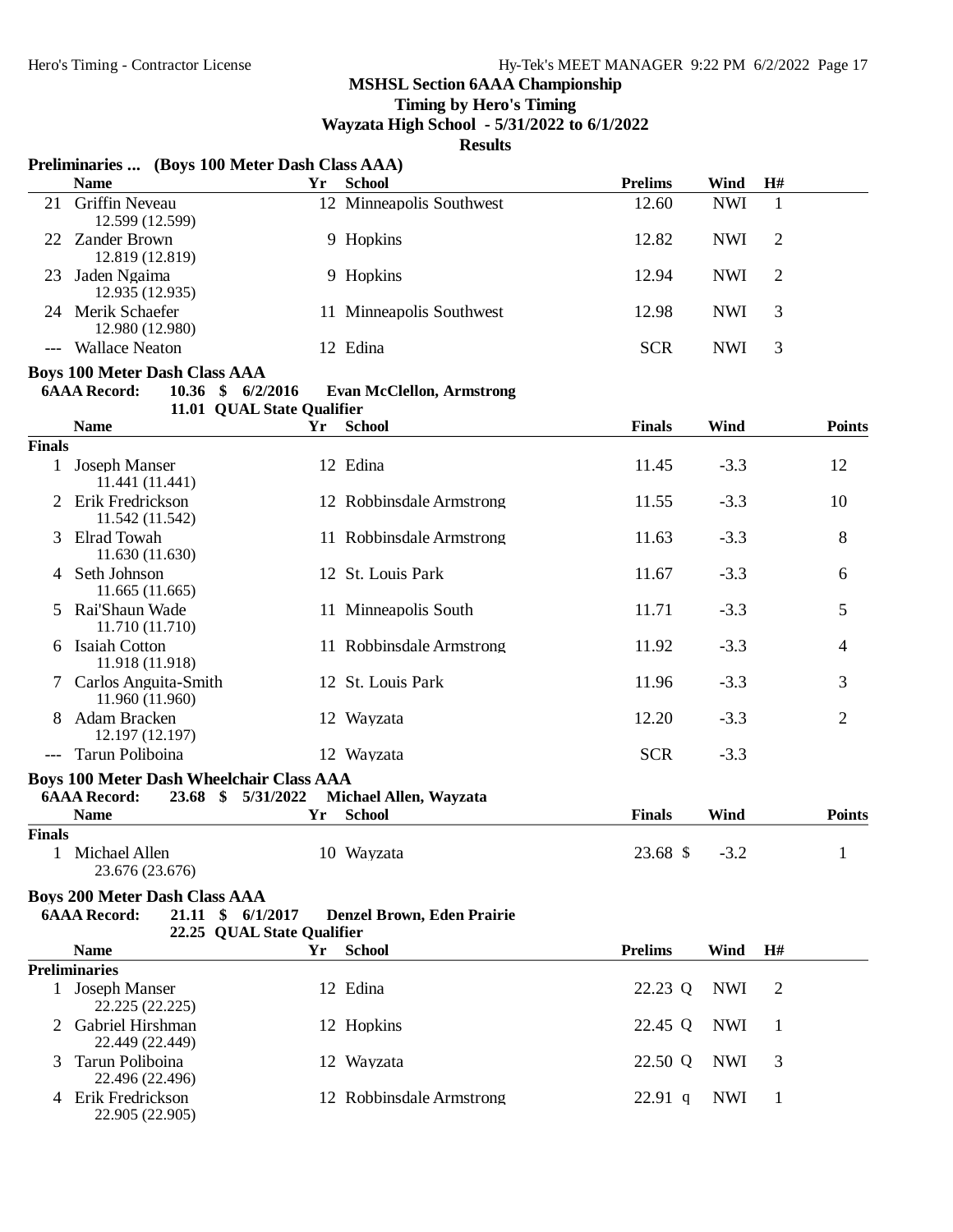**Timing by Hero's Timing**

**Wayzata High School - 5/31/2022 to 6/1/2022**

|                               |                                                 |                            | <b>Results</b>                   |                         |                    |                |               |
|-------------------------------|-------------------------------------------------|----------------------------|----------------------------------|-------------------------|--------------------|----------------|---------------|
|                               | Preliminaries  (Boys 100 Meter Dash Class AAA)  |                            | <b>School</b>                    |                         |                    |                |               |
| 21                            | <b>Name</b><br><b>Griffin Neveau</b>            | Yr                         | 12 Minneapolis Southwest         | <b>Prelims</b><br>12.60 | Wind<br><b>NWI</b> | H#<br>1        |               |
|                               | 12.599 (12.599)                                 |                            |                                  |                         |                    |                |               |
| 22                            | <b>Zander Brown</b><br>12.819 (12.819)          |                            | 9 Hopkins                        | 12.82                   | <b>NWI</b>         | $\overline{2}$ |               |
| 23                            | Jaden Ngaima<br>12.935 (12.935)                 |                            | 9 Hopkins                        | 12.94                   | <b>NWI</b>         | 2              |               |
|                               | 24 Merik Schaefer<br>12.980 (12.980)            |                            | 11 Minneapolis Southwest         | 12.98                   | <b>NWI</b>         | 3              |               |
|                               | --- Wallace Neaton                              |                            | 12 Edina                         | <b>SCR</b>              | <b>NWI</b>         | 3              |               |
|                               | <b>Boys 100 Meter Dash Class AAA</b>            |                            |                                  |                         |                    |                |               |
|                               | <b>6AAA Record:</b>                             | 10.36 \$ 6/2/2016          | <b>Evan McClellon, Armstrong</b> |                         |                    |                |               |
|                               |                                                 | 11.01 QUAL State Qualifier |                                  |                         |                    |                |               |
| <b>Finals</b>                 | <b>Name</b>                                     | Yr                         | <b>School</b>                    | <b>Finals</b>           | Wind               |                | <b>Points</b> |
| $\mathbf{1}$                  | <b>Joseph Manser</b><br>11.441 (11.441)         |                            | 12 Edina                         | 11.45                   | $-3.3$             |                | 12            |
|                               | Erik Fredrickson<br>11.542 (11.542)             |                            | 12 Robbinsdale Armstrong         | 11.55                   | $-3.3$             |                | 10            |
| 3                             | Elrad Towah<br>11.630 (11.630)                  |                            | 11 Robbinsdale Armstrong         | 11.63                   | $-3.3$             |                | 8             |
| 4                             | Seth Johnson<br>11.665(11.665)                  |                            | 12 St. Louis Park                | 11.67                   | $-3.3$             |                | 6             |
|                               | Rai'Shaun Wade<br>11.710 (11.710)               |                            | 11 Minneapolis South             | 11.71                   | $-3.3$             |                | 5             |
|                               | 6 Isaiah Cotton<br>11.918 (11.918)              |                            | 11 Robbinsdale Armstrong         | 11.92                   | $-3.3$             |                | 4             |
| 7                             | Carlos Anguita-Smith<br>11.960 (11.960)         |                            | 12 St. Louis Park                | 11.96                   | $-3.3$             |                | 3             |
|                               | 8 Adam Bracken<br>12.197 (12.197)               |                            | 12 Wayzata                       | 12.20                   | $-3.3$             |                | 2             |
|                               | --- Tarun Poliboina                             |                            | 12 Wayzata                       | <b>SCR</b>              | $-3.3$             |                |               |
|                               | <b>Boys 100 Meter Dash Wheelchair Class AAA</b> |                            |                                  |                         |                    |                |               |
|                               | <b>6AAA Record:</b><br>$23.68$ \$               | 5/31/2022                  | Michael Allen, Wayzata           |                         |                    |                |               |
|                               | <b>Name</b>                                     | Yr                         | <b>School</b>                    | <b>Finals</b>           | Wind               |                | <b>Points</b> |
| <b>Finals</b><br>$\mathbf{1}$ | Michael Allen<br>23.676 (23.676)                |                            | 10 Wayzata                       | 23.68 \$                | $-3.2$             |                | 1             |
|                               | <b>Boys 200 Meter Dash Class AAA</b>            |                            |                                  |                         |                    |                |               |
|                               | <b>6AAA Record:</b>                             | 21.11 \$ 6/1/2017          | Denzel Brown, Eden Prairie       |                         |                    |                |               |
|                               |                                                 | 22.25 QUAL State Qualifier |                                  |                         |                    |                |               |
|                               | <b>Name</b>                                     | Yr                         | <b>School</b>                    | <b>Prelims</b>          | Wind               | H#             |               |
|                               | <b>Preliminaries</b>                            |                            |                                  |                         |                    |                |               |
| 1                             | <b>Joseph Manser</b><br>22.225 (22.225)         |                            | 12 Edina                         | 22.23 Q                 | <b>NWI</b>         | 2              |               |
| 2                             | Gabriel Hirshman<br>22.449 (22.449)             |                            | 12 Hopkins                       | 22.45 Q                 | <b>NWI</b>         | 1              |               |
|                               | Tarun Poliboina<br>22.496 (22.496)              |                            | 12 Wayzata                       | 22.50 Q                 | <b>NWI</b>         | 3              |               |
|                               | 4 Erik Fredrickson<br>22.905 (22.905)           |                            | 12 Robbinsdale Armstrong         | $22.91$ q               | <b>NWI</b>         | 1              |               |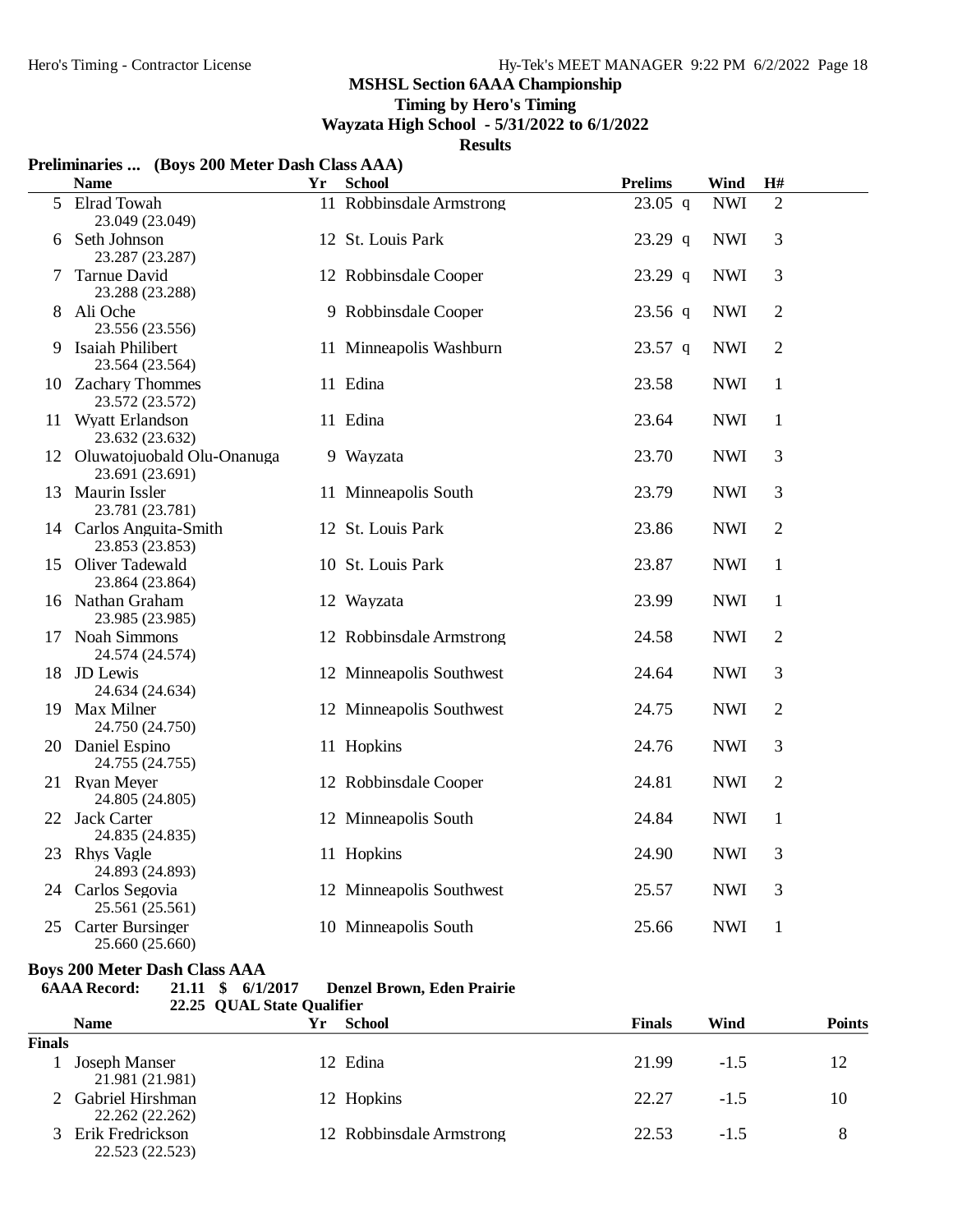**Timing by Hero's Timing**

**Wayzata High School - 5/31/2022 to 6/1/2022**

**Results**

## **Preliminaries ... (Boys 200 Meter Dash Class AAA)**

|    | <b>Name</b>                                      | Yr | <b>School</b>            | <b>Prelims</b> | Wind       | H#             |  |
|----|--------------------------------------------------|----|--------------------------|----------------|------------|----------------|--|
|    | 5 Elrad Towah<br>23.049 (23.049)                 |    | 11 Robbinsdale Armstrong | $23.05$ q      | <b>NWI</b> | $\overline{2}$ |  |
| 6  | Seth Johnson<br>23.287 (23.287)                  |    | 12 St. Louis Park        | $23.29$ q      | <b>NWI</b> | 3              |  |
| 7  | Tarnue David<br>23.288 (23.288)                  |    | 12 Robbinsdale Cooper    | 23.29 q        | <b>NWI</b> | 3              |  |
| 8  | Ali Oche<br>23.556 (23.556)                      |    | 9 Robbinsdale Cooper     | $23.56$ q      | <b>NWI</b> | $\overline{2}$ |  |
| 9  | <b>Isaiah Philibert</b><br>23.564 (23.564)       |    | 11 Minneapolis Washburn  | $23.57$ q      | <b>NWI</b> | $\overline{2}$ |  |
|    | 10 Zachary Thommes<br>23.572 (23.572)            |    | 11 Edina                 | 23.58          | <b>NWI</b> | $\mathbf{1}$   |  |
| 11 | Wyatt Erlandson<br>23.632 (23.632)               |    | 11 Edina                 | 23.64          | <b>NWI</b> | $\mathbf{1}$   |  |
|    | 12 Oluwatojuobald Olu-Onanuga<br>23.691 (23.691) |    | 9 Wayzata                | 23.70          | <b>NWI</b> | 3              |  |
| 13 | <b>Maurin Issler</b><br>23.781 (23.781)          |    | 11 Minneapolis South     | 23.79          | <b>NWI</b> | 3              |  |
|    | 14 Carlos Anguita-Smith<br>23.853 (23.853)       |    | 12 St. Louis Park        | 23.86          | <b>NWI</b> | $\overline{2}$ |  |
|    | 15 Oliver Tadewald<br>23.864 (23.864)            |    | 10 St. Louis Park        | 23.87          | <b>NWI</b> | $\mathbf{1}$   |  |
|    | 16 Nathan Graham<br>23.985 (23.985)              |    | 12 Wayzata               | 23.99          | <b>NWI</b> | $\mathbf{1}$   |  |
| 17 | Noah Simmons<br>24.574 (24.574)                  |    | 12 Robbinsdale Armstrong | 24.58          | <b>NWI</b> | $\overline{2}$ |  |
|    | 18 JD Lewis<br>24.634 (24.634)                   |    | 12 Minneapolis Southwest | 24.64          | <b>NWI</b> | 3              |  |
| 19 | Max Milner<br>24.750 (24.750)                    |    | 12 Minneapolis Southwest | 24.75          | <b>NWI</b> | $\overline{2}$ |  |
|    | 20 Daniel Espino<br>24.755 (24.755)              |    | 11 Hopkins               | 24.76          | <b>NWI</b> | 3              |  |
|    | 21 Ryan Meyer<br>24.805 (24.805)                 |    | 12 Robbinsdale Cooper    | 24.81          | <b>NWI</b> | $\overline{2}$ |  |
|    | 22 Jack Carter<br>24.835 (24.835)                |    | 12 Minneapolis South     | 24.84          | <b>NWI</b> | $\mathbf{1}$   |  |
| 23 | <b>Rhys Vagle</b><br>24.893 (24.893)             |    | 11 Hopkins               | 24.90          | <b>NWI</b> | 3              |  |
|    | 24 Carlos Segovia<br>25.561 (25.561)             |    | 12 Minneapolis Southwest | 25.57          | <b>NWI</b> | 3              |  |
| 25 | <b>Carter Bursinger</b><br>25.660 (25.660)       |    | 10 Minneapolis South     | 25.66          | <b>NWI</b> | $\mathbf{1}$   |  |

## **Boys 200 Meter Dash Class AAA**

## **6AAA Record: 21.11 \$ 6/1/2017 Denzel Brown, Eden Prairie**

**22.25 QUAL State Qualifier**

|               | <b>Name</b>                             | Yr | School                   | <b>Finals</b> | Wind   | <b>Points</b> |
|---------------|-----------------------------------------|----|--------------------------|---------------|--------|---------------|
| <b>Finals</b> |                                         |    |                          |               |        |               |
|               | <b>Joseph Manser</b><br>21.981 (21.981) |    | 12 Edina                 | 21.99         | $-15$  | 12            |
|               | 2 Gabriel Hirshman<br>22.262 (22.262)   |    | 12 Hopkins               | 22.27         | $-1.5$ | 10            |
|               | Erik Fredrickson<br>22.523 (22.523)     |    | 12 Robbinsdale Armstrong | 22.53         | $-15$  | 8             |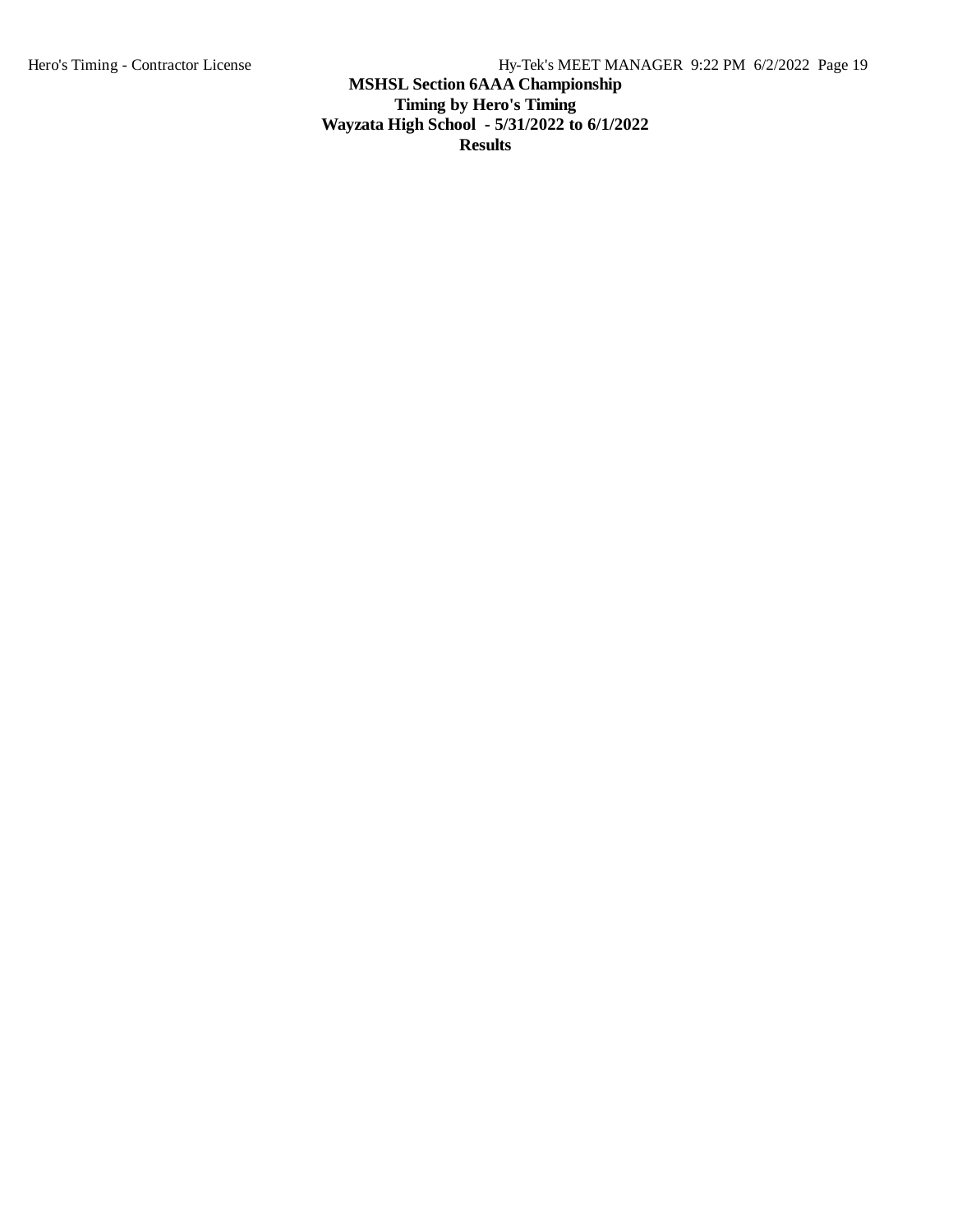Hero's Timing - Contractor License Hy-Tek's MEET MANAGER 9:22 PM 6/2/2022 Page 19

**MSHSL Section 6AAA Championship Timing by Hero's Timing Wayzata High School - 5/31/2022 to 6/1/2022 Results**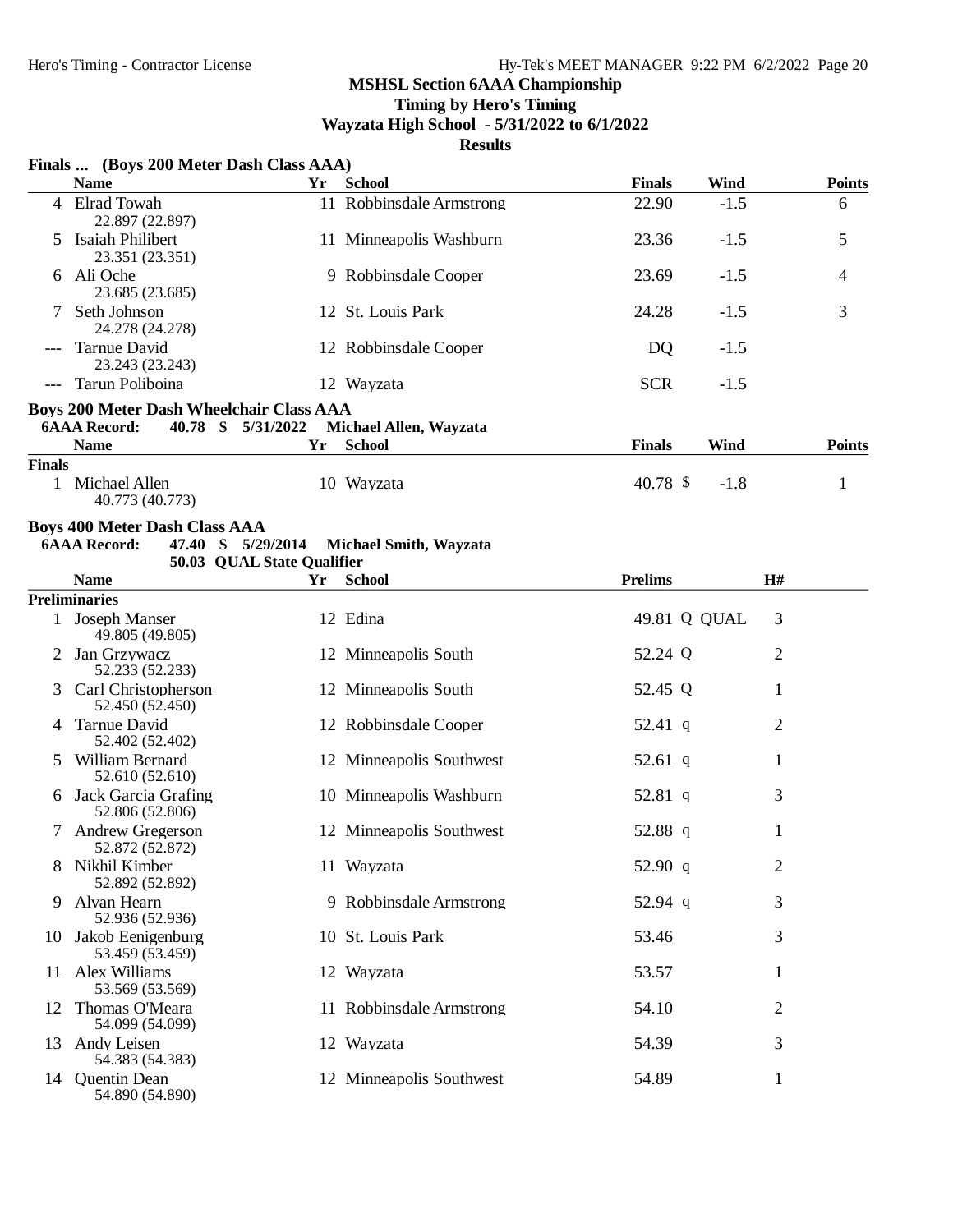**Timing by Hero's Timing**

**Wayzata High School - 5/31/2022 to 6/1/2022**

**Results**

|               | Finals  (Boys 200 Meter Dash Class AAA)                                                               |           |                               |                |              |              |               |
|---------------|-------------------------------------------------------------------------------------------------------|-----------|-------------------------------|----------------|--------------|--------------|---------------|
|               | <b>Name</b>                                                                                           | Yr        | <b>School</b>                 | <b>Finals</b>  | Wind         |              | <b>Points</b> |
| 4             | Elrad Towah<br>22.897 (22.897)                                                                        |           | 11 Robbinsdale Armstrong      | 22.90          | $-1.5$       |              | 6             |
| 5             | <b>Isaiah Philibert</b><br>23.351 (23.351)                                                            |           | 11 Minneapolis Washburn       | 23.36          | $-1.5$       |              | 5             |
| 6             | Ali Oche<br>23.685 (23.685)                                                                           |           | 9 Robbinsdale Cooper          | 23.69          | $-1.5$       |              | 4             |
|               | Seth Johnson<br>24.278 (24.278)                                                                       |           | 12 St. Louis Park             | 24.28          | $-1.5$       |              | 3             |
|               | Tarnue David<br>23.243 (23.243)                                                                       |           | 12 Robbinsdale Cooper         | D <sub>Q</sub> | $-1.5$       |              |               |
| $---$         | Tarun Poliboina                                                                                       |           | 12 Wayzata                    | <b>SCR</b>     | $-1.5$       |              |               |
|               | <b>Boys 200 Meter Dash Wheelchair Class AAA</b>                                                       |           |                               |                |              |              |               |
|               | <b>6AAA Record:</b><br>$40.78$ \$                                                                     | 5/31/2022 | Michael Allen, Wayzata        |                |              |              |               |
| <b>Finals</b> | <b>Name</b>                                                                                           | Yr        | <b>School</b>                 | <b>Finals</b>  | Wind         |              | <b>Points</b> |
|               | 1 Michael Allen<br>40.773 (40.773)                                                                    |           | 10 Wayzata                    | 40.78 $$$      | $-1.8$       |              | 1             |
|               | <b>Boys 400 Meter Dash Class AAA</b><br><b>6AAA Record:</b><br>47.40 \$<br>50.03 QUAL State Qualifier | 5/29/2014 | <b>Michael Smith, Wayzata</b> |                |              |              |               |
|               | <b>Name</b>                                                                                           | Yr        | <b>School</b>                 | <b>Prelims</b> |              | H#           |               |
|               | <b>Preliminaries</b>                                                                                  |           |                               |                |              |              |               |
|               | 1 Joseph Manser<br>49.805 (49.805)                                                                    |           | 12 Edina                      |                | 49.81 Q QUAL | 3            |               |
| 2             | Jan Grzywacz<br>52.233 (52.233)                                                                       |           | 12 Minneapolis South          | 52.24 Q        |              | 2            |               |
|               | Carl Christopherson<br>52.450 (52.450)                                                                |           | 12 Minneapolis South          | 52.45 Q        |              | 1            |               |
| 4             | Tarnue David<br>52.402 (52.402)                                                                       |           | 12 Robbinsdale Cooper         | 52.41 q        |              | 2            |               |
| 5             | William Bernard<br>52.610 (52.610)                                                                    |           | 12 Minneapolis Southwest      | 52.61 q        |              | 1            |               |
| 6             | Jack Garcia Grafing<br>52.806 (52.806)                                                                |           | 10 Minneapolis Washburn       | 52.81 q        |              | 3            |               |
| 7             | <b>Andrew Gregerson</b><br>52.872 (52.872)                                                            |           | 12 Minneapolis Southwest      | 52.88 $q$      |              | 1            |               |
|               | Nikhil Kimber<br>52.892 (52.892)                                                                      |           | 11 Wayzata                    | 52.90 q        |              | 2            |               |
| 9             | Alvan Hearn<br>52.936 (52.936)                                                                        |           | 9 Robbinsdale Armstrong       | 52.94 q        |              | 3            |               |
|               | 10 Jakob Eenigenburg<br>53.459 (53.459)                                                               |           | 10 St. Louis Park             | 53.46          |              | 3            |               |
|               | 11 Alex Williams<br>53.569 (53.569)                                                                   |           | 12 Wayzata                    | 53.57          |              | $\mathbf{1}$ |               |
|               | 12 Thomas O'Meara<br>54.099 (54.099)                                                                  |           | 11 Robbinsdale Armstrong      | 54.10          |              | 2            |               |
|               | 13 Andy Leisen<br>54.383 (54.383)                                                                     |           | 12 Wayzata                    | 54.39          |              | 3            |               |
|               | 14 Quentin Dean<br>54.890 (54.890)                                                                    |           | 12 Minneapolis Southwest      | 54.89          |              | $\mathbf{1}$ |               |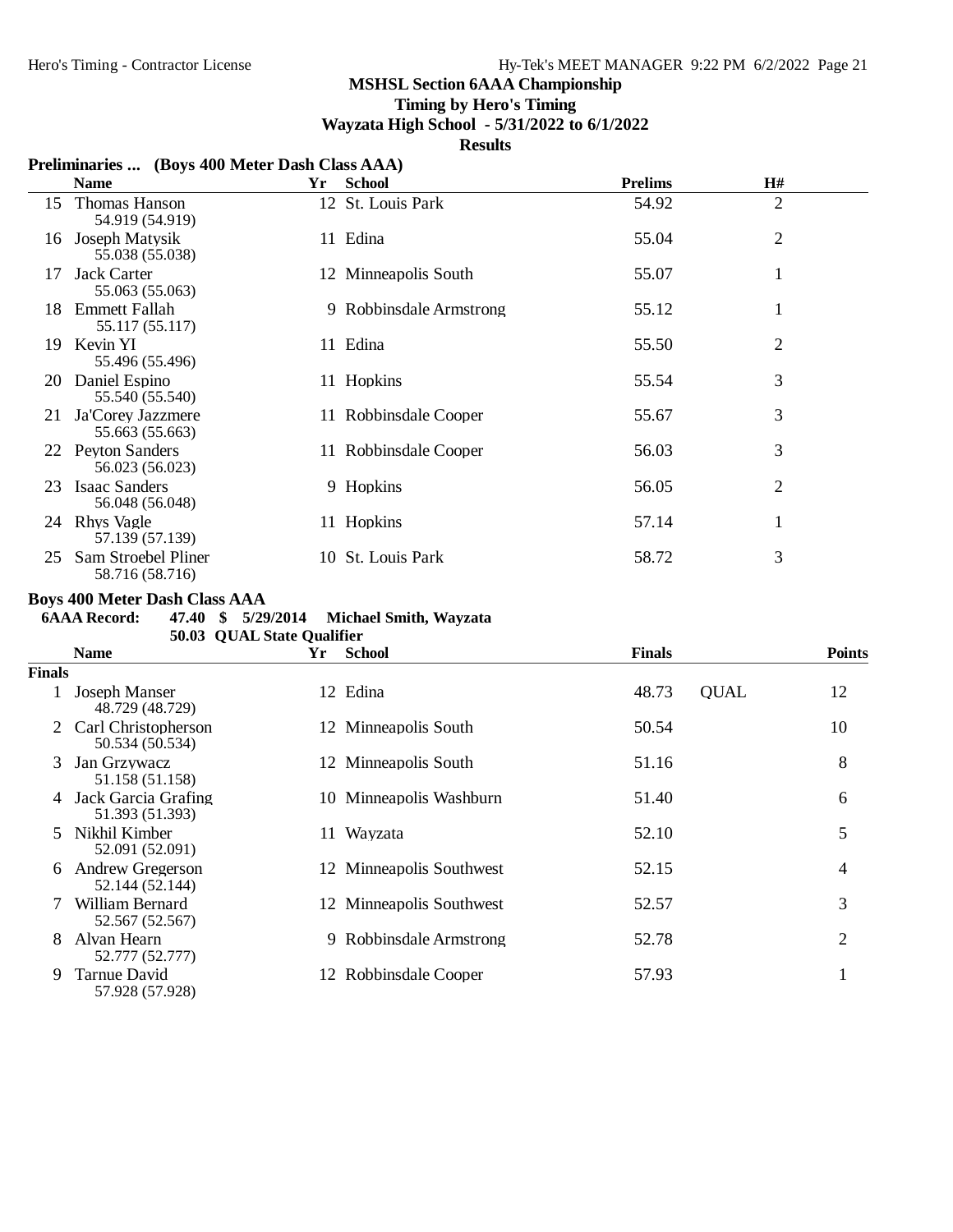## **Timing by Hero's Timing**

**Wayzata High School - 5/31/2022 to 6/1/2022**

**Results**

## **Preliminaries ... (Boys 400 Meter Dash Class AAA)**

|    | <b>Name</b>                              | Yr | <b>School</b>           | <b>Prelims</b> | H#             |  |
|----|------------------------------------------|----|-------------------------|----------------|----------------|--|
| 15 | Thomas Hanson<br>54.919 (54.919)         |    | 12 St. Louis Park       | 54.92          | $\overline{2}$ |  |
| 16 | Joseph Matysik<br>55.038 (55.038)        |    | 11 Edina                | 55.04          | 2              |  |
| 17 | Jack Carter<br>55.063 (55.063)           |    | 12 Minneapolis South    | 55.07          | 1              |  |
| 18 | Emmett Fallah<br>55.117 (55.117)         |    | 9 Robbinsdale Armstrong | 55.12          | T.             |  |
| 19 | Kevin YI<br>55.496 (55.496)              |    | 11 Edina                | 55.50          | 2              |  |
| 20 | Daniel Espino<br>55.540 (55.540)         |    | 11 Hopkins              | 55.54          | 3              |  |
| 21 | Ja'Corey Jazzmere<br>55.663 (55.663)     |    | 11 Robbinsdale Cooper   | 55.67          | 3              |  |
| 22 | <b>Peyton Sanders</b><br>56.023 (56.023) |    | 11 Robbinsdale Cooper   | 56.03          | 3              |  |
| 23 | <b>Isaac Sanders</b><br>56.048 (56.048)  |    | 9 Hopkins               | 56.05          | 2              |  |
|    | 24 Rhys Vagle<br>57.139 (57.139)         |    | 11 Hopkins              | 57.14          | $\bf{I}$       |  |
| 25 | Sam Stroebel Pliner<br>58.716 (58.716)   | 10 | St. Louis Park          | 58.72          | 3              |  |

## **Boys 400 Meter Dash Class AAA**<br>6AAA Record: 47.40 \$ 5/29

## **6AAA Record: 47.40 \$ 5/29/2014 Michael Smith, Wayzata**

**50.03** QUAL State Qualifier

|        | <b>Name</b>                                | Yr | <b>School</b>            | <b>Finals</b> | <b>Points</b>     |
|--------|--------------------------------------------|----|--------------------------|---------------|-------------------|
| Finals |                                            |    |                          |               |                   |
|        | <b>Joseph Manser</b><br>48.729 (48.729)    |    | 12 Edina                 | 48.73         | 12<br><b>QUAL</b> |
|        | 2 Carl Christopherson<br>50.534 (50.534)   |    | 12 Minneapolis South     | 50.54         | 10                |
| 3      | Jan Grzywacz<br>51.158 (51.158)            |    | 12 Minneapolis South     | 51.16         | 8                 |
| 4      | Jack Garcia Grafing<br>51.393 (51.393)     |    | 10 Minneapolis Washburn  | 51.40         | 6                 |
|        | 5 Nikhil Kimber<br>52.091 (52.091)         |    | 11 Wayzata               | 52.10         | 5                 |
| 6      | <b>Andrew Gregerson</b><br>52.144 (52.144) |    | 12 Minneapolis Southwest | 52.15         | 4                 |
|        | William Bernard<br>52.567 (52.567)         |    | 12 Minneapolis Southwest | 52.57         | 3                 |
| 8      | Alvan Hearn<br>52.777 (52.777)             |    | 9 Robbinsdale Armstrong  | 52.78         | 2                 |
| 9      | Tarnue David<br>57.928 (57.928)            |    | 12 Robbinsdale Cooper    | 57.93         |                   |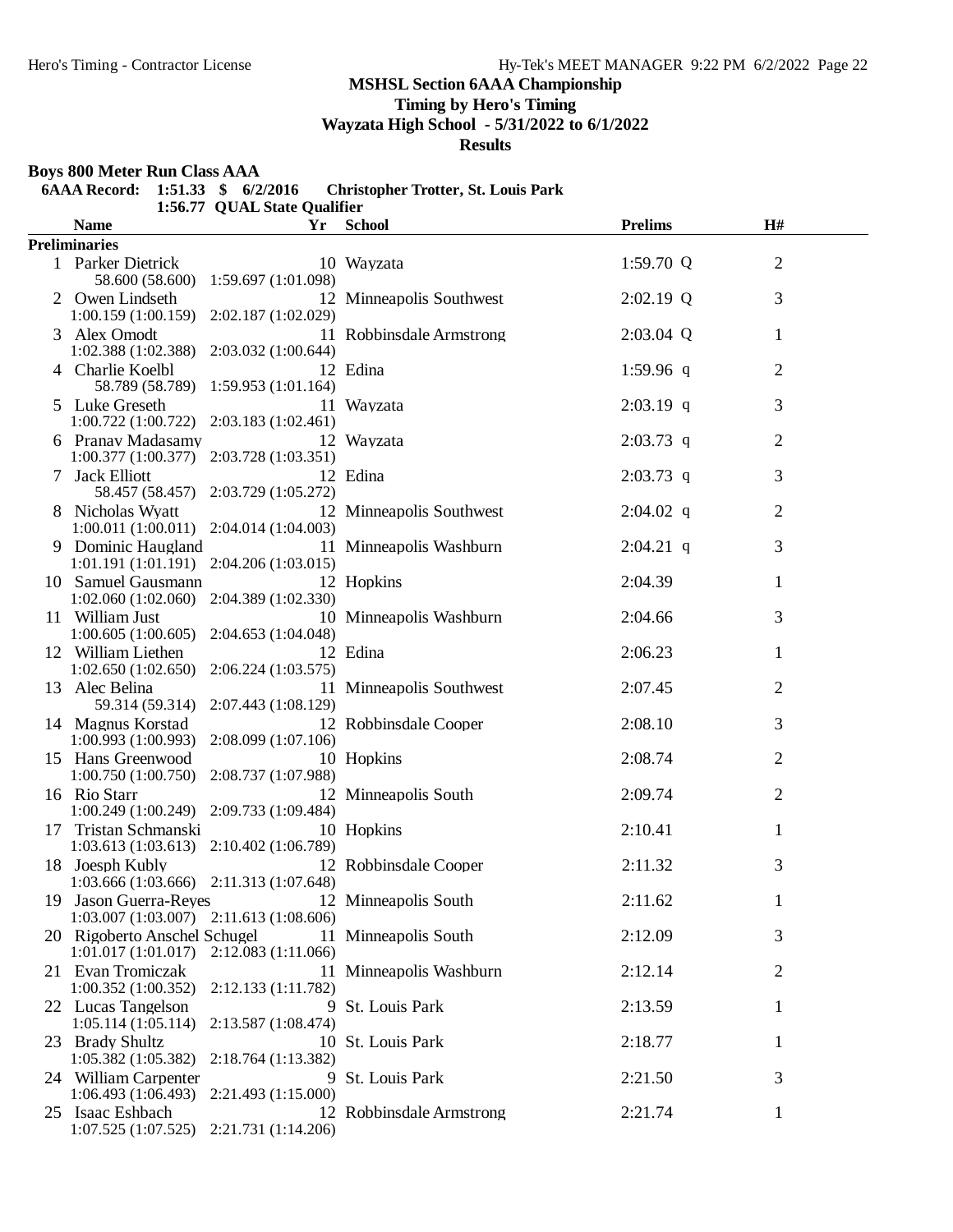**Timing by Hero's Timing**

**Wayzata High School - 5/31/2022 to 6/1/2022**

**Results**

## **Boys 800 Meter Run Class AAA**

**6AAA Record: 1:51.33 \$ 6/2/2016 Christopher Trotter, St. Louis Park**

1:56.77 QUAL State Qualifier

|   | <b>Name</b>                                                               | Yr                                  | <b>School</b>            | <b>Prelims</b> | H#             |  |
|---|---------------------------------------------------------------------------|-------------------------------------|--------------------------|----------------|----------------|--|
|   | <b>Preliminaries</b>                                                      |                                     |                          |                |                |  |
|   | 1 Parker Dietrick                                                         | 58.600 (58.600) 1:59.697 (1:01.098) | 10 Wayzata               | 1:59.70 Q      | $\overline{2}$ |  |
|   | 2 Owen Lindseth<br>1:00.159(1:00.159)                                     | 2:02.187 (1:02.029)                 | 12 Minneapolis Southwest | $2:02.19$ Q    | 3              |  |
|   | 3 Alex Omodt<br>1:02.388(1:02.388)                                        | 2:03.032 (1:00.644)                 | 11 Robbinsdale Armstrong | 2:03.04 Q      | 1              |  |
|   | 4 Charlie Koelbl                                                          | 58.789 (58.789) 1:59.953 (1:01.164) | 12 Edina                 | 1:59.96 q      | 2              |  |
|   | 5 Luke Greseth<br>1:00.722(1:00.722)                                      | 2:03.183(1:02.461)                  | 11 Wayzata               | $2:03.19$ q    | 3              |  |
|   | 6 Pranav Madasamy<br>$1:00.377(1:00.377)$ $2:03.728(1:03.351)$            |                                     | 12 Wayzata               | $2:03.73$ q    | 2              |  |
| 7 | <b>Jack Elliott</b><br>58.457 (58.457)                                    | 2:03.729 (1:05.272)                 | 12 Edina                 | $2:03.73$ q    | 3              |  |
|   | 8 Nicholas Wyatt<br>1:00.011(1:00.011)                                    | 2:04.014 (1:04.003)                 | 12 Minneapolis Southwest | $2:04.02$ q    | 2              |  |
|   | 9 Dominic Haugland<br>1:01.191 (1:01.191) 2:04.206 (1:03.015)             |                                     | 11 Minneapolis Washburn  | $2:04.21$ q    | 3              |  |
|   | 10 Samuel Gausmann<br>1:02.060 (1:02.060) 2:04.389 (1:02.330)             |                                     | 12 Hopkins               | 2:04.39        | 1              |  |
|   | 11 William Just<br>1:00.605(1:00.605)                                     | 2:04.653 (1:04.048)                 | 10 Minneapolis Washburn  | 2:04.66        | 3              |  |
|   | 12 William Liethen<br>1:02.650(1:02.650)                                  | 2:06.224(1:03.575)                  | 12 Edina                 | 2:06.23        | 1              |  |
|   | 13 Alec Belina<br>59.314 (59.314)                                         | 2:07.443 (1:08.129)                 | 11 Minneapolis Southwest | 2:07.45        | 2              |  |
|   | 14 Magnus Korstad<br>1:00.993(1:00.993)                                   | 2:08.099 (1:07.106)                 | 12 Robbinsdale Cooper    | 2:08.10        | 3              |  |
|   | 15 Hans Greenwood<br>1:00.750 (1:00.750) 2:08.737 (1:07.988)              |                                     | 10 Hopkins               | 2:08.74        | 2              |  |
|   | 16 Rio Starr<br>1:00.249 (1:00.249) 2:09.733 (1:09.484)                   |                                     | 12 Minneapolis South     | 2:09.74        | 2              |  |
|   | 17 Tristan Schmanski<br>$1:03.613(1:03.613)$ $2:10.402(1:06.789)$         |                                     | 10 Hopkins               | 2:10.41        | 1              |  |
|   | 18 Joesph Kubly<br>$1:03.666(1:03.666)$ $2:11.313(1:07.648)$              |                                     | 12 Robbinsdale Cooper    | 2:11.32        | 3              |  |
|   | 19 Jason Guerra-Reyes<br>$1:03.007(1:03.007)$ $2:11.613(1:08.606)$        |                                     | 12 Minneapolis South     | 2:11.62        | 1              |  |
|   | 20 Rigoberto Anschel Schugel<br>$1:01.017(1:01.017)$ $2:12.083(1:11.066)$ |                                     | 11 Minneapolis South     | 2:12.09        | 3              |  |
|   | 21 Evan Tromiczak<br>1:00.352(1:00.352)                                   | 2:12.133 (1:11.782)                 | 11 Minneapolis Washburn  | 2:12.14        | 2              |  |
|   | 22 Lucas Tangelson<br>1:05.114(1:05.114)                                  | 9<br>2:13.587 (1:08.474)            | St. Louis Park           | 2:13.59        | 1              |  |
|   | 23 Brady Shultz<br>1:05.382(1:05.382)                                     | 2:18.764 (1:13.382)                 | 10 St. Louis Park        | 2:18.77        | 1              |  |
|   | 24 William Carpenter<br>1:06.493(1:06.493)                                | 2:21.493 (1:15.000)                 | 9 St. Louis Park         | 2:21.50        | 3              |  |
|   | 25 Isaac Eshbach<br>1:07.525 (1:07.525) 2:21.731 (1:14.206)               |                                     | 12 Robbinsdale Armstrong | 2:21.74        | $\mathbf{1}$   |  |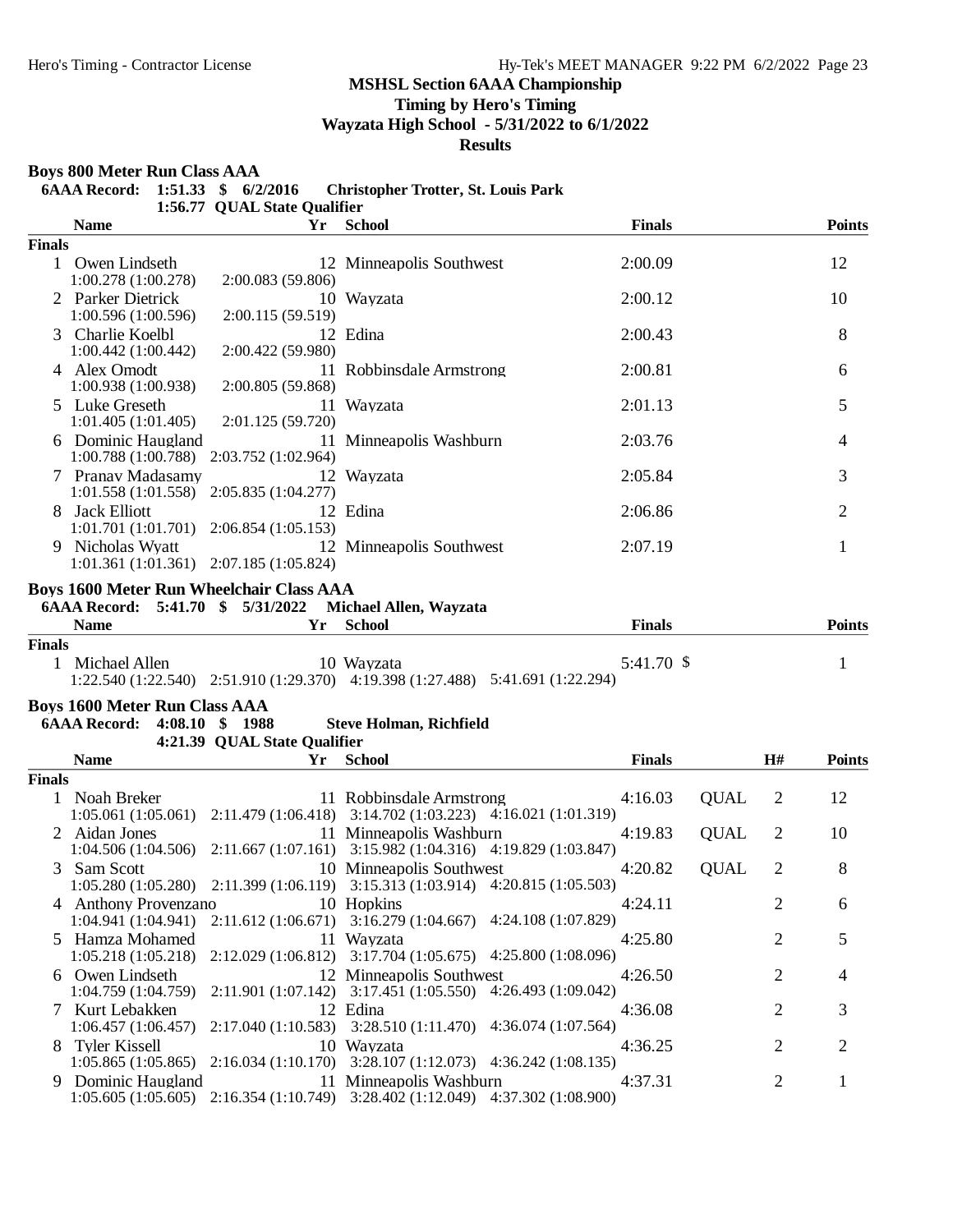## **Timing by Hero's Timing**

**Wayzata High School - 5/31/2022 to 6/1/2022**

**Results**

**Boys 800 Meter Run Class AAA**

**6AAA Record: 1:51.33 \$ 6/2/2016 Christopher Trotter, St. Louis Park**

**1:56.77 QUAL State Qualifier** 

|               | <b>Name</b>                                                    | Yr                                 | <b>School</b>                                                                                               | <b>Finals</b>          |                | <b>Points</b>  |
|---------------|----------------------------------------------------------------|------------------------------------|-------------------------------------------------------------------------------------------------------------|------------------------|----------------|----------------|
| <b>Finals</b> |                                                                |                                    |                                                                                                             |                        |                |                |
|               | 1 Owen Lindseth<br>1:00.278 (1:00.278)                         | 2:00.083 (59.806)                  | 12 Minneapolis Southwest                                                                                    | 2:00.09                |                | 12             |
|               | 2 Parker Dietrick<br>1:00.596(1:00.596)                        | 2:00.115 (59.519)                  | 10 Wayzata                                                                                                  | 2:00.12                |                | 10             |
|               | 3 Charlie Koelbl<br>1:00.442(1:00.442)                         | 2:00.422 (59.980)                  | 12 Edina                                                                                                    | 2:00.43                |                | 8              |
|               | 4 Alex Omodt<br>1:00.938(1:00.938)                             | 2:00.805 (59.868)                  | 11 Robbinsdale Armstrong                                                                                    | 2:00.81                |                | 6              |
|               | 5 Luke Greseth<br>1:01.405(1:01.405)                           | 2:01.125 (59.720)                  | 11 Wayzata                                                                                                  | 2:01.13                |                | 5              |
|               | 6 Dominic Haugland<br>1:00.788 (1:00.788) 2:03.752 (1:02.964)  |                                    | 11 Minneapolis Washburn                                                                                     | 2:03.76                |                | 4              |
|               | 7 Pranav Madasamy<br>1:01.558 (1:01.558) 2:05.835 (1:04.277)   |                                    | 12 Wayzata                                                                                                  | 2:05.84                |                | 3              |
|               | 8 Jack Elliott<br>$1:01.701(1:01.701)$ $2:06.854(1:05.153)$    |                                    | 12 Edina                                                                                                    | 2:06.86                |                | $\overline{2}$ |
|               | 9 Nicholas Wyatt<br>$1:01.361(1:01.361)$ $2:07.185(1:05.824)$  |                                    | 12 Minneapolis Southwest                                                                                    | 2:07.19                |                | $\mathbf{1}$   |
|               | <b>Boys 1600 Meter Run Wheelchair Class AAA</b><br><b>Name</b> | Yr                                 | 6AAA Record: 5:41.70 \$ 5/31/2022 Michael Allen, Wayzata<br><b>School</b>                                   | <b>Finals</b>          |                | <b>Points</b>  |
| <b>Finals</b> | 1 Michael Allen                                                |                                    | 10 Wayzata<br>1:22.540 (1:22.540) 2:51.910 (1:29.370) 4:19.398 (1:27.488) 5:41.691 (1:22.294)               | 5:41.70 \$             |                | $\mathbf{1}$   |
|               | <b>Boys 1600 Meter Run Class AAA</b><br><b>6AAA Record:</b>    | $4:08.10 \quad $1988$              | <b>Steve Holman, Richfield</b>                                                                              |                        |                |                |
|               | <b>Name</b>                                                    | 4:21.39 QUAL State Qualifier<br>Yr | <b>School</b>                                                                                               | <b>Finals</b>          | H#             | <b>Points</b>  |
| <b>Finals</b> |                                                                |                                    |                                                                                                             |                        |                |                |
|               | 1 Noah Breker                                                  |                                    | 11 Robbinsdale Armstrong<br>1:05.061 (1:05.061) 2:11.479 (1:06.418) 3:14.702 (1:03.223) 4:16.021 (1:01.319) | 4:16.03<br><b>QUAL</b> | $\overline{2}$ | 12             |
|               | 2 Aidan Jones                                                  |                                    | 11 Minneapolis Washburn<br>1:04.506 (1:04.506) 2:11.667 (1:07.161) 3:15.982 (1:04.316) 4:19.829 (1:03.847)  | 4:19.83<br><b>OUAL</b> | $\overline{2}$ | 10             |
|               | 3 Sam Scott                                                    |                                    | 10 Minneapolis Southwest<br>1:05.280 (1:05.280) 2:11.399 (1:06.119) 3:15.313 (1:03.914) 4:20.815 (1:05.503) | 4:20.82<br><b>QUAL</b> | 2              | 8              |
|               | 4 Anthony Provenzano                                           |                                    | 10 Hopkins<br>1:04.941 (1:04.941) 2:11.612 (1:06.671) 3:16.279 (1:04.667) 4:24.108 (1:07.829)               | 4:24.11                | 2              | 6              |
|               | 5 Hamza Mohamed<br>1:05.218(1:05.218)                          | 2:12.029(1:06.812)                 | 11 Wayzata<br>3:17.704 (1:05.675) 4:25.800 (1:08.096)                                                       | 4:25.80                | 2              | 5              |
|               | 6 Owen Lindseth<br>1:04.759 (1:04.759)                         |                                    | 12 Minneapolis Southwest<br>2:11.901 (1:07.142) 3:17.451 (1:05.550) 4:26.493 (1:09.042)                     | 4:26.50                | 2              | 4              |
|               | 7 Kurt Lebakken<br>1:06.457(1:06.457)                          |                                    | 12 Edina<br>2:17.040 (1:10.583) 3:28.510 (1:11.470) 4:36.074 (1:07.564)                                     | 4:36.08                | 2              | 3              |
|               | 8 Tyler Kissell<br>1:05.865(1:05.865)                          |                                    | 10 Wayzata<br>2:16.034 (1:10.170) 3:28.107 (1:12.073) 4:36.242 (1:08.135)                                   | 4:36.25                | 2              | $\overline{2}$ |
| 9.            | Dominic Haugland                                               |                                    | 11 Minneapolis Washburn<br>1:05.605 (1:05.605) 2:16.354 (1:10.749) 3:28.402 (1:12.049) 4:37.302 (1:08.900)  | 4:37.31                | $\overline{2}$ | $\mathbf{1}$   |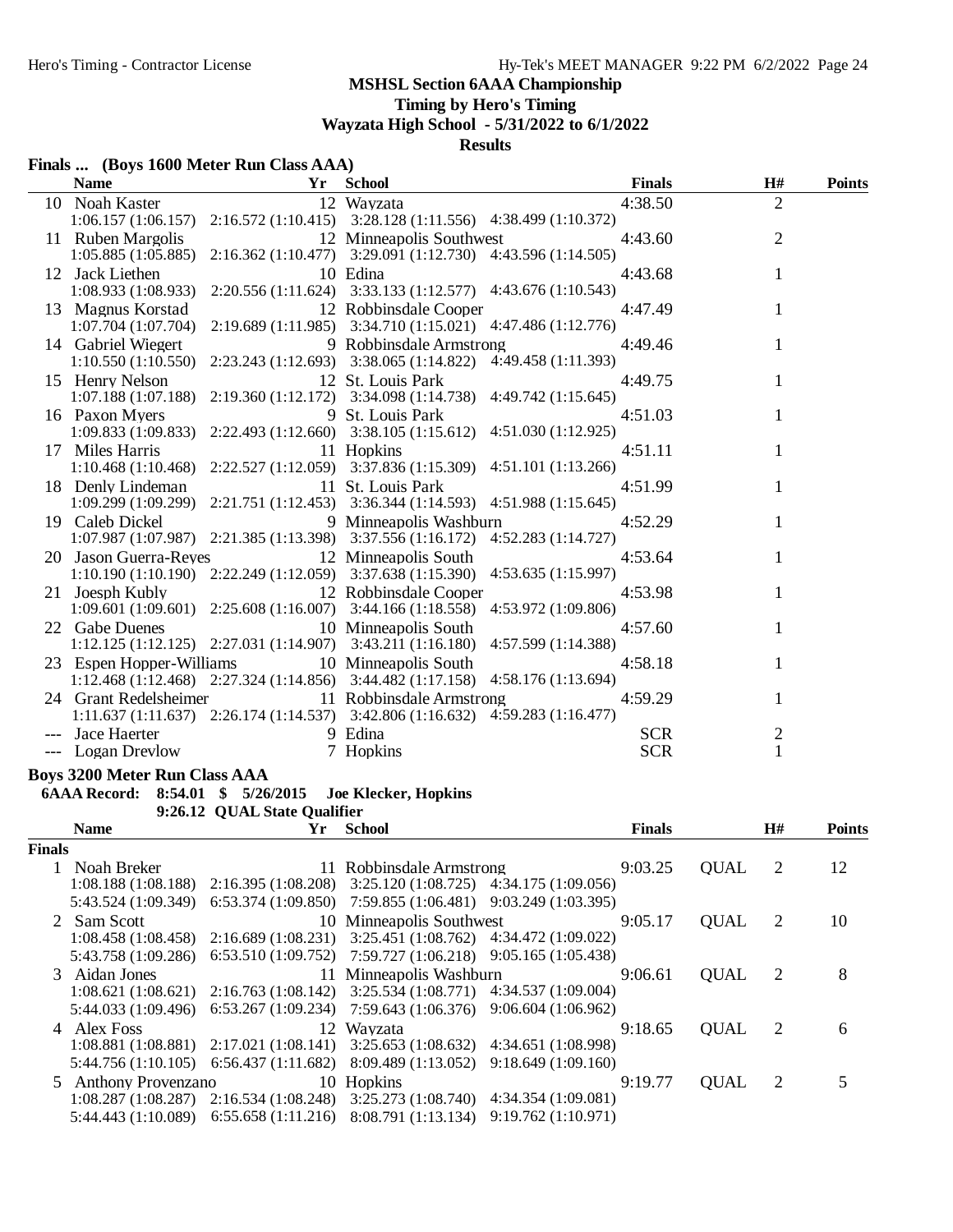**Timing by Hero's Timing**

**Wayzata High School - 5/31/2022 to 6/1/2022**

**Results**

## **Finals ... (Boys 1600 Meter Run Class AAA)**

|               | <b>Name</b>                                               | Yr                                         | <b>School</b>                                                                                               | <b>Finals</b>                                         |             | H#                             | <b>Points</b> |
|---------------|-----------------------------------------------------------|--------------------------------------------|-------------------------------------------------------------------------------------------------------------|-------------------------------------------------------|-------------|--------------------------------|---------------|
|               | 10 Noah Kaster                                            |                                            | 12 Wayzata<br>1:06.157 (1:06.157) 2:16.572 (1:10.415) 3:28.128 (1:11.556) 4:38.499 (1:10.372)               | 4:38.50                                               |             | $\overline{2}$                 |               |
|               | 11 Ruben Margolis<br>1:05.885(1:05.885)                   |                                            | 12 Minneapolis Southwest<br>2:16.362 (1:10.477) 3:29.091 (1:12.730) 4:43.596 (1:14.505)                     | 4:43.60                                               |             | 2                              |               |
|               | 12 Jack Liethen<br>1:08.933(1:08.933)                     |                                            | 10 Edina<br>2:20.556 (1:11.624) 3:33.133 (1:12.577) 4:43.676 (1:10.543)                                     | 4:43.68                                               |             | 1                              |               |
|               | 13 Magnus Korstad<br>1:07.704 (1:07.704)                  |                                            | 12 Robbinsdale Cooper<br>2:19.689 (1:11.985) 3:34.710 (1:15.021) 4:47.486 (1:12.776)                        | 4:47.49                                               |             | 1                              |               |
|               | 14 Gabriel Wiegert<br>1:10.550(1:10.550)                  |                                            | 9 Robbinsdale Armstrong<br>2:23.243 (1:12.693) 3:38.065 (1:14.822) 4:49.458 (1:11.393)                      | 4:49.46                                               |             | 1                              |               |
|               | 15 Henry Nelson<br>1:07.188(1:07.188)                     |                                            | 12 St. Louis Park<br>2:19.360 (1:12.172) 3:34.098 (1:14.738) 4:49.742 (1:15.645)                            | 4:49.75                                               |             | 1                              |               |
|               | 16 Paxon Myers<br>1:09.833(1:09.833)                      |                                            | 9 St. Louis Park<br>2:22.493 (1:12.660) 3:38.105 (1:15.612) 4:51.030 (1:12.925)                             | 4:51.03                                               |             | 1                              |               |
|               | 17 Miles Harris<br>1:10.468(1:10.468)                     |                                            | 11 Hopkins<br>2:22.527 (1:12.059) 3:37.836 (1:15.309) 4:51.101 (1:13.266)                                   | 4:51.11                                               |             | 1                              |               |
|               | 18 Denly Lindeman<br>1:09.299(1:09.299)                   |                                            | 11 St. Louis Park<br>$2:21.751(1:12.453)$ $3:36.344(1:14.593)$                                              | 4:51.99<br>4:51.988(1:15.645)                         |             | 1                              |               |
|               | 19 Caleb Dickel                                           |                                            | 9 Minneapolis Washburn<br>1:07.987 (1:07.987) 2:21.385 (1:13.398) 3:37.556 (1:16.172)                       | 4:52.29<br>4:52.283 (1:14.727)                        |             | 1                              |               |
|               | 20 Jason Guerra-Reyes                                     |                                            | 12 Minneapolis South<br>1:10.190 (1:10.190) 2:22.249 (1:12.059) 3:37.638 (1:15.390)                         | 4:53.64<br>4:53.635 (1:15.997)                        |             | 1                              |               |
|               | 21 Joesph Kubly                                           |                                            | 12 Robbinsdale Cooper<br>1:09.601 (1:09.601) 2:25.608 (1:16.007) 3:44.166 (1:18.558)                        | 4:53.98<br>4:53.972 (1:09.806)                        |             | 1                              |               |
|               | 22 Gabe Duenes                                            |                                            | 10 Minneapolis South<br>1:12.125 (1:12.125) 2:27.031 (1:14.907) 3:43.211 (1:16.180)                         | 4:57.60<br>4:57.599 (1:14.388)                        |             | 1                              |               |
|               | 23 Espen Hopper-Williams                                  |                                            | 10 Minneapolis South<br>1:12.468 (1:12.468) 2:27.324 (1:14.856) 3:44.482 (1:17.158)                         | 4:58.18<br>4:58.176 (1:13.694)                        |             | 1                              |               |
|               | 24 Grant Redelsheimer                                     |                                            | 11 Robbinsdale Armstrong<br>1:11.637 (1:11.637) 2:26.174 (1:14.537) 3:42.806 (1:16.632) 4:59.283 (1:16.477) | 4:59.29                                               |             | 1                              |               |
|               | Jace Haerter<br>--- Logan Drevlow                         |                                            | 9 Edina<br>7 Hopkins                                                                                        | <b>SCR</b><br><b>SCR</b>                              |             | $\overline{c}$<br>$\mathbf{1}$ |               |
|               | <b>Boys 3200 Meter Run Class AAA</b>                      |                                            |                                                                                                             |                                                       |             |                                |               |
|               | <b>6AAA Record:</b>                                       | 8:54.01 \$ 5/26/2015                       | <b>Joe Klecker, Hopkins</b>                                                                                 |                                                       |             |                                |               |
|               |                                                           | 9:26.12 QUAL State Qualifier               |                                                                                                             |                                                       |             |                                |               |
|               | <b>Name</b>                                               | Yr                                         | <b>School</b>                                                                                               | <b>Finals</b>                                         |             | H#                             | <b>Points</b> |
| <b>Finals</b> |                                                           |                                            |                                                                                                             |                                                       |             |                                |               |
|               | Noah Breker<br>1:08.188 (1:08.188)                        | 2:16.395(1:08.208)                         | 11 Robbinsdale Armstrong<br>3:25.120(1:08.725)                                                              | 9:03.25<br>4:34.175 (1:09.056)                        | <b>QUAL</b> | 2                              | 12            |
|               | 5:43.524 (1:09.349)                                       | 6:53.374 (1:09.850)                        | 7:59.855 (1:06.481)<br>10 Minneapolis Southwest                                                             | 9:03.249 (1:03.395)                                   |             |                                |               |
|               | 2 Sam Scott<br>1:08.458 (1:08.458)<br>5:43.758 (1:09.286) | 2:16.689 (1:08.231)<br>6:53.510 (1:09.752) | 3:25.451 (1:08.762)<br>7:59.727 (1:06.218)                                                                  | 9:05.17<br>4:34.472 (1:09.022)<br>9:05.165 (1:05.438) | <b>QUAL</b> | 2                              | 10            |
| 3             | Aidan Jones<br>1:08.621(1:08.621)                         | 11<br>2:16.763(1:08.142)                   | Minneapolis Washburn<br>3:25.534 (1:08.771)                                                                 | 9:06.61<br>4:34.537 (1:09.004)                        | <b>QUAL</b> | $\overline{2}$                 | 8             |
|               | 5:44.033 (1:09.496)                                       | 6:53.267(1:09.234)                         | 7:59.643 (1:06.376)                                                                                         | 9:06.604 (1:06.962)                                   |             |                                |               |
|               | 4 Alex Foss<br>1:08.881 (1:08.881)                        | 2:17.021 (1:08.141)                        | 12 Wayzata<br>3:25.653 (1:08.632)                                                                           | 9:18.65<br>4:34.651 (1:08.998)                        | <b>QUAL</b> | $\overline{2}$                 | 6             |
|               | 5:44.756 (1:10.105)                                       | 6:56.437 (1:11.682)                        | 8:09.489 (1:13.052)                                                                                         | 9:18.649 (1:09.160)                                   |             |                                |               |
| 5             | <b>Anthony Provenzano</b><br>1:08.287(1:08.287)           | 2:16.534(1:08.248)                         | 10 Hopkins<br>3:25.273 (1:08.740)                                                                           | 9:19.77<br>4:34.354 (1:09.081)                        | <b>QUAL</b> | 2                              | 5             |
|               | 5:44.443 (1:10.089)                                       | 6:55.658(1:11.216)                         | 8:08.791 (1:13.134)                                                                                         | 9:19.762 (1:10.971)                                   |             |                                |               |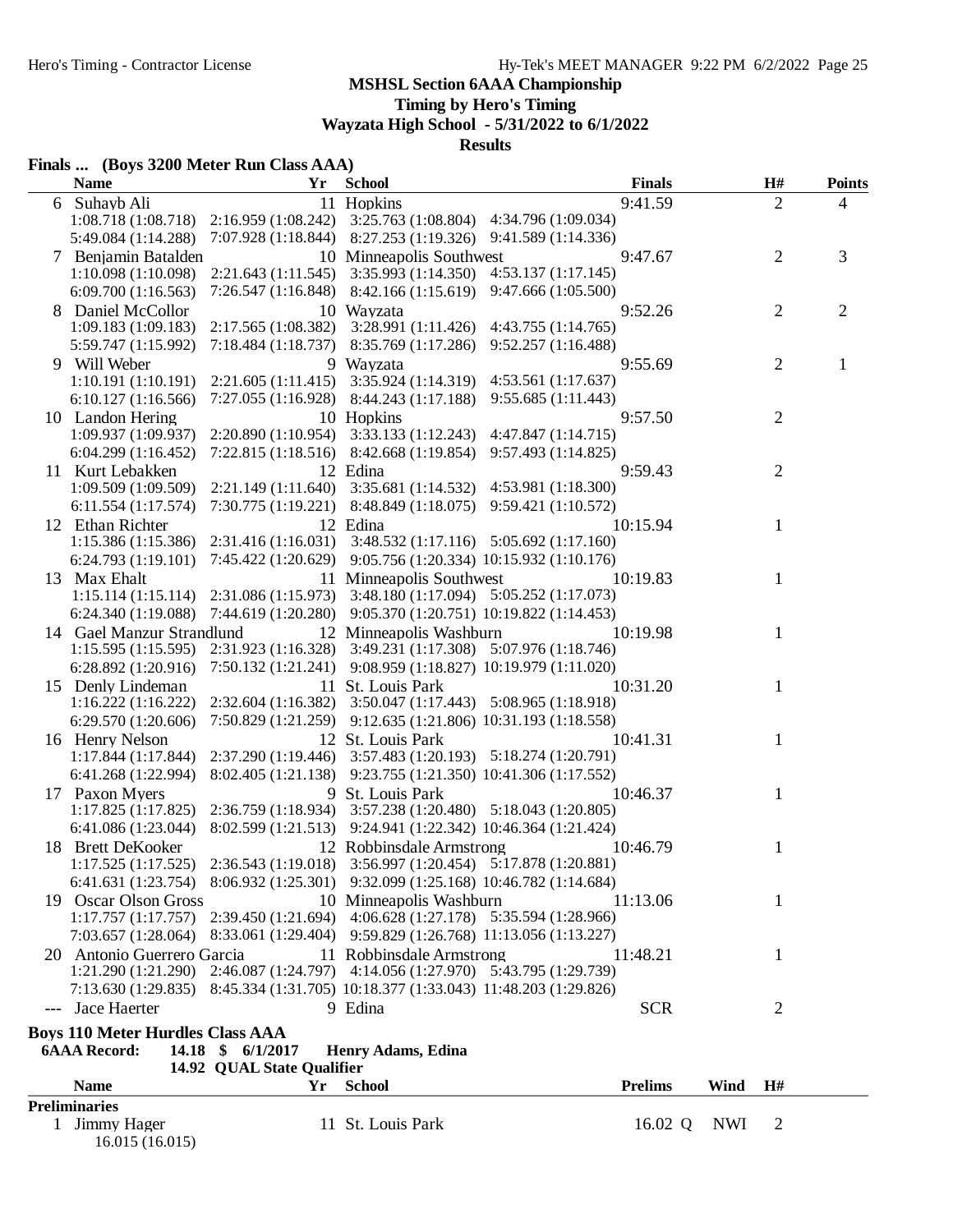**Timing by Hero's Timing**

**Wayzata High School - 5/31/2022 to 6/1/2022**

**Results**

|  |  |  | Finals  (Boys 3200 Meter Run Class AAA) |
|--|--|--|-----------------------------------------|
|--|--|--|-----------------------------------------|

|       | <b>Name</b>                             | Yr                         | <b>School</b>                                                                                               | <b>Finals</b>       | H#         | <b>Points</b>                    |
|-------|-----------------------------------------|----------------------------|-------------------------------------------------------------------------------------------------------------|---------------------|------------|----------------------------------|
|       | 6 Suhayb Ali                            |                            | 11 Hopkins                                                                                                  | 9:41.59             |            | $\overline{2}$<br>4              |
|       |                                         |                            | 1:08.718 (1:08.718) 2:16.959 (1:08.242) 3:25.763 (1:08.804) 4:34.796 (1:09.034)                             |                     |            |                                  |
|       |                                         |                            | 5:49.084 (1:14.288) 7:07.928 (1:18.844) 8:27.253 (1:19.326)                                                 | 9:41.589 (1:14.336) |            |                                  |
|       | 7 Benjamin Batalden                     |                            | 10 Minneapolis Southwest                                                                                    | 9:47.67             |            | 3<br>$\overline{2}$              |
|       |                                         |                            | $1:10.098(1:10.098)$ $2:21.643(1:11.545)$ $3:35.993(1:14.350)$                                              | 4:53.137(1:17.145)  |            |                                  |
|       | 6:09.700(1:16.563)                      |                            | 7:26.547 (1:16.848) 8:42.166 (1:15.619) 9:47.666 (1:05.500)                                                 |                     |            |                                  |
|       | 8 Daniel McCollor                       |                            | 10 Wayzata                                                                                                  | 9:52.26             |            | $\overline{2}$<br>$\overline{2}$ |
|       |                                         |                            | 1:09.183 (1:09.183) 2:17.565 (1:08.382) 3:28.991 (1:11.426)                                                 | 4:43.755 (1:14.765) |            |                                  |
|       | 5:59.747 (1:15.992)                     |                            | 7:18.484 (1:18.737) 8:35.769 (1:17.286)                                                                     | 9:52.257 (1:16.488) |            |                                  |
|       | 9 Will Weber                            |                            | 9 Wayzata                                                                                                   | 9:55.69             |            | $\overline{2}$<br>1              |
|       | 1:10.191(1:10.191)                      |                            | 2:21.605 (1:11.415) 3:35.924 (1:14.319)                                                                     | 4:53.561 (1:17.637) |            |                                  |
|       | 6:10.127(1:16.566)                      |                            | 7:27.055 (1:16.928) 8:44.243 (1:17.188)                                                                     | 9:55.685 (1:11.443) |            |                                  |
|       | 10 Landon Hering                        |                            | 10 Hopkins                                                                                                  | 9:57.50             |            | $\overline{2}$                   |
|       | 1:09.937(1:09.937)                      |                            | 2:20.890 (1:10.954) 3:33.133 (1:12.243) 4:47.847 (1:14.715)                                                 |                     |            |                                  |
|       | 6:04.299(1:16.452)                      |                            | 7:22.815 (1:18.516) 8:42.668 (1:19.854) 9:57.493 (1:14.825)                                                 |                     |            |                                  |
|       | 11 Kurt Lebakken                        |                            | 12 Edina                                                                                                    | 9:59.43             |            | 2                                |
|       |                                         |                            | 1:09.509 (1:09.509) 2:21.149 (1:11.640) 3:35.681 (1:14.532) 4:53.981 (1:18.300)                             |                     |            |                                  |
|       |                                         |                            | 6:11.554 (1:17.574) 7:30.775 (1:19.221) 8:48.849 (1:18.075) 9:59.421 (1:10.572)                             |                     |            |                                  |
|       | 12 Ethan Richter                        |                            | 12 Edina                                                                                                    | 10:15.94            |            | $\mathbf{1}$                     |
|       |                                         |                            | 1:15.386 (1:15.386) 2:31.416 (1:16.031) 3:48.532 (1:17.116) 5:05.692 (1:17.160)                             |                     |            |                                  |
|       |                                         |                            | 6:24.793 (1:19.101) 7:45.422 (1:20.629) 9:05.756 (1:20.334) 10:15.932 (1:10.176)                            |                     |            |                                  |
|       | 13 Max Ehalt                            |                            | 11 Minneapolis Southwest                                                                                    | 10:19.83            |            | $\mathbf{1}$                     |
|       |                                         |                            | 1:15.114 (1:15.114) 2:31.086 (1:15.973) 3:48.180 (1:17.094) 5:05.252 (1:17.073)                             |                     |            |                                  |
|       |                                         |                            | 6:24.340 (1:19.088) 7:44.619 (1:20.280) 9:05.370 (1:20.751) 10:19.822 (1:14.453)                            |                     |            |                                  |
|       | 14 Gael Manzur Strandlund               |                            | 12 Minneapolis Washburn                                                                                     | 10:19.98            |            | $\mathbf{1}$                     |
|       |                                         |                            | 1:15.595 (1:15.595) 2:31.923 (1:16.328) 3:49.231 (1:17.308) 5:07.976 (1:18.746)                             |                     |            |                                  |
|       | 6:28.892(1:20.916)                      |                            | 7:50.132 (1:21.241) 9:08.959 (1:18.827) 10:19.979 (1:11.020)                                                |                     |            |                                  |
|       | 15 Denly Lindeman                       |                            | 11 St. Louis Park                                                                                           | 10:31.20            |            | 1                                |
|       | 1:16.222(1:16.222)                      |                            | 2:32.604 (1:16.382) 3:50.047 (1:17.443) 5:08.965 (1:18.918)                                                 |                     |            |                                  |
|       | 6:29.570 (1:20.606)                     |                            | 7:50.829 (1:21.259) 9:12.635 (1:21.806) 10:31.193 (1:18.558)                                                |                     |            |                                  |
|       | 16 Henry Nelson                         |                            | 12 St. Louis Park                                                                                           | 10:41.31            |            | 1                                |
|       | 1:17.844(1:17.844)                      |                            | 2:37.290 (1:19.446) 3:57.483 (1:20.193) 5:18.274 (1:20.791)                                                 |                     |            |                                  |
|       | 6:41.268 (1:22.994)                     |                            | 8:02.405 (1:21.138) 9:23.755 (1:21.350) 10:41.306 (1:17.552)                                                |                     |            |                                  |
|       | 17 Paxon Myers                          |                            | 9 St. Louis Park                                                                                            | 10:46.37            |            | 1                                |
|       |                                         |                            | 1:17.825 (1:17.825) 2:36.759 (1:18.934) 3:57.238 (1:20.480) 5:18.043 (1:20.805)                             |                     |            |                                  |
|       | 6:41.086(1:23.044)                      |                            | 8:02.599 (1:21.513) 9:24.941 (1:22.342) 10:46.364 (1:21.424)                                                |                     |            |                                  |
|       | 18 Brett DeKooker                       |                            | 12 Robbinsdale Armstrong<br>1:17.525 (1:17.525) 2:36.543 (1:19.018) 3:56.997 (1:20.454) 5:17.878 (1:20.881) | 10:46.79            |            | 1                                |
|       |                                         |                            | 6:41.631 (1:23.754) 8:06.932 (1:25.301) 9:32.099 (1:25.168) 10:46.782 (1:14.684)                            |                     |            |                                  |
|       | 19 Oscar Olson Gross                    |                            | 10 Minneapolis Washburn                                                                                     |                     |            |                                  |
|       |                                         |                            | 1:17.757 (1:17.757) 2:39.450 (1:21.694) 4:06.628 (1:27.178) 5:35.594 (1:28.966)                             | 11:13.06            |            | 1                                |
|       |                                         |                            | 7:03.657 (1:28.064) 8:33.061 (1:29.404) 9:59.829 (1:26.768) 11:13.056 (1:13.227)                            |                     |            |                                  |
|       | 20 Antonio Guerrero Garcia              |                            | 11 Robbinsdale Armstrong                                                                                    | 11:48.21            |            | 1                                |
|       |                                         |                            | 1:21.290 (1:21.290) 2:46.087 (1:24.797) 4:14.056 (1:27.970) 5:43.795 (1:29.739)                             |                     |            |                                  |
|       |                                         |                            | 7:13.630 (1:29.835) 8:45.334 (1:31.705) 10:18.377 (1:33.043) 11:48.203 (1:29.826)                           |                     |            |                                  |
| $---$ | Jace Haerter                            |                            | 9 Edina                                                                                                     | <b>SCR</b>          |            | 2                                |
|       |                                         |                            |                                                                                                             |                     |            |                                  |
|       | <b>Boys 110 Meter Hurdles Class AAA</b> |                            |                                                                                                             |                     |            |                                  |
|       | <b>6AAA Record:</b>                     | 14.18 \$ 6/1/2017          | <b>Henry Adams, Edina</b>                                                                                   |                     |            |                                  |
|       |                                         | 14.92 QUAL State Qualifier |                                                                                                             | <b>Prelims</b>      |            |                                  |
|       | <b>Name</b><br><b>Preliminaries</b>     | Yr                         | <b>School</b>                                                                                               |                     | Wind<br>H# |                                  |
|       | 1 Jimmy Hager                           |                            | 11 St. Louis Park                                                                                           | 16.02 Q             | NWI        | 2                                |
|       | 16.015(16.015)                          |                            |                                                                                                             |                     |            |                                  |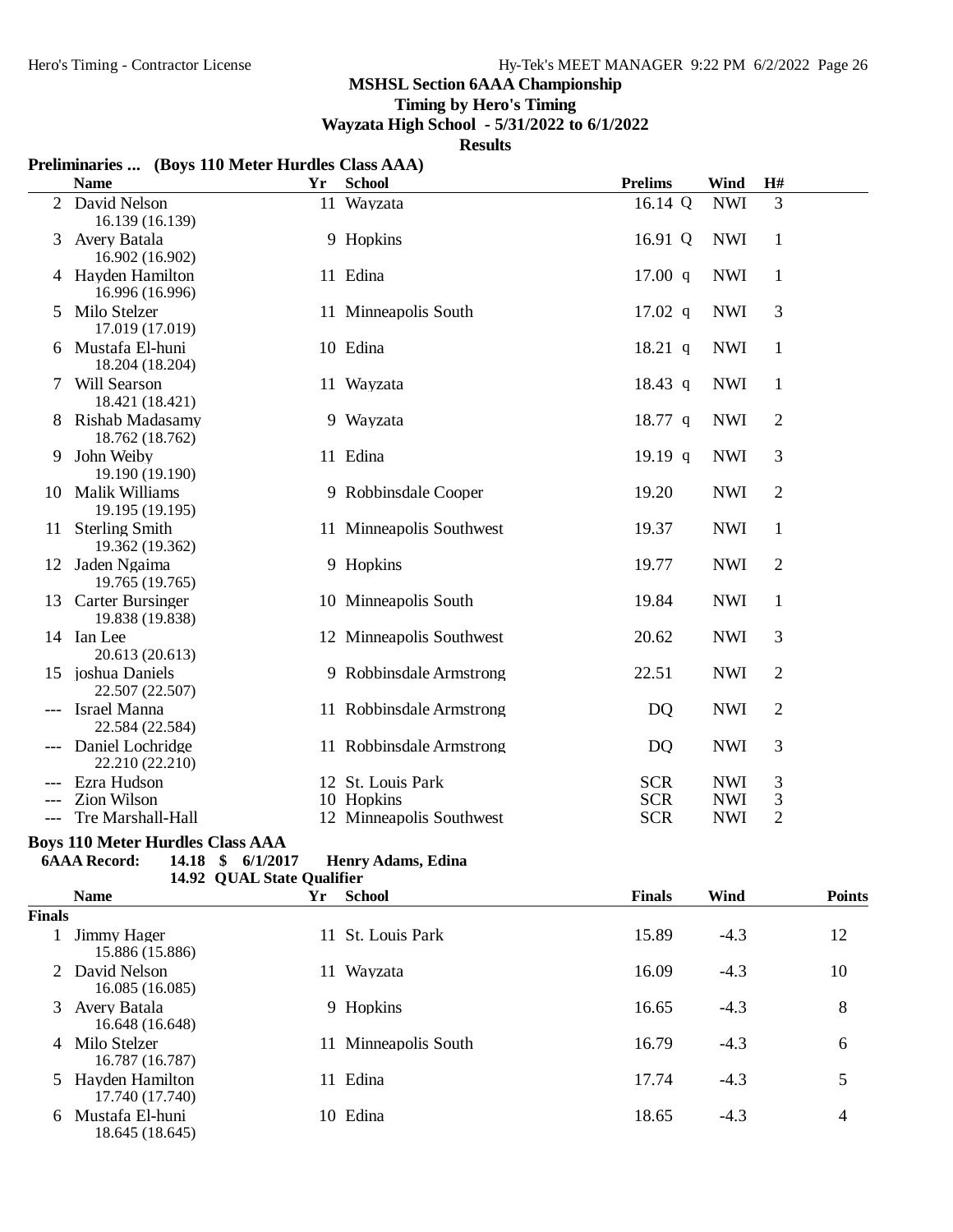**Timing by Hero's Timing**

**Wayzata High School - 5/31/2022 to 6/1/2022**

**Results**

## **Preliminaries ... (Boys 110 Meter Hurdles Class AAA)**

|    | <b>Name</b>                                | Yr | <b>School</b>            | <b>Prelims</b> | <b>Wind</b> | $\mathbf{H}$ # |  |
|----|--------------------------------------------|----|--------------------------|----------------|-------------|----------------|--|
| 2  | David Nelson<br>16.139 (16.139)            |    | 11 Wayzata               | 16.14 Q        | <b>NWI</b>  | 3              |  |
| 3  | Avery Batala<br>16.902 (16.902)            |    | 9 Hopkins                | 16.91 Q        | <b>NWI</b>  | $\mathbf{1}$   |  |
| 4  | Hayden Hamilton<br>16.996 (16.996)         |    | 11 Edina                 | 17.00 q        | <b>NWI</b>  | $\mathbf{1}$   |  |
| 5  | Milo Stelzer<br>17.019 (17.019)            |    | 11 Minneapolis South     | $17.02$ q      | <b>NWI</b>  | 3              |  |
| 6  | Mustafa El-huni<br>18.204 (18.204)         |    | 10 Edina                 | $18.21$ q      | <b>NWI</b>  | $\mathbf{1}$   |  |
| 7  | Will Searson<br>18.421 (18.421)            |    | 11 Wayzata               | 18.43 q        | <b>NWI</b>  | $\mathbf{1}$   |  |
|    | Rishab Madasamy<br>18.762 (18.762)         |    | 9 Wayzata                | $18.77$ q      | <b>NWI</b>  | $\overline{2}$ |  |
| 9  | John Weiby<br>19.190 (19.190)              |    | 11 Edina                 | 19.19q         | <b>NWI</b>  | 3              |  |
| 10 | <b>Malik Williams</b><br>19.195 (19.195)   |    | 9 Robbinsdale Cooper     | 19.20          | <b>NWI</b>  | $\overline{2}$ |  |
| 11 | <b>Sterling Smith</b><br>19.362 (19.362)   |    | 11 Minneapolis Southwest | 19.37          | <b>NWI</b>  | $\mathbf{1}$   |  |
| 12 | Jaden Ngaima<br>19.765 (19.765)            |    | 9 Hopkins                | 19.77          | <b>NWI</b>  | $\overline{2}$ |  |
| 13 | <b>Carter Bursinger</b><br>19.838 (19.838) |    | 10 Minneapolis South     | 19.84          | <b>NWI</b>  | $\mathbf{1}$   |  |
| 14 | Ian Lee<br>20.613 (20.613)                 |    | 12 Minneapolis Southwest | 20.62          | <b>NWI</b>  | 3              |  |
| 15 | joshua Daniels<br>22.507 (22.507)          |    | 9 Robbinsdale Armstrong  | 22.51          | <b>NWI</b>  | $\overline{2}$ |  |
|    | <b>Israel Manna</b><br>22.584 (22.584)     |    | 11 Robbinsdale Armstrong | D <sub>Q</sub> | <b>NWI</b>  | $\overline{2}$ |  |
|    | Daniel Lochridge<br>22.210 (22.210)        |    | 11 Robbinsdale Armstrong | D <sub>Q</sub> | <b>NWI</b>  | 3              |  |
|    | Ezra Hudson                                |    | 12 St. Louis Park        | <b>SCR</b>     | <b>NWI</b>  | 3              |  |
|    | <b>Zion Wilson</b>                         |    | 10 Hopkins               | <b>SCR</b>     | <b>NWI</b>  | 3              |  |
|    | Tre Marshall-Hall                          |    | 12 Minneapolis Southwest | <b>SCR</b>     | <b>NWI</b>  | $\overline{2}$ |  |
|    | <b>Boys 110 Meter Hurdles Class AAA</b>    |    |                          |                |             |                |  |

## **6AAA Record: 14.18 \$ 6/1/2017 Henry Adams, Edina**

**14.92 QUAL State Qualifier** 

|        | <b>Name</b>                        | Yr | <b>School</b>        | <b>Finals</b> | Wind   | <b>Points</b> |
|--------|------------------------------------|----|----------------------|---------------|--------|---------------|
| Finals |                                    |    |                      |               |        |               |
|        | Jimmy Hager<br>15.886 (15.886)     |    | 11 St. Louis Park    | 15.89         | $-4.3$ | 12            |
|        | 2 David Nelson<br>16.085(16.085)   |    | 11 Wayzata           | 16.09         | $-4.3$ | 10            |
| 3      | Avery Batala<br>16.648 (16.648)    |    | 9 Hopkins            | 16.65         | $-4.3$ | 8             |
| 4      | Milo Stelzer<br>16.787 (16.787)    |    | 11 Minneapolis South | 16.79         | $-4.3$ | 6             |
| 5.     | Hayden Hamilton<br>17.740 (17.740) | 11 | Edina                | 17.74         | $-4.3$ | 5             |
| 6      | Mustafa El-huni<br>18.645 (18.645) |    | 10 Edina             | 18.65         | $-4.3$ | 4             |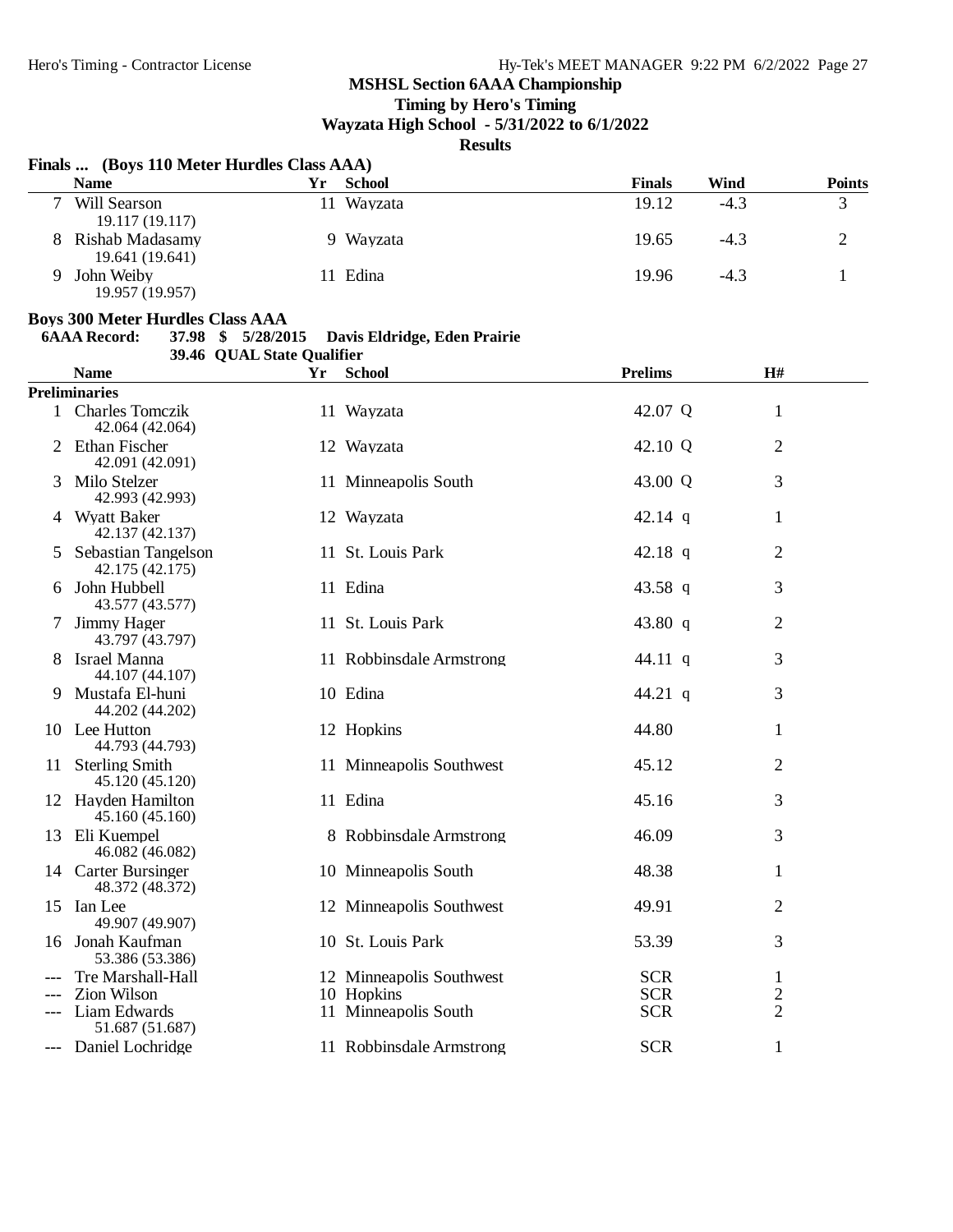**Timing by Hero's Timing**

**Wayzata High School - 5/31/2022 to 6/1/2022**

**Results**

## **Finals ... (Boys 110 Meter Hurdles Class AAA)**

|    | <b>Name</b>                        | Үr | <b>School</b> | <b>Finals</b> | Wind   | <b>Points</b> |
|----|------------------------------------|----|---------------|---------------|--------|---------------|
|    | Will Searson<br>19.117 (19.117)    | 11 | Wayzata       | 19.12         | $-4.3$ |               |
| 8. | Rishab Madasamy<br>19.641 (19.641) |    | 9 Wayzata     | 19.65         | $-4.3$ |               |
| Q  | John Weiby<br>19.957 (19.957)      |    | 11 Edina      | 19.96         | $-4.3$ |               |

## **Boys 300 Meter Hurdles Class AAA**<br>6AAA Record: 37.98 \$ 5/28/20

**6AAA Record: 37.98 \$ 5/28/2015 Davis Eldridge, Eden Prairie**

**39.46 QUAL State Qualifier** 

|    | <b>Name</b>                               | Yr | <b>School</b>            | <b>Prelims</b> | H#             |  |
|----|-------------------------------------------|----|--------------------------|----------------|----------------|--|
|    | <b>Preliminaries</b>                      |    |                          |                |                |  |
| 1  | <b>Charles Tomczik</b><br>42.064 (42.064) |    | 11 Wayzata               | 42.07 Q        | 1              |  |
|    | <b>Ethan Fischer</b><br>42.091 (42.091)   |    | 12 Wayzata               | 42.10 Q        | 2              |  |
| 3  | Milo Stelzer<br>42.993 (42.993)           |    | 11 Minneapolis South     | 43.00 Q        | 3              |  |
|    | 4 Wyatt Baker<br>42.137 (42.137)          |    | 12 Wayzata               | 42.14 $q$      | 1              |  |
| 5  | Sebastian Tangelson<br>42.175 (42.175)    |    | 11 St. Louis Park        | 42.18 $q$      | $\overline{2}$ |  |
| 6. | John Hubbell<br>43.577 (43.577)           |    | 11 Edina                 | 43.58 q        | 3              |  |
| 7  | Jimmy Hager<br>43.797 (43.797)            |    | 11 St. Louis Park        | 43.80 q        | $\overline{2}$ |  |
|    | <b>Israel Manna</b><br>44.107 (44.107)    |    | 11 Robbinsdale Armstrong | 44.11 q        | 3              |  |
| 9  | Mustafa El-huni<br>44.202 (44.202)        |    | 10 Edina                 | 44.21 q        | 3              |  |
|    | 10 Lee Hutton<br>44.793 (44.793)          |    | 12 Hopkins               | 44.80          | 1              |  |
| 11 | <b>Sterling Smith</b><br>45.120 (45.120)  |    | 11 Minneapolis Southwest | 45.12          | $\overline{2}$ |  |
| 12 | Hayden Hamilton<br>45.160 (45.160)        |    | 11 Edina                 | 45.16          | 3              |  |
| 13 | Eli Kuempel<br>46.082 (46.082)            |    | 8 Robbinsdale Armstrong  | 46.09          | $\overline{3}$ |  |
|    | 14 Carter Bursinger<br>48.372 (48.372)    |    | 10 Minneapolis South     | 48.38          | 1              |  |
|    | 15 Ian Lee<br>49.907 (49.907)             |    | 12 Minneapolis Southwest | 49.91          | 2              |  |
|    | 16 Jonah Kaufman<br>53.386 (53.386)       |    | 10 St. Louis Park        | 53.39          | 3              |  |
|    | Tre Marshall-Hall                         |    | 12 Minneapolis Southwest | <b>SCR</b>     | $\mathbf{1}$   |  |
|    | <b>Zion Wilson</b>                        |    | 10 Hopkins               | <b>SCR</b>     | $\mathbf{2}$   |  |
|    | Liam Edwards<br>51.687 (51.687)           |    | 11 Minneapolis South     | <b>SCR</b>     | $\overline{2}$ |  |
|    | --- Daniel Lochridge                      |    | 11 Robbinsdale Armstrong | <b>SCR</b>     | $\mathbf{1}$   |  |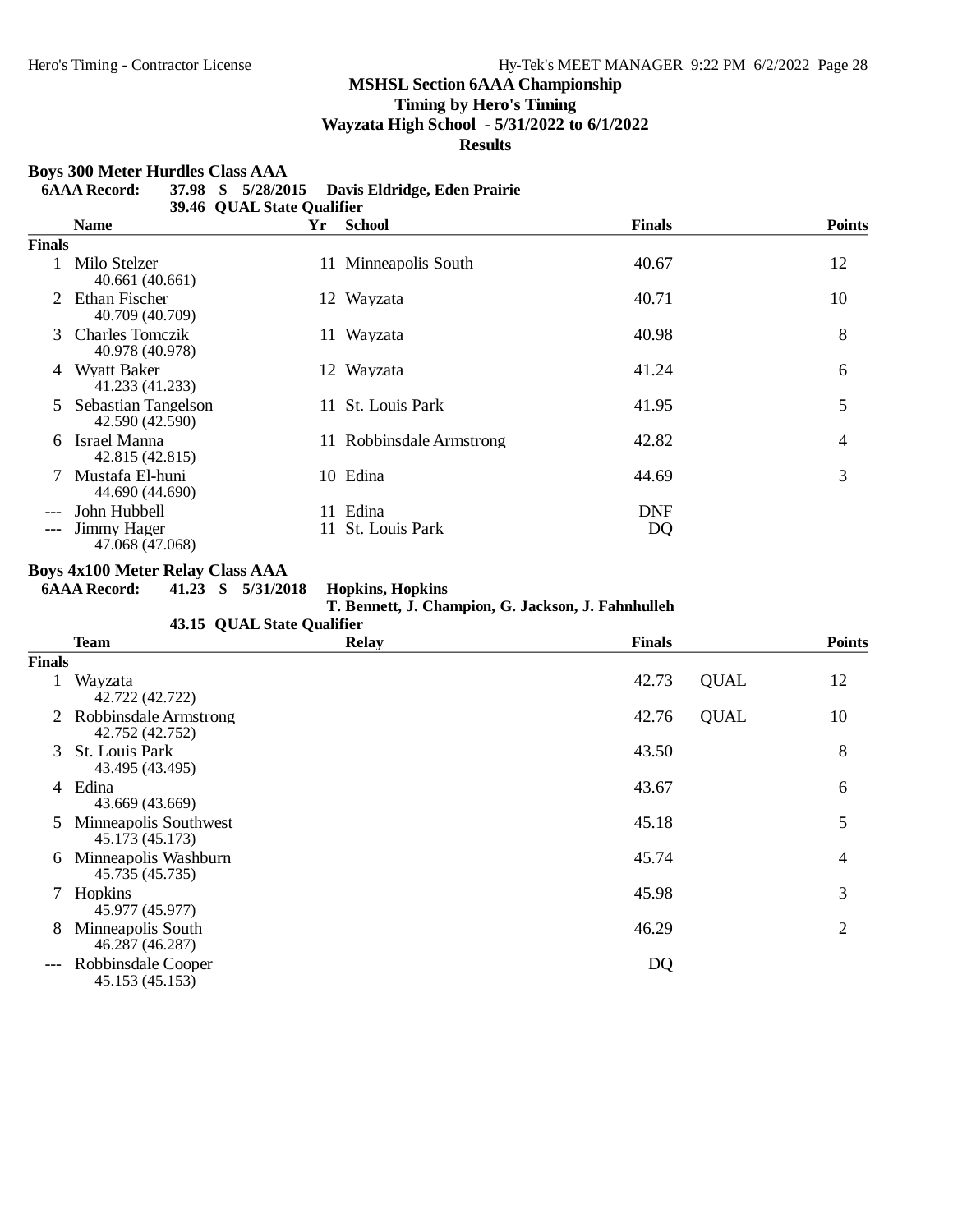## **Timing by Hero's Timing**

**Wayzata High School - 5/31/2022 to 6/1/2022**

**Results**

**Boys 300 Meter Hurdles Class AAA**<br>6AAA Record: 37.98 \$ 5/28/20

**6AAA Record: 37.98 \$ 5/28/2015 Davis Eldridge, Eden Prairie**

**39.46 QUAL State Qualifier** 

|                             | <b>Name</b>                               | Yr  | <b>School</b>            | <b>Finals</b> | <b>Points</b> |
|-----------------------------|-------------------------------------------|-----|--------------------------|---------------|---------------|
| Finals                      |                                           |     |                          |               |               |
|                             | Milo Stelzer<br>40.661 (40.661)           | 11. | Minneapolis South        | 40.67         | 12            |
| $\mathcal{D}_{\mathcal{L}}$ | Ethan Fischer<br>40.709 (40.709)          |     | 12 Wayzata               | 40.71         | 10            |
| 3                           | <b>Charles Tomczik</b><br>40.978 (40.978) | 11  | Wayzata                  | 40.98         | 8             |
| 4                           | <b>Wyatt Baker</b><br>41.233 (41.233)     |     | 12 Wayzata               | 41.24         | 6             |
| 5                           | Sebastian Tangelson<br>42.590 (42.590)    |     | 11 St. Louis Park        | 41.95         | 5             |
| 6                           | Israel Manna<br>42.815 (42.815)           |     | 11 Robbinsdale Armstrong | 42.82         | 4             |
|                             | Mustafa El-huni<br>44.690 (44.690)        |     | 10 Edina                 | 44.69         | 3             |
|                             | John Hubbell                              |     | 11 Edina                 | <b>DNF</b>    |               |
| $---$                       | Jimmy Hager<br>47.068 (47.068)            | 11. | <b>St.</b> Louis Park    | DQ            |               |

## **Boys 4x100 Meter Relay Class AAA**<br>6AAA Record: 41.23 \$ 5/31/20

#### **6AAA Record: 41.23 \$ 5/31/2018 Hopkins, Hopkins**

**T. Bennett, J. Champion, G. Jackson, J. Fahnhulleh**

|                | 43.15 QUAL State Qualifier                 |       |               |             |                |
|----------------|--------------------------------------------|-------|---------------|-------------|----------------|
|                | <b>Team</b>                                | Relay | <b>Finals</b> |             | <b>Points</b>  |
| <b>Finals</b>  |                                            |       |               |             |                |
| $\mathbf{1}$   | Wayzata<br>42.722 (42.722)                 |       | 42.73         | <b>QUAL</b> | 12             |
|                | 2 Robbinsdale Armstrong<br>42.752 (42.752) |       | 42.76         | <b>QUAL</b> | 10             |
| 3              | St. Louis Park<br>43.495 (43.495)          |       | 43.50         |             | 8              |
|                | 4 Edina<br>43.669 (43.669)                 |       | 43.67         |             | 6              |
| 5              | Minneapolis Southwest<br>45.173 (45.173)   |       | 45.18         |             | 5              |
| 6              | Minneapolis Washburn<br>45.735 (45.735)    |       | 45.74         |             | 4              |
| $7\phantom{0}$ | Hopkins<br>45.977 (45.977)                 |       | 45.98         |             | 3              |
| 8              | Minneapolis South<br>46.287 (46.287)       |       | 46.29         |             | $\overline{2}$ |
| $---$          | Robbinsdale Cooper<br>45.153 (45.153)      |       | DQ            |             |                |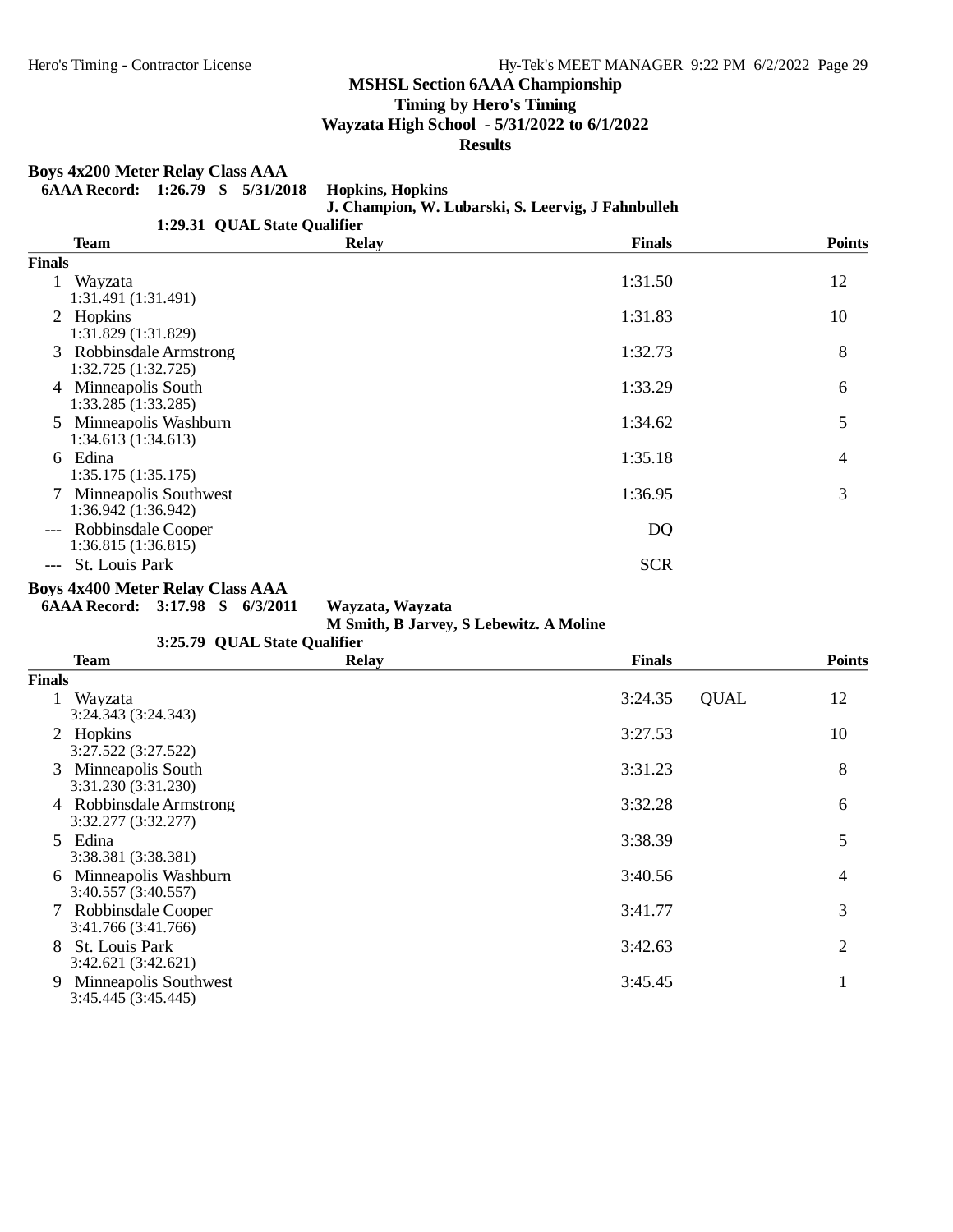**Timing by Hero's Timing**

**Wayzata High School - 5/31/2022 to 6/1/2022**

**Results**

**Boys 4x200 Meter Relay Class AAA**

**6AAA Record: 1:26.79 \$ 5/31/2018 Hopkins, Hopkins**

**J. Champion, W. Lubarski, S. Leervig, J Fahnbulleh**

|  | 1:29.31 QUAL State Qualifier |  |
|--|------------------------------|--|
|--|------------------------------|--|

|               | <b>Team</b>                                    | <b>Relay</b> | <b>Finals</b> | <b>Points</b> |
|---------------|------------------------------------------------|--------------|---------------|---------------|
| <b>Finals</b> |                                                |              |               |               |
|               | Wayzata<br>1:31.491 (1:31.491)                 |              | 1:31.50       | 12            |
|               | 2 Hopkins<br>1:31.829 (1:31.829)               |              | 1:31.83       | 10            |
|               | 3 Robbinsdale Armstrong<br>1:32.725(1:32.725)  |              | 1:32.73       | 8             |
|               | 4 Minneapolis South<br>1:33.285 (1:33.285)     |              | 1:33.29       | 6             |
|               | 5 Minneapolis Washburn<br>1:34.613(1:34.613)   |              | 1:34.62       | 5             |
|               | 6 Edina<br>1:35.175(1:35.175)                  |              | 1:35.18       | 4             |
|               | 7 Minneapolis Southwest<br>1:36.942 (1:36.942) |              | 1:36.95       | 3             |
| $---$         | Robbinsdale Cooper<br>1:36.815(1:36.815)       |              | DQ            |               |
|               | St. Louis Park                                 |              | <b>SCR</b>    |               |

**Boys 4x400 Meter Relay Class AAA**

**6AAA Record: 3:17.98 \$ 6/3/2011 Wayzata, Wayzata**

|               | 3:25.79 QUAL State Qualifier                   |              |               |             |                |
|---------------|------------------------------------------------|--------------|---------------|-------------|----------------|
|               | <b>Team</b>                                    | <b>Relay</b> | <b>Finals</b> |             | <b>Points</b>  |
| <b>Finals</b> |                                                |              |               |             |                |
|               | Wayzata<br>3:24.343 (3:24.343)                 |              | 3:24.35       | <b>QUAL</b> | 12             |
|               | 2 Hopkins<br>3:27.522 (3:27.522)               |              | 3:27.53       |             | 10             |
|               | 3 Minneapolis South<br>3:31.230 (3:31.230)     |              | 3:31.23       |             | 8              |
|               | 4 Robbinsdale Armstrong<br>3:32.277 (3:32.277) |              | 3:32.28       |             | 6              |
|               | 5 Edina<br>3:38.381 (3:38.381)                 |              | 3:38.39       |             | 5              |
|               | 6 Minneapolis Washburn<br>3:40.557 (3:40.557)  |              | 3:40.56       |             | 4              |
|               | 7 Robbinsdale Cooper<br>3:41.766 (3:41.766)    |              | 3:41.77       |             | 3              |
| 8             | St. Louis Park<br>3:42.621 (3:42.621)          |              | 3:42.63       |             | $\overline{2}$ |
| 9             | Minneapolis Southwest<br>3:45.445 (3:45.445)   |              | 3:45.45       |             | -1             |

**M Smith, B Jarvey, S Lebewitz. A Moline**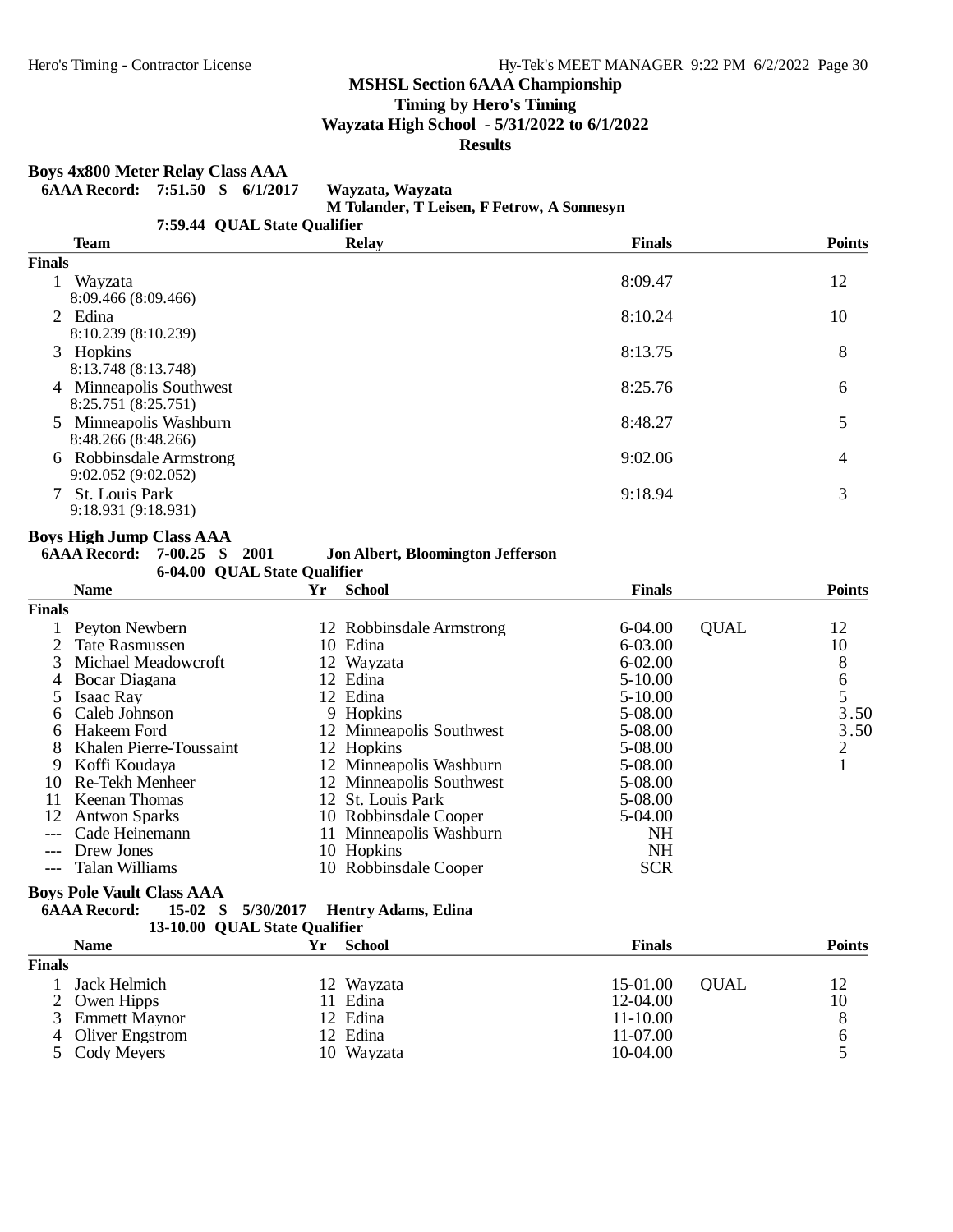**Timing by Hero's Timing**

**Wayzata High School - 5/31/2022 to 6/1/2022**

**Results**

#### **Boys 4x800 Meter Relay Class AAA**

**6AAA Record: 7:51.50 \$ 6/1/2017 Wayzata, Wayzata**

**M Tolander, T Leisen, F Fetrow, A Sonnesyn**

**7:59.44 OUAL State Qualifier** 

|               | <b>Team</b>                                    | <b>Relay</b> | <b>Finals</b> | <b>Points</b> |
|---------------|------------------------------------------------|--------------|---------------|---------------|
| <b>Finals</b> |                                                |              |               |               |
|               | Wayzata<br>8:09.466 (8:09.466)                 |              | 8:09.47       | 12            |
|               | 2 Edina<br>8:10.239 (8:10.239)                 |              | 8:10.24       | 10            |
|               | 3 Hopkins<br>8:13.748 (8:13.748)               |              | 8:13.75       | 8             |
|               | 4 Minneapolis Southwest<br>8:25.751 (8:25.751) |              | 8:25.76       | 6             |
|               | 5 Minneapolis Washburn<br>8:48.266 (8:48.266)  |              | 8:48.27       | 5             |
|               | 6 Robbinsdale Armstrong<br>9:02.052(9:02.052)  |              | 9:02.06       | 4             |
|               | St. Louis Park<br>9:18.931(9:18.931)           |              | 9:18.94       | 3             |

#### **Boys High Jump Class AAA**

5 Cody Meyers

**6AAA Record: 7-00.25 \$ 2001 Jon Albert, Bloomington Jefferson**

**6-04.00 QUAL State Qualifier** 

|               | <b>Name</b>                                      | Yr | <b>School</b>              | <b>Finals</b> |             | <b>Points</b>                         |
|---------------|--------------------------------------------------|----|----------------------------|---------------|-------------|---------------------------------------|
| <b>Finals</b> |                                                  |    |                            |               |             |                                       |
|               | Peyton Newbern                                   |    | 12 Robbinsdale Armstrong   | 6-04.00       | <b>QUAL</b> | 12                                    |
|               | Tate Rasmussen                                   |    | 10 Edina                   | 6-03.00       |             | 10                                    |
| 3             | Michael Meadowcroft                              | 12 | Wayzata                    | $6 - 02.00$   |             | 8                                     |
| 4             | Bocar Diagana                                    |    | 12 Edina                   | $5 - 10.00$   |             | $\begin{array}{c} 6 \\ 5 \end{array}$ |
| 5             | Isaac Ray                                        | 12 | Edina                      | $5 - 10.00$   |             |                                       |
| 6             | Caleb Johnson                                    |    | 9 Hopkins                  | 5-08.00       |             | 3.50                                  |
| 6             | Hakeem Ford                                      |    | 12 Minneapolis Southwest   | 5-08.00       |             | 3.50                                  |
| 8             | Khalen Pierre-Toussaint                          |    | 12 Hopkins                 | 5-08.00       |             | $\mathbf{2}$                          |
| 9             | Koffi Koudaya                                    |    | 12 Minneapolis Washburn    | 5-08.00       |             | $\mathbf{1}$                          |
| 10            | Re-Tekh Menheer                                  |    | 12 Minneapolis Southwest   | 5-08.00       |             |                                       |
| 11            | Keenan Thomas                                    |    | 12 St. Louis Park          | 5-08.00       |             |                                       |
| 12            | <b>Antwon Sparks</b>                             |    | 10 Robbinsdale Cooper      | 5-04.00       |             |                                       |
| $---$         | Cade Heinemann                                   |    | 11 Minneapolis Washburn    | <b>NH</b>     |             |                                       |
| $---$         | Drew Jones                                       |    | 10 Hopkins                 | <b>NH</b>     |             |                                       |
| $---$         | Talan Williams                                   |    | 10 Robbinsdale Cooper      | <b>SCR</b>    |             |                                       |
|               | <b>Boys Pole Vault Class AAA</b>                 |    |                            |               |             |                                       |
|               | <b>6AAA Record:</b><br>15-02<br>5/30/2017<br>-SS |    | <b>Hentry Adams, Edina</b> |               |             |                                       |
|               | 13-10.00 QUAL State Qualifier                    |    |                            |               |             |                                       |
|               | <b>Name</b>                                      | Yr | School                     | <b>Finals</b> |             | <b>Points</b>                         |
| <b>Finals</b> |                                                  |    |                            |               |             |                                       |
|               | Jack Helmich                                     |    | 12 Wayzata                 | 15-01.00      | <b>QUAL</b> | 12                                    |
|               | Owen Hipps                                       | 11 | Edina                      | 12-04.00      |             | 10                                    |
| 3             | <b>Emmett Maynor</b>                             | 12 | Edina                      | 11-10.00      |             | 8                                     |
| 4             | <b>Oliver Engstrom</b>                           |    | 12 Edina                   | 11-07.00      |             | 6                                     |

4 Oliver Engstrom 12 Edina 11-07.00 6<br>5 Cody Meyers 10 Wayzata 10-04.00 5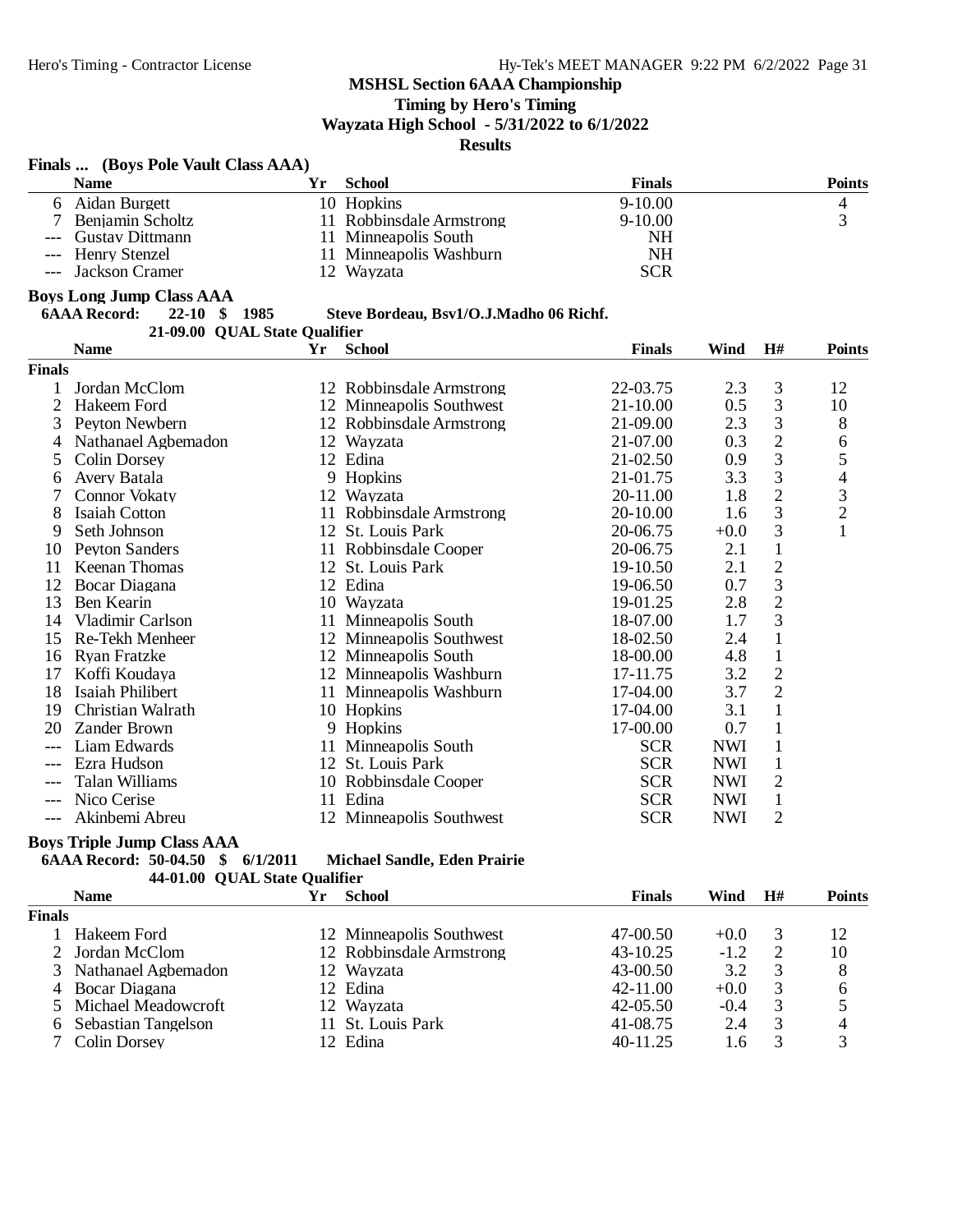**Timing by Hero's Timing**

**Wayzata High School - 5/31/2022 to 6/1/2022**

**Results**

#### **Finals ... (Boys Pole Vault Class AAA)**

| <b>Name</b>         | Үr | School                   | <b>Finals</b> | Points |
|---------------------|----|--------------------------|---------------|--------|
| 6 Aidan Burgett     |    | 10 Hopkins               | $9-10.00$     | 4      |
| 7 Benjamin Scholtz  |    | 11 Robbinsdale Armstrong | $9-10.00$     |        |
| --- Gustav Dittmann |    | 11 Minneapolis South     | NΗ            |        |
| --- Henry Stenzel   |    | 11 Minneapolis Washburn  | NΗ            |        |
| --- Jackson Cramer  |    | 12 Wayzata               | <b>SCR</b>    |        |

## **Boys Long Jump Class AAA**

| <b>6AAA Record:</b> | 22-10 \$ 1985 |                               | Steve Bordeau, Bsv1/O.J.Madho 06 Richf. |
|---------------------|---------------|-------------------------------|-----------------------------------------|
|                     |               | 21-09.00 QUAL State Qualifier |                                         |

|               | <b>Name</b>           | Yr | <b>School</b>            | <b>Finals</b> | Wind       | H#             | <b>Points</b>  |
|---------------|-----------------------|----|--------------------------|---------------|------------|----------------|----------------|
| <b>Finals</b> |                       |    |                          |               |            |                |                |
|               | Jordan McClom         |    | 12 Robbinsdale Armstrong | 22-03.75      | 2.3        | 3              | 12             |
|               | Hakeem Ford           |    | 12 Minneapolis Southwest | 21-10.00      | 0.5        | 3              | 10             |
| 3             | Peyton Newbern        |    | 12 Robbinsdale Armstrong | 21-09.00      | 2.3        | 3              | 8              |
| 4             | Nathanael Agbemadon   |    | 12 Wayzata               | 21-07.00      | 0.3        | $\overline{2}$ | 6              |
| 5.            | <b>Colin Dorsey</b>   |    | 12 Edina                 | 21-02.50      | 0.9        | 3              | 5              |
| 6             | Avery Batala          |    | 9 Hopkins                | 21-01.75      | 3.3        | 3              | $\overline{4}$ |
|               | Connor Vokaty         | 12 | Wavzata                  | 20-11.00      | 1.8        | $\sqrt{2}$     | 3              |
| 8             | <b>Isaiah Cotton</b>  | 11 | Robbinsdale Armstrong    | 20-10.00      | 1.6        | 3              | $\overline{c}$ |
| 9             | Seth Johnson          |    | 12 St. Louis Park        | 20-06.75      | $+0.0$     | 3              | $\mathbf{1}$   |
| 10            | <b>Peyton Sanders</b> | 11 | Robbinsdale Cooper       | 20-06.75      | 2.1        | 1              |                |
| 11            | <b>Keenan Thomas</b>  |    | 12 St. Louis Park        | 19-10.50      | 2.1        | $\sqrt{2}$     |                |
| 12            | Bocar Diagana         |    | 12 Edina                 | 19-06.50      | 0.7        | 3              |                |
| 13            | Ben Kearin            |    | 10 Wayzata               | 19-01.25      | 2.8        | $\mathbf{2}$   |                |
| 14            | Vladimir Carlson      |    | 11 Minneapolis South     | 18-07.00      | 1.7        | 3              |                |
| 15            | Re-Tekh Menheer       |    | 12 Minneapolis Southwest | 18-02.50      | 2.4        | $\mathbf{1}$   |                |
| 16            | <b>Ryan Fratzke</b>   |    | 12 Minneapolis South     | 18-00.00      | 4.8        | $\mathbf{1}$   |                |
| 17            | Koffi Koudaya         |    | 12 Minneapolis Washburn  | 17-11.75      | 3.2        | $\sqrt{2}$     |                |
| 18            | Isaiah Philibert      |    | 11 Minneapolis Washburn  | 17-04.00      | 3.7        | $\overline{2}$ |                |
| 19            | Christian Walrath     |    | 10 Hopkins               | 17-04.00      | 3.1        | $\mathbf{1}$   |                |
| 20            | Zander Brown          |    | 9 Hopkins                | 17-00.00      | 0.7        | 1              |                |
| ---           | Liam Edwards          | 11 | Minneapolis South        | <b>SCR</b>    | <b>NWI</b> |                |                |
| ---           | Ezra Hudson           |    | 12 St. Louis Park        | <b>SCR</b>    | <b>NWI</b> | 1              |                |
| $---$         | Talan Williams        |    | 10 Robbinsdale Cooper    | <b>SCR</b>    | <b>NWI</b> | $\overline{2}$ |                |
| $---$         | Nico Cerise           | 11 | Edina                    | <b>SCR</b>    | <b>NWI</b> | $\mathbf{1}$   |                |
| ---           | Akinbemi Abreu        |    | 12 Minneapolis Southwest | <b>SCR</b>    | <b>NWI</b> | 2              |                |

## **Boys Triple Jump Class AAA**

## **6AAA Record: 50-04.50 \$ 6/1/2011 Michael Sandle, Eden Prairie**

|               |    |        |               | 44-01.00 QUAL State Qualifier |    |                       |               |
|---------------|----|--------|---------------|-------------------------------|----|-----------------------|---------------|
| <b>Points</b> | H# | Wind   | <b>Finals</b> | <b>School</b>                 | Yг | <b>Name</b>           |               |
|               |    |        |               |                               |    |                       | <b>Finals</b> |
| 12            |    | $+0.0$ | 47-00.50      | 12 Minneapolis Southwest      |    | Hakeem Ford           |               |
| 10            |    | $-1.2$ | 43-10.25      | 12 Robbinsdale Armstrong      |    | Jordan McClom         |               |
| 8             |    | 3.2    | $43 - 00.50$  | 12 Wayzata                    |    | 3 Nathanael Agbemadon |               |
| 6             |    | $+0.0$ | $42 - 11.00$  | 12 Edina                      |    | Bocar Diagana         |               |
|               | 3  | $-0.4$ | $42 - 05.50$  | 12 Wayzata                    |    | 5 Michael Meadowcroft |               |
| 4             |    | 2.4    | 41-08.75      | 11 St. Louis Park             |    | Sebastian Tangelson   |               |
| $\mathbf 3$   |    | 1.6    | $40 - 11.25$  | 12 Edina                      |    | <b>Colin Dorsey</b>   |               |
|               |    |        |               |                               |    |                       |               |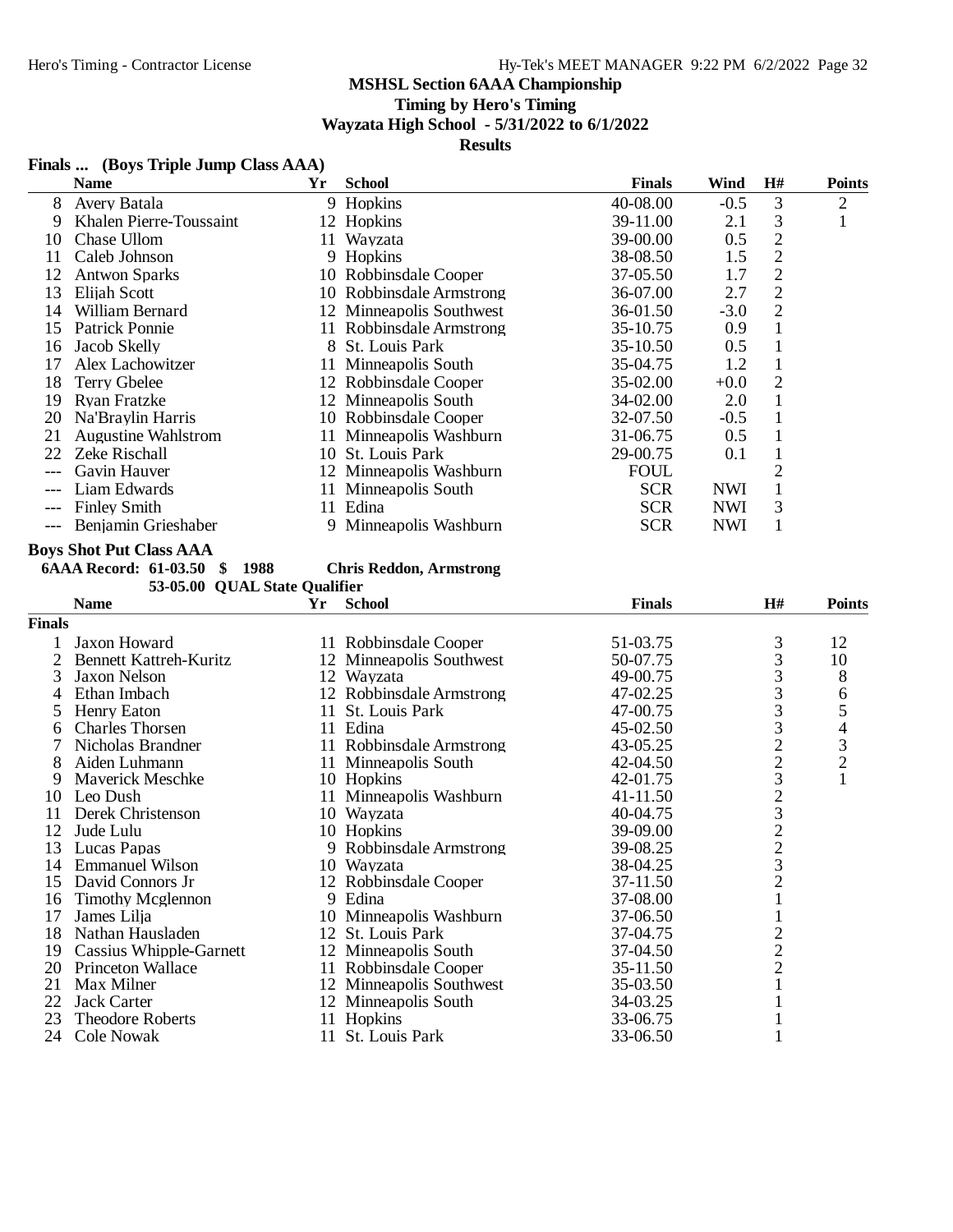**Timing by Hero's Timing**

**Wayzata High School - 5/31/2022 to 6/1/2022**

**Results**

## **Finals ... (Boys Triple Jump Class AAA)**

|                          | <b>Name</b>                                                                                      | Yr | <b>School</b>                                 | <b>Finals</b>        | Wind       | H#                                         | <b>Points</b>            |
|--------------------------|--------------------------------------------------------------------------------------------------|----|-----------------------------------------------|----------------------|------------|--------------------------------------------|--------------------------|
| 8                        | Avery Batala                                                                                     |    | 9 Hopkins                                     | 40-08.00             | $-0.5$     | 3                                          | $\overline{2}$           |
| 9                        | Khalen Pierre-Toussaint                                                                          |    | 12 Hopkins                                    | 39-11.00             | 2.1        | $\mathfrak{Z}$                             | $\mathbf{1}$             |
| 10                       | Chase Ullom                                                                                      |    | 11 Wayzata                                    | 39-00.00             | 0.5        |                                            |                          |
| 11                       | Caleb Johnson                                                                                    |    | 9 Hopkins                                     | 38-08.50             | 1.5        | $\begin{array}{c} 2 \\ 2 \\ 2 \end{array}$ |                          |
| 12                       | <b>Antwon Sparks</b>                                                                             |    | 10 Robbinsdale Cooper                         | 37-05.50             | 1.7        |                                            |                          |
| 13                       | Elijah Scott                                                                                     |    | 10 Robbinsdale Armstrong                      | 36-07.00             | 2.7        | $\overline{2}$                             |                          |
| 14                       | William Bernard                                                                                  |    | 12 Minneapolis Southwest                      | 36-01.50             | $-3.0$     | $\sqrt{2}$                                 |                          |
| 15                       | <b>Patrick Ponnie</b>                                                                            |    | 11 Robbinsdale Armstrong                      | 35-10.75             | 0.9        | $\mathbf{1}$                               |                          |
| 16                       | Jacob Skelly                                                                                     |    | 8 St. Louis Park                              | 35-10.50             | 0.5        | $\mathbf{1}$                               |                          |
| 17                       | Alex Lachowitzer                                                                                 |    | 11 Minneapolis South                          | 35-04.75             | 1.2        | $\mathbf{1}$                               |                          |
| 18                       | <b>Terry Gbelee</b>                                                                              |    | 12 Robbinsdale Cooper                         | 35-02.00             | $+0.0$     | $\sqrt{2}$                                 |                          |
|                          | 19 Ryan Fratzke                                                                                  |    | 12 Minneapolis South                          | 34-02.00             | 2.0        | $\mathbf{1}$                               |                          |
| 20                       | Na'Braylin Harris                                                                                |    | 10 Robbinsdale Cooper                         | 32-07.50             | $-0.5$     | $\mathbf{1}$                               |                          |
| 21                       | <b>Augustine Wahlstrom</b>                                                                       |    | 11 Minneapolis Washburn                       | 31-06.75             | 0.5        | $\mathbf{1}$                               |                          |
| 22                       | Zeke Rischall                                                                                    |    | 10 St. Louis Park                             | 29-00.75             | 0.1        | $\mathbf{1}$                               |                          |
|                          | Gavin Hauver                                                                                     |    | 12 Minneapolis Washburn                       | <b>FOUL</b>          |            | $\overline{c}$                             |                          |
|                          | Liam Edwards                                                                                     |    | 11 Minneapolis South                          | <b>SCR</b>           | <b>NWI</b> | $\mathbf{1}$                               |                          |
| $---$                    | <b>Finley Smith</b>                                                                              |    | 11 Edina                                      | <b>SCR</b>           | <b>NWI</b> | 3                                          |                          |
| $\hspace{0.05cm} \ldots$ | Benjamin Grieshaber                                                                              |    | 9 Minneapolis Washburn                        | <b>SCR</b>           | <b>NWI</b> | $\mathbf{1}$                               |                          |
|                          | <b>Boys Shot Put Class AAA</b><br>6AAA Record: 61-03.50 \$ 1988<br>53-05.00 QUAL State Qualifier |    | <b>Chris Reddon, Armstrong</b>                |                      |            |                                            |                          |
|                          | <b>Name</b>                                                                                      | Yr | <b>School</b>                                 | <b>Finals</b>        |            | H#                                         | <b>Points</b>            |
| Finals                   |                                                                                                  |    |                                               |                      |            |                                            |                          |
| 1                        | Jaxon Howard                                                                                     |    | 11 Robbinsdale Cooper                         | 51-03.75             |            |                                            | 12                       |
| 2                        | <b>Bennett Kattreh-Kuritz</b>                                                                    |    | 12 Minneapolis Southwest                      | 50-07.75             |            |                                            | 10                       |
| 3                        | Jaxon Nelson                                                                                     |    | 12 Wayzata                                    | 49-00.75             |            | 333332232323                               | 8                        |
| 4                        | Ethan Imbach                                                                                     |    | 12 Robbinsdale Armstrong                      | 47-02.25             |            |                                            | $\boldsymbol{6}$         |
| 5                        | <b>Henry Eaton</b>                                                                               |    | 11 St. Louis Park                             | 47-00.75             |            |                                            | 5                        |
| 6                        | <b>Charles Thorsen</b>                                                                           |    | 11 Edina                                      | 45-02.50             |            |                                            | $\overline{\mathcal{L}}$ |
| 7                        | Nicholas Brandner                                                                                |    | 11 Robbinsdale Armstrong                      | 43-05.25             |            |                                            | $\frac{3}{2}$            |
| 8                        | Aiden Luhmann                                                                                    |    | 11 Minneapolis South                          | 42-04.50             |            |                                            |                          |
| 9                        | <b>Maverick Meschke</b>                                                                          |    | 10 Hopkins                                    | 42-01.75             |            |                                            | $\mathbf{1}$             |
|                          | 10 Leo Dush                                                                                      |    | 11 Minneapolis Washburn                       | 41-11.50             |            |                                            |                          |
| 11                       | Derek Christenson                                                                                |    | 10 Wayzata                                    | 40-04.75             |            |                                            |                          |
| 12                       | Jude Lulu                                                                                        |    | 10 Hopkins                                    | 39-09.00             |            |                                            |                          |
| 13                       | Lucas Papas                                                                                      |    | 9 Robbinsdale Armstrong                       | 39-08.25             |            |                                            |                          |
|                          | 14 Emmanuel Wilson                                                                               |    | 10 Wayzata                                    | 38-04.25             |            |                                            |                          |
| 15                       | David Connors Jr                                                                                 |    | 12 Robbinsdale Cooper                         | 37-11.50             |            | $\overline{c}$                             |                          |
| 16                       | <b>Timothy Mcglennon</b>                                                                         |    | 9 Edina                                       | 37-08.00<br>37-06.50 |            | 1                                          |                          |
| 17                       |                                                                                                  |    |                                               |                      |            |                                            |                          |
|                          | James Lilja                                                                                      |    | 10 Minneapolis Washburn                       |                      |            |                                            |                          |
| 18                       | Nathan Hausladen                                                                                 |    | 12 St. Louis Park                             | 37-04.75             |            | $\overline{\mathbf{c}}$                    |                          |
| 19<br>20                 | <b>Cassius Whipple-Garnett</b><br><b>Princeton Wallace</b>                                       |    | 12 Minneapolis South<br>11 Robbinsdale Cooper | 37-04.50<br>35-11.50 |            | $\overline{c}$<br>$\mathbf{2}$             |                          |

22 Jack Carter 12 Minneapolis South 34-03.25 1 23 Theodore Roberts 11 Hopkins 33-06.75 1 Cole Nowak 11 St. Louis Park 33-06.50 1

12 Minneapolis Southwest 35-03.50 1<br>12 Minneapolis South 34-03.25 1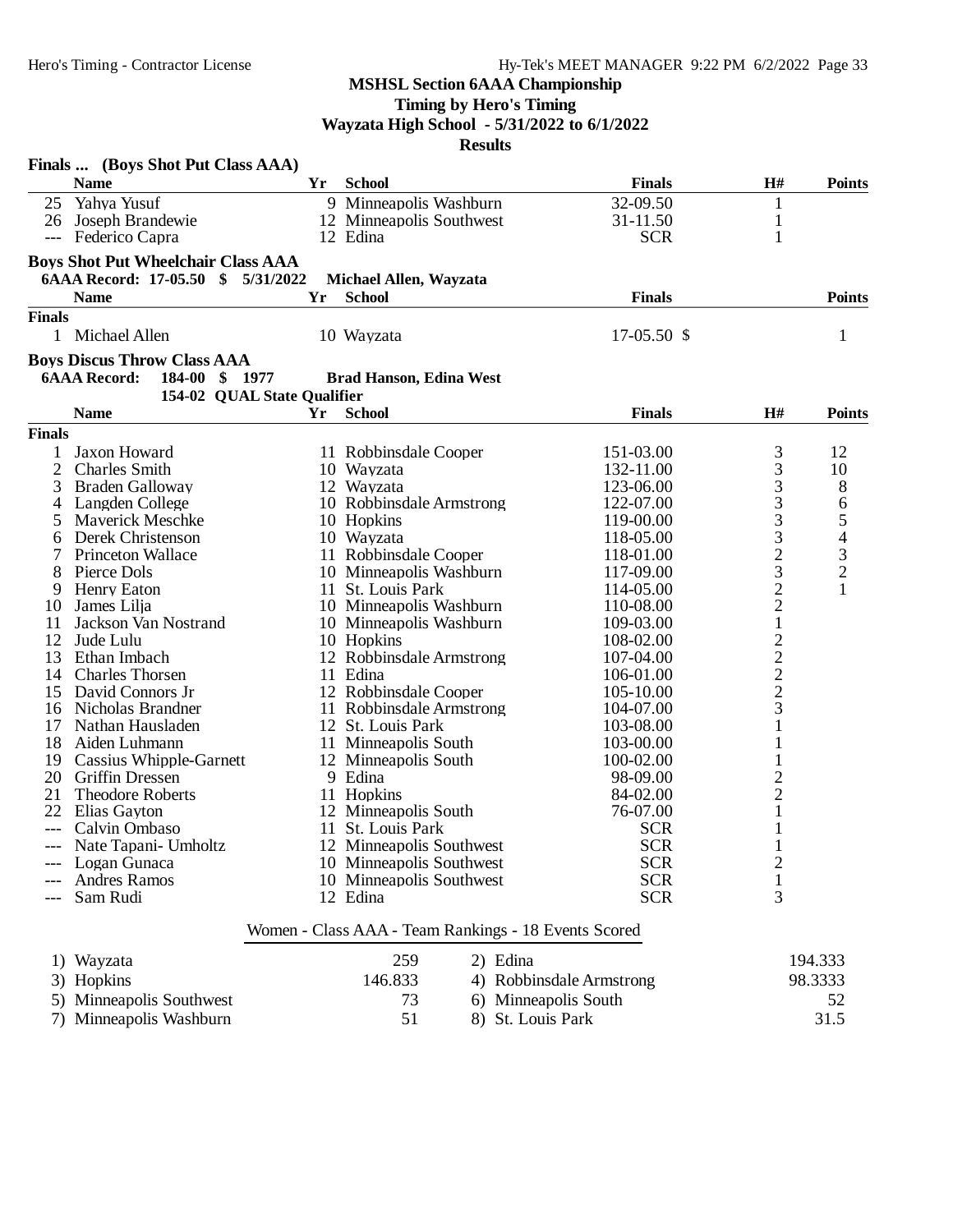**Timing by Hero's Timing**

**Wayzata High School - 5/31/2022 to 6/1/2022**

**Results**

|               | Finals  (Boys Shot Put Class AAA)         |    |                                                      |                          |               |                                            |                                                 |
|---------------|-------------------------------------------|----|------------------------------------------------------|--------------------------|---------------|--------------------------------------------|-------------------------------------------------|
|               | <b>Name</b>                               | Yr | <b>School</b>                                        |                          | <b>Finals</b> | H#                                         | <b>Points</b>                                   |
|               | 25 Yahya Yusuf                            |    | 9 Minneapolis Washburn                               |                          | 32-09.50      | 1                                          |                                                 |
|               | 26 Joseph Brandewie                       |    | 12 Minneapolis Southwest                             |                          | 31-11.50      | $\mathbf{1}$                               |                                                 |
|               | --- Federico Capra                        |    | 12 Edina                                             |                          | <b>SCR</b>    | 1                                          |                                                 |
|               | <b>Boys Shot Put Wheelchair Class AAA</b> |    |                                                      |                          |               |                                            |                                                 |
|               | 6AAA Record: 17-05.50 \$ 5/31/2022        |    | Michael Allen, Wayzata                               |                          |               |                                            |                                                 |
|               | <b>Name</b>                               | Yr | <b>School</b>                                        |                          | <b>Finals</b> |                                            | <b>Points</b>                                   |
| <b>Finals</b> |                                           |    |                                                      |                          |               |                                            |                                                 |
|               | 1 Michael Allen                           |    | 10 Wayzata                                           |                          | $17-05.50$ \$ |                                            | 1                                               |
|               | <b>Boys Discus Throw Class AAA</b>        |    |                                                      |                          |               |                                            |                                                 |
|               | <b>6AAA Record:</b><br>184-00 \$ 1977     |    | <b>Brad Hanson, Edina West</b>                       |                          |               |                                            |                                                 |
|               | 154-02 QUAL State Qualifier               |    |                                                      |                          |               |                                            |                                                 |
|               | <b>Name</b>                               | Yr | <b>School</b>                                        |                          | <b>Finals</b> | H#                                         | <b>Points</b>                                   |
| <b>Finals</b> |                                           |    |                                                      |                          |               |                                            |                                                 |
| 1             | Jaxon Howard                              |    | 11 Robbinsdale Cooper                                |                          | 151-03.00     | 3                                          | 12                                              |
| 2             | <b>Charles Smith</b>                      |    | 10 Wayzata                                           |                          | 132-11.00     | 3                                          | 10                                              |
| 3             | <b>Braden Galloway</b>                    |    | 12 Wayzata                                           |                          | 123-06.00     | 3                                          | 8                                               |
| 4             | Langden College                           |    | 10 Robbinsdale Armstrong                             |                          | 122-07.00     | 3                                          | 6                                               |
| 5             | <b>Maverick Meschke</b>                   |    | 10 Hopkins                                           |                          | 119-00.00     | 3                                          | $\begin{array}{c} 5 \\ 4 \\ 3 \\ 2 \end{array}$ |
| 6             | Derek Christenson                         |    | 10 Wayzata                                           |                          | 118-05.00     | 3                                          |                                                 |
|               | <b>Princeton Wallace</b>                  |    | 11 Robbinsdale Cooper                                |                          | 118-01.00     | $\frac{2}{3}$                              |                                                 |
| 8             | Pierce Dols                               |    | 10 Minneapolis Washburn                              |                          | 117-09.00     |                                            |                                                 |
| 9             | Henry Eaton                               |    | 11 St. Louis Park                                    |                          | 114-05.00     | $\overline{c}$                             | $\mathbf{1}$                                    |
| 10            | James Lilja                               |    | 10 Minneapolis Washburn                              |                          | 110-08.00     | $\overline{c}$                             |                                                 |
| 11            | Jackson Van Nostrand                      |    | 10 Minneapolis Washburn                              |                          | 109-03.00     | $\mathbf{1}$                               |                                                 |
| 12            | Jude Lulu                                 |    | 10 Hopkins                                           |                          | 108-02.00     |                                            |                                                 |
| 13            | Ethan Imbach                              |    | 12 Robbinsdale Armstrong                             |                          | 107-04.00     |                                            |                                                 |
| 14            | <b>Charles Thorsen</b>                    |    | 11 Edina                                             |                          | 106-01.00     |                                            |                                                 |
| 15            | David Connors Jr                          |    | 12 Robbinsdale Cooper                                |                          | 105-10.00     | $\begin{array}{c} 2 \\ 2 \\ 2 \end{array}$ |                                                 |
| 16            | Nicholas Brandner                         |    | 11 Robbinsdale Armstrong                             |                          | 104-07.00     | 3                                          |                                                 |
| 17            | Nathan Hausladen                          |    | 12 St. Louis Park                                    |                          | 103-08.00     | 1                                          |                                                 |
| 18            | Aiden Luhmann                             |    | 11 Minneapolis South                                 |                          | 103-00.00     |                                            |                                                 |
| 19            | Cassius Whipple-Garnett                   |    | 12 Minneapolis South                                 |                          | 100-02.00     |                                            |                                                 |
| 20            | <b>Griffin Dressen</b>                    |    | 9 Edina                                              |                          | 98-09.00      | $\overline{\mathbf{c}}$                    |                                                 |
| 21            | <b>Theodore Roberts</b>                   |    | 11 Hopkins                                           |                          | 84-02.00      | $\overline{c}$                             |                                                 |
| 22            | Elias Gayton                              |    | 12 Minneapolis South                                 |                          | 76-07.00      | $\mathbf 1$                                |                                                 |
| $---$         | Calvin Ombaso                             |    | 11 St. Louis Park                                    |                          | <b>SCR</b>    |                                            |                                                 |
|               | Nate Tapani- Umholtz                      |    | 12 Minneapolis Southwest                             |                          | <b>SCR</b>    |                                            |                                                 |
|               | Logan Gunaca                              |    | 10 Minneapolis Southwest                             |                          | <b>SCR</b>    | $\overline{2}$                             |                                                 |
|               | Andres Ramos                              |    | 10 Minneapolis Southwest                             |                          | <b>SCR</b>    | 1                                          |                                                 |
|               | Sam Rudi                                  |    | 12 Edina                                             |                          | <b>SCR</b>    | 3                                          |                                                 |
|               |                                           |    | Women - Class AAA - Team Rankings - 18 Events Scored |                          |               |                                            |                                                 |
|               | 1) Wayzata                                |    | 259                                                  | 2) Edina                 |               |                                            | 194.333                                         |
|               |                                           |    |                                                      |                          |               |                                            |                                                 |
|               | 3) Hopkins                                |    | 146.833                                              | 4) Robbinsdale Armstrong |               |                                            | 98.3333                                         |
|               | 5) Minneapolis Southwest                  |    | 73                                                   | 6) Minneapolis South     |               |                                            | 52                                              |
|               | 7) Minneapolis Washburn                   |    | 51                                                   | 8) St. Louis Park        |               |                                            | 31.5                                            |